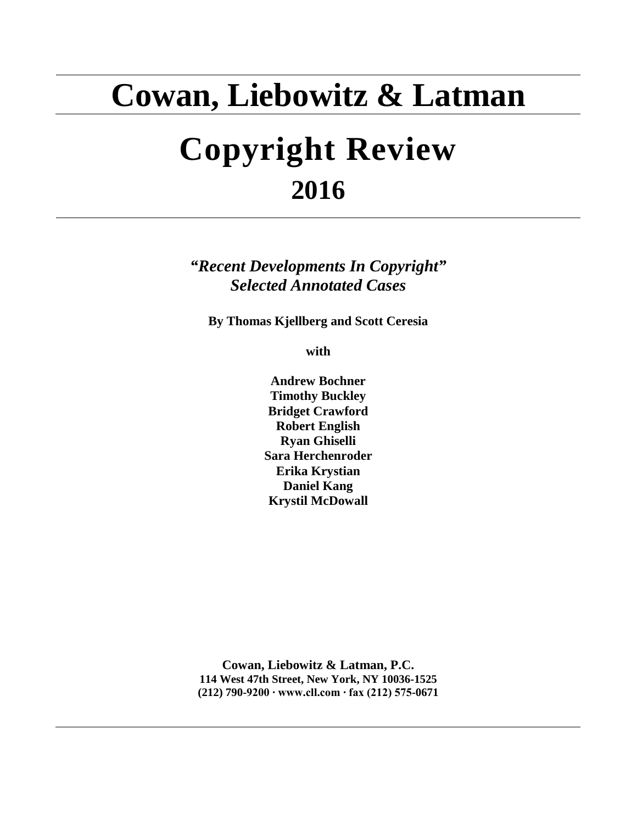# **Cowan, Liebowitz & Latman**

# **Copyright Review 2016**

*"Recent Developments In Copyright" Selected Annotated Cases*

**By Thomas Kjellberg and Scott Ceresia**

**with**

**Andrew Bochner Timothy Buckley Bridget Crawford Robert English Ryan Ghiselli Sara Herchenroder Erika Krystian Daniel Kang Krystil McDowall**

**Cowan, Liebowitz & Latman, P.C. 114 West 47th Street, New York, NY 10036-1525 (212) 790-9200 ∙ www.cll.com ∙ fax (212) 575-0671**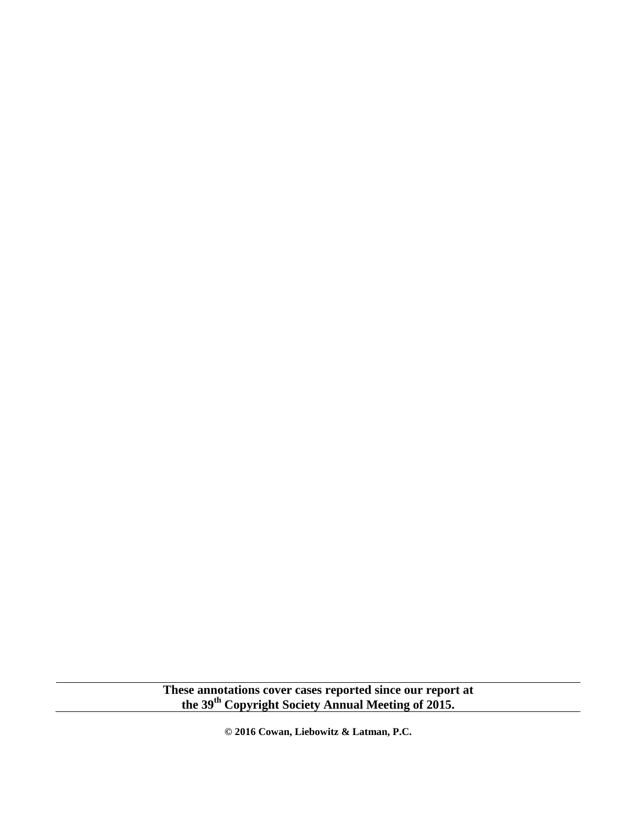**These annotations cover cases reported since our report at the 39th Copyright Society Annual Meeting of 2015.**

**© 2016 Cowan, Liebowitz & Latman, P.C.**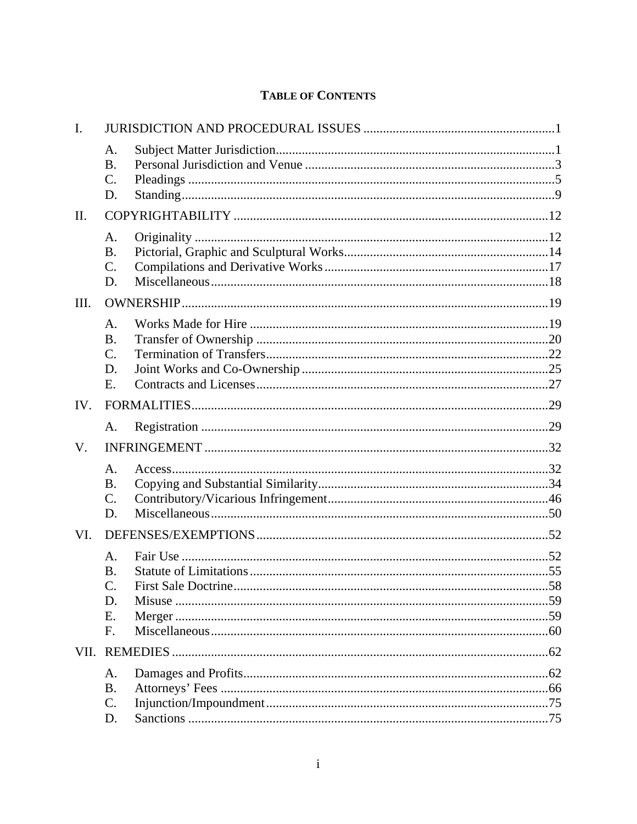# **TABLE OF CONTENTS**

| $\mathbf{I}$ . |                                                      |  |
|----------------|------------------------------------------------------|--|
|                | A.<br><b>B.</b><br>$\mathcal{C}$ .<br>D.             |  |
| II.            |                                                      |  |
|                | A.<br><b>B.</b><br>$C$ .<br>D.                       |  |
| III.           |                                                      |  |
|                | A.<br><b>B.</b><br>$\mathcal{C}$ .<br>D.<br>Ε.       |  |
| IV.            |                                                      |  |
|                | A.                                                   |  |
| V.             |                                                      |  |
|                | A.<br><b>B.</b><br>$\mathcal{C}$ .<br>D.             |  |
| VI.            |                                                      |  |
|                | A.<br><b>B.</b><br>$\mathcal{C}$ .<br>D.<br>Ε.<br>F. |  |
|                |                                                      |  |
|                | A.<br><b>B.</b><br>$C$ .<br>D.                       |  |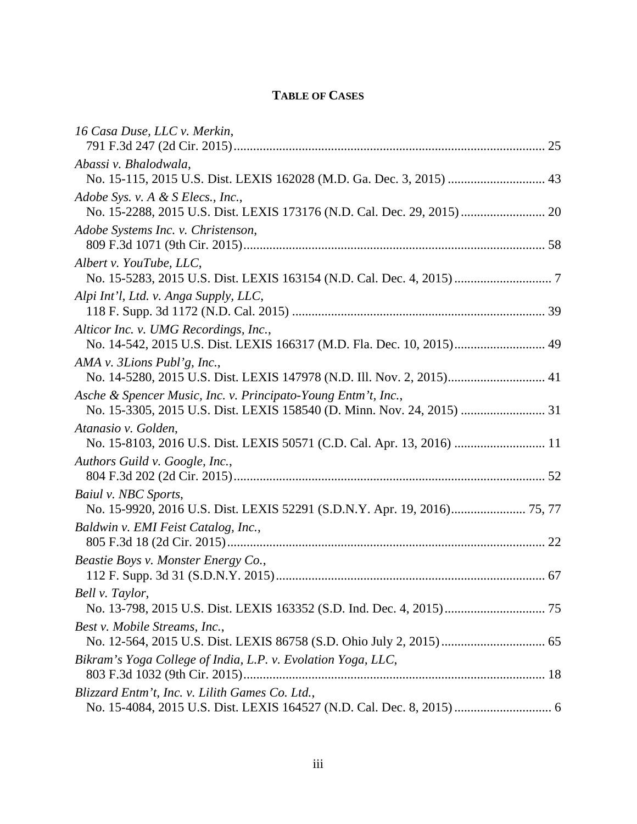# **TABLE OF CASES**

| 16 Casa Duse, LLC v. Merkin,                                                                                   |  |
|----------------------------------------------------------------------------------------------------------------|--|
|                                                                                                                |  |
| Abassi v. Bhalodwala,                                                                                          |  |
| No. 15-115, 2015 U.S. Dist. LEXIS 162028 (M.D. Ga. Dec. 3, 2015)  43                                           |  |
| Adobe Sys. v. A & S Elecs., Inc.,<br>No. 15-2288, 2015 U.S. Dist. LEXIS 173176 (N.D. Cal. Dec. 29, 2015)  20   |  |
| Adobe Systems Inc. v. Christenson,                                                                             |  |
| Albert v. YouTube, LLC,                                                                                        |  |
| Alpi Int'l, Ltd. v. Anga Supply, LLC,                                                                          |  |
| Alticor Inc. v. UMG Recordings, Inc.,<br>No. 14-542, 2015 U.S. Dist. LEXIS 166317 (M.D. Fla. Dec. 10, 2015) 49 |  |
| AMA v. 3Lions Publ'g, Inc.,<br>No. 14-5280, 2015 U.S. Dist. LEXIS 147978 (N.D. Ill. Nov. 2, 2015) 41           |  |
| Asche & Spencer Music, Inc. v. Principato-Young Entm't, Inc.,                                                  |  |
| Atanasio v. Golden,                                                                                            |  |
| Authors Guild v. Google, Inc.,                                                                                 |  |
| Baiul v. NBC Sports,<br>No. 15-9920, 2016 U.S. Dist. LEXIS 52291 (S.D.N.Y. Apr. 19, 2016) 75, 77               |  |
| Baldwin v. EMI Feist Catalog, Inc.,                                                                            |  |
| Beastie Boys v. Monster Energy Co.,                                                                            |  |
| Bell v. Taylor,                                                                                                |  |
| Best v. Mobile Streams, Inc.,                                                                                  |  |
| Bikram's Yoga College of India, L.P. v. Evolation Yoga, LLC,                                                   |  |
| Blizzard Entm't, Inc. v. Lilith Games Co. Ltd.,                                                                |  |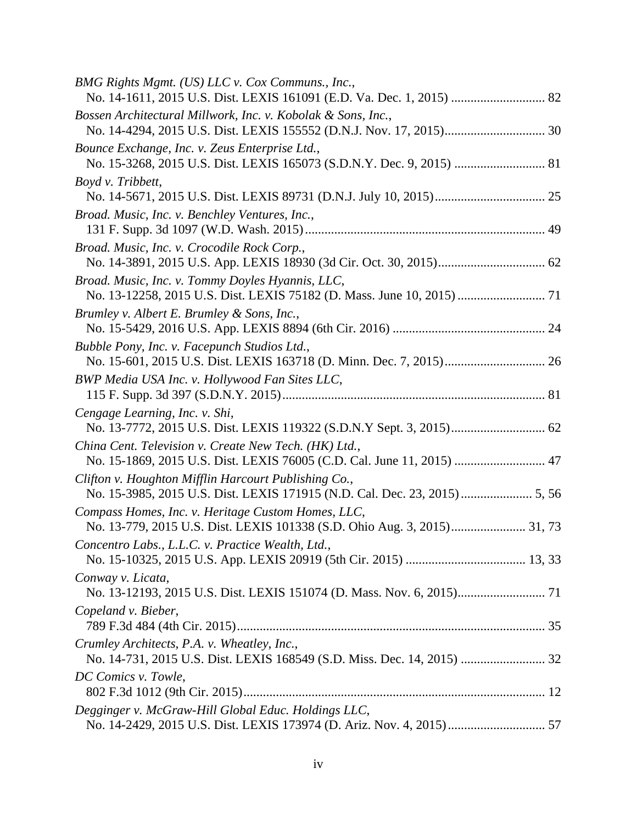| BMG Rights Mgmt. (US) LLC v. Cox Communs., Inc.,                                                                                |  |
|---------------------------------------------------------------------------------------------------------------------------------|--|
| Bossen Architectural Millwork, Inc. v. Kobolak & Sons, Inc.,                                                                    |  |
| Bounce Exchange, Inc. v. Zeus Enterprise Ltd.,                                                                                  |  |
| Boyd v. Tribbett,                                                                                                               |  |
| Broad. Music, Inc. v. Benchley Ventures, Inc.,                                                                                  |  |
| Broad. Music, Inc. v. Crocodile Rock Corp.,                                                                                     |  |
| Broad. Music, Inc. v. Tommy Doyles Hyannis, LLC,                                                                                |  |
| Brumley v. Albert E. Brumley & Sons, Inc.,                                                                                      |  |
| Bubble Pony, Inc. v. Facepunch Studios Ltd.,                                                                                    |  |
| BWP Media USA Inc. v. Hollywood Fan Sites LLC,                                                                                  |  |
| Cengage Learning, Inc. v. Shi,<br>No. 13-7772, 2015 U.S. Dist. LEXIS 119322 (S.D.N.Y Sept. 3, 2015) 62                          |  |
| China Cent. Television v. Create New Tech. (HK) Ltd.,<br>No. 15-1869, 2015 U.S. Dist. LEXIS 76005 (C.D. Cal. June 11, 2015)  47 |  |
| Clifton v. Houghton Mifflin Harcourt Publishing Co.,                                                                            |  |
| Compass Homes, Inc. v. Heritage Custom Homes, LLC,                                                                              |  |
| Concentro Labs., L.L.C. v. Practice Wealth, Ltd.,                                                                               |  |
| Conway v. Licata,                                                                                                               |  |
| Copeland v. Bieber,                                                                                                             |  |
| Crumley Architects, P.A. v. Wheatley, Inc.,                                                                                     |  |
| DC Comics v. Towle,                                                                                                             |  |
| Degginger v. McGraw-Hill Global Educ. Holdings LLC,                                                                             |  |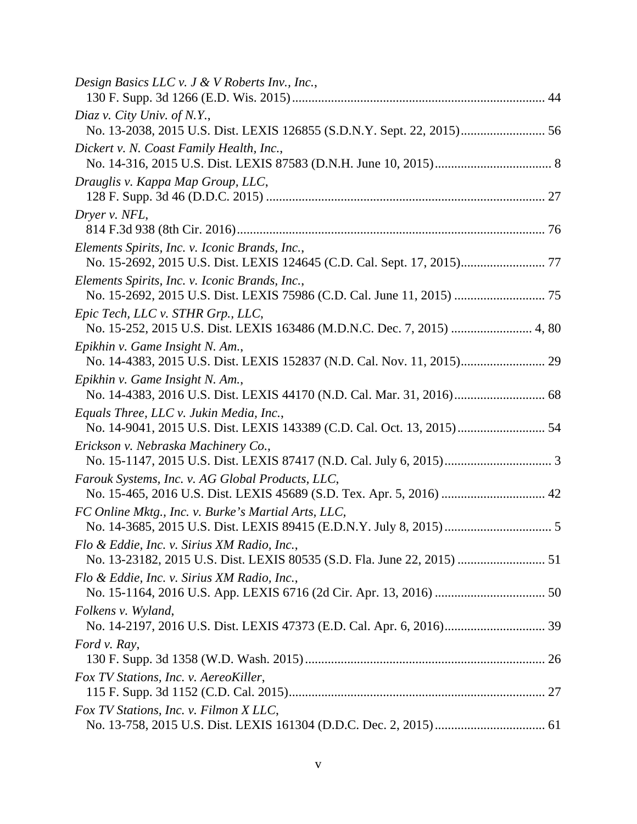| Design Basics LLC v. J & V Roberts Inv., Inc.,                                                                           |  |
|--------------------------------------------------------------------------------------------------------------------------|--|
| Diaz v. City Univ. of N.Y.,<br>No. 13-2038, 2015 U.S. Dist. LEXIS 126855 (S.D.N.Y. Sept. 22, 2015) 56                    |  |
| Dickert v. N. Coast Family Health, Inc.,                                                                                 |  |
| Drauglis v. Kappa Map Group, LLC,                                                                                        |  |
| Dryer v. NFL,                                                                                                            |  |
| Elements Spirits, Inc. v. Iconic Brands, Inc.,                                                                           |  |
| Elements Spirits, Inc. v. Iconic Brands, Inc.,                                                                           |  |
| Epic Tech, LLC v. STHR Grp., LLC,<br>No. 15-252, 2015 U.S. Dist. LEXIS 163486 (M.D.N.C. Dec. 7, 2015)  4, 80             |  |
| Epikhin v. Game Insight N. Am.,<br>No. 14-4383, 2015 U.S. Dist. LEXIS 152837 (N.D. Cal. Nov. 11, 2015) 29                |  |
| Epikhin v. Game Insight N. Am.,                                                                                          |  |
| Equals Three, LLC v. Jukin Media, Inc.,                                                                                  |  |
| Erickson v. Nebraska Machinery Co.,                                                                                      |  |
| Farouk Systems, Inc. v. AG Global Products, LLC,<br>No. 15-465, 2016 U.S. Dist. LEXIS 45689 (S.D. Tex. Apr. 5, 2016)  42 |  |
| FC Online Mktg., Inc. v. Burke's Martial Arts, LLC,                                                                      |  |
| Flo & Eddie, Inc. v. Sirius XM Radio, Inc.,                                                                              |  |
| Flo & Eddie, Inc. v. Sirius XM Radio, Inc.,                                                                              |  |
| Folkens v. Wyland,                                                                                                       |  |
| Ford v. Ray,                                                                                                             |  |
| Fox TV Stations, Inc. v. AereoKiller,                                                                                    |  |
| Fox TV Stations, Inc. v. Filmon X LLC,                                                                                   |  |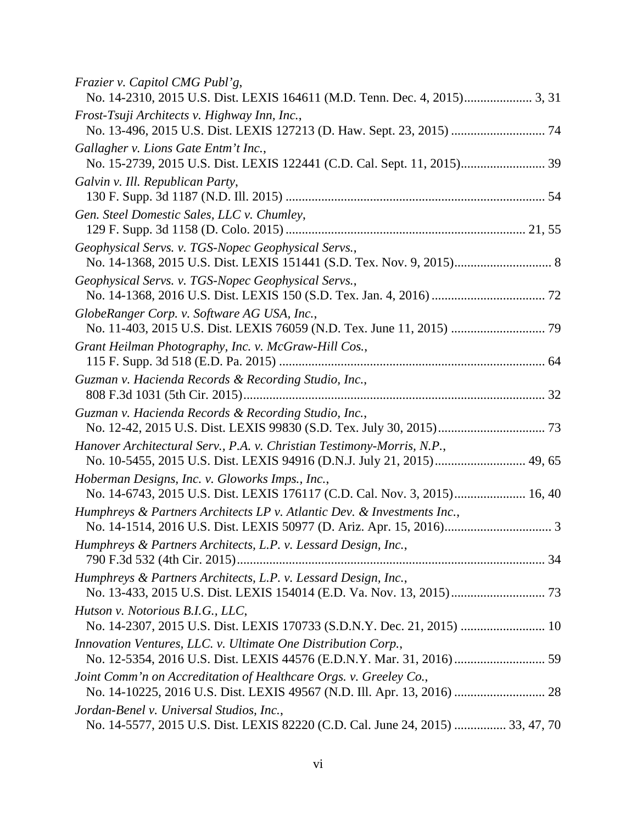| Frazier v. Capitol CMG Publ'g,                                                                                                                   |
|--------------------------------------------------------------------------------------------------------------------------------------------------|
| Frost-Tsuji Architects v. Highway Inn, Inc.,                                                                                                     |
| Gallagher v. Lions Gate Entm't Inc.,                                                                                                             |
| Galvin v. Ill. Republican Party,                                                                                                                 |
| Gen. Steel Domestic Sales, LLC v. Chumley,                                                                                                       |
| Geophysical Servs. v. TGS-Nopec Geophysical Servs.,                                                                                              |
| Geophysical Servs. v. TGS-Nopec Geophysical Servs.,                                                                                              |
| GlobeRanger Corp. v. Software AG USA, Inc.,                                                                                                      |
| Grant Heilman Photography, Inc. v. McGraw-Hill Cos.,                                                                                             |
| Guzman v. Hacienda Records & Recording Studio, Inc.,                                                                                             |
| Guzman v. Hacienda Records & Recording Studio, Inc.,                                                                                             |
| Hanover Architectural Serv., P.A. v. Christian Testimony-Morris, N.P.,<br>No. 10-5455, 2015 U.S. Dist. LEXIS 94916 (D.N.J. July 21, 2015) 49, 65 |
| Hoberman Designs, Inc. v. Gloworks Imps., Inc.,<br>No. 14-6743, 2015 U.S. Dist. LEXIS 176117 (C.D. Cal. Nov. 3, 2015) 16, 40                     |
| Humphreys & Partners Architects LP v. Atlantic Dev. & Investments Inc.,                                                                          |
| Humphreys & Partners Architects, L.P. v. Lessard Design, Inc.,                                                                                   |
| Humphreys & Partners Architects, L.P. v. Lessard Design, Inc.,                                                                                   |
| Hutson v. Notorious B.I.G., LLC,                                                                                                                 |
| Innovation Ventures, LLC. v. Ultimate One Distribution Corp.,                                                                                    |
| Joint Comm'n on Accreditation of Healthcare Orgs. v. Greeley Co.,<br>No. 14-10225, 2016 U.S. Dist. LEXIS 49567 (N.D. Ill. Apr. 13, 2016)  28     |
| Jordan-Benel v. Universal Studios, Inc.,<br>No. 14-5577, 2015 U.S. Dist. LEXIS 82220 (C.D. Cal. June 24, 2015)  33, 47, 70                       |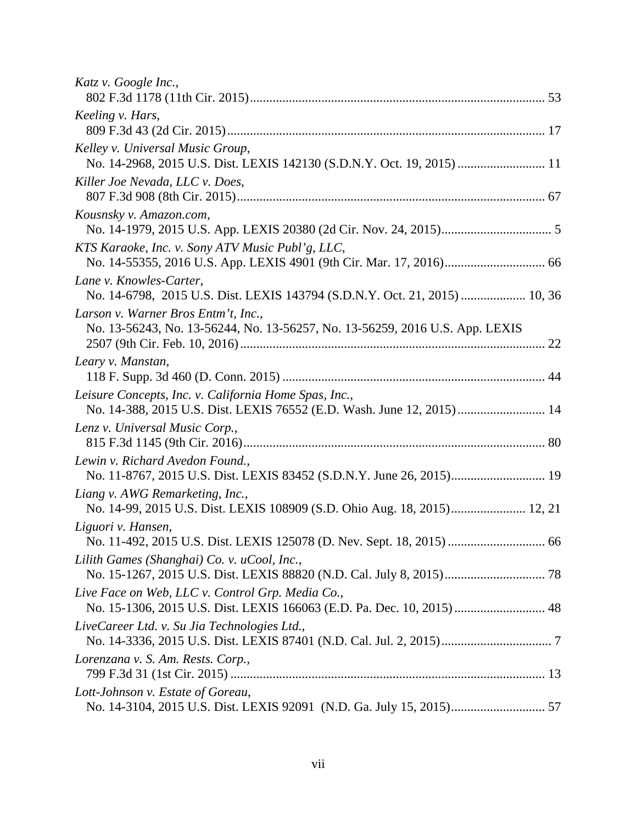| Katz v. Google Inc.,                                                                                                           |
|--------------------------------------------------------------------------------------------------------------------------------|
| Keeling v. Hars,                                                                                                               |
| Kelley v. Universal Music Group,<br>No. 14-2968, 2015 U.S. Dist. LEXIS 142130 (S.D.N.Y. Oct. 19, 2015)  11                     |
| Killer Joe Nevada, LLC v. Does,                                                                                                |
| Kousnsky v. Amazon.com,                                                                                                        |
| KTS Karaoke, Inc. v. Sony ATV Music Publ'g, LLC,                                                                               |
| Lane v. Knowles-Carter,<br>No. 14-6798, 2015 U.S. Dist. LEXIS 143794 (S.D.N.Y. Oct. 21, 2015)  10, 36                          |
| Larson v. Warner Bros Entm't, Inc.,<br>No. 13-56243, No. 13-56244, No. 13-56257, No. 13-56259, 2016 U.S. App. LEXIS            |
| Leary v. Manstan,                                                                                                              |
| Leisure Concepts, Inc. v. California Home Spas, Inc.,<br>No. 14-388, 2015 U.S. Dist. LEXIS 76552 (E.D. Wash. June 12, 2015) 14 |
| Lenz v. Universal Music Corp.,                                                                                                 |
| Lewin v. Richard Avedon Found.,                                                                                                |
| Liang v. AWG Remarketing, Inc.,<br>No. 14-99, 2015 U.S. Dist. LEXIS 108909 (S.D. Ohio Aug. 18, 2015) 12, 21                    |
| Liguori v. Hansen,                                                                                                             |
| Lilith Games (Shanghai) Co. v. uCool, Inc.,                                                                                    |
| Live Face on Web, LLC v. Control Grp. Media Co.,                                                                               |
| LiveCareer Ltd. v. Su Jia Technologies Ltd.,                                                                                   |
| Lorenzana v. S. Am. Rests. Corp.,                                                                                              |
| Lott-Johnson v. Estate of Goreau,                                                                                              |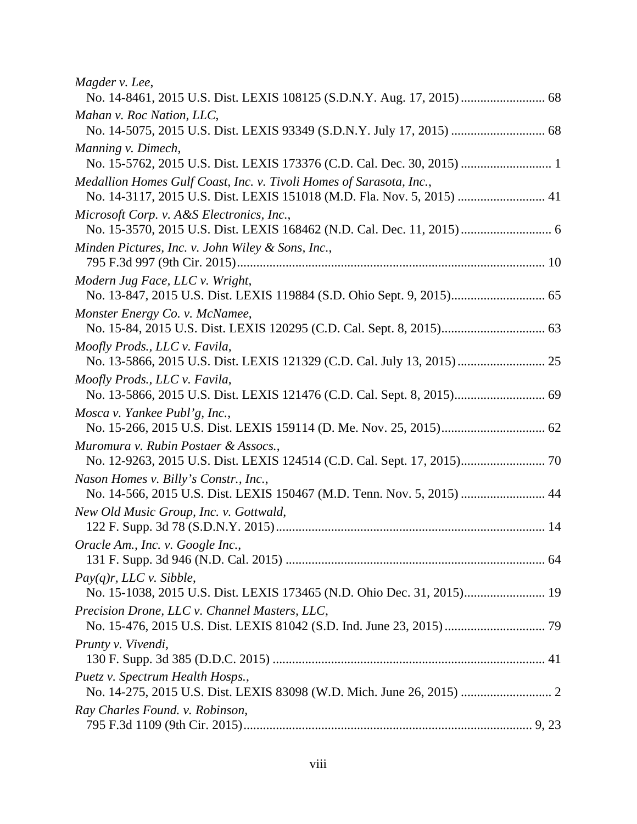*Magder v. Lee*, No. 14-8461, 2015 U.S. Dist. LEXIS 108125 (S.D.N.Y. Aug. 17, 2015).......................... 68 *Mahan v. Roc Nation, LLC*, No. 14-5075, 2015 U.S. Dist. LEXIS 93349 (S.D.N.Y. July 17, 2015) ............................. 68 *Manning v. Dimech*, No. 15-5762, 2015 U.S. Dist. LEXIS 173376 (C.D. Cal. Dec. 30, 2015) ............................ 1 *Medallion Homes Gulf Coast, Inc. v. Tivoli Homes of Sarasota, Inc.*, No. 14-3117, 2015 U.S. Dist. LEXIS 151018 (M.D. Fla. Nov. 5, 2015) ........................... 41 *Microsoft Corp. v. A&S Electronics, Inc.*, No. 15-3570, 2015 U.S. Dist. LEXIS 168462 (N.D. Cal. Dec. 11, 2015)............................ 6 *Minden Pictures, Inc. v. John Wiley & Sons, Inc.*, 795 F.3d 997 (9th Cir. 2015)............................................................................................... 10 *Modern Jug Face, LLC v. Wright*, No. 13-847, 2015 U.S. Dist. LEXIS 119884 (S.D. Ohio Sept. 9, 2015)............................. 65 *Monster Energy Co. v. McNamee*, No. 15-84, 2015 U.S. Dist. LEXIS 120295 (C.D. Cal. Sept. 8, 2015)................................ 63 *Moofly Prods., LLC v. Favila*, No. 13-5866, 2015 U.S. Dist. LEXIS 121329 (C.D. Cal. July 13, 2015)........................... 25 *Moofly Prods., LLC v. Favila*, No. 13-5866, 2015 U.S. Dist. LEXIS 121476 (C.D. Cal. Sept. 8, 2015)............................ 69 *Mosca v. Yankee Publ'g, Inc.*, No. 15-266, 2015 U.S. Dist. LEXIS 159114 (D. Me. Nov. 25, 2015)................................ 62 *Muromura v. Rubin Postaer & Assocs.*, No. 12-9263, 2015 U.S. Dist. LEXIS 124514 (C.D. Cal. Sept. 17, 2015).......................... 70 *Nason Homes v. Billy's Constr., Inc.*, No. 14-566, 2015 U.S. Dist. LEXIS 150467 (M.D. Tenn. Nov. 5, 2015) .......................... 44 *New Old Music Group, Inc. v. Gottwald*, 122 F. Supp. 3d 78 (S.D.N.Y. 2015)................................................................................... 14 *Oracle Am., Inc. v. Google Inc.*, 131 F. Supp. 3d 946 (N.D. Cal. 2015) ................................................................................ 64 *Pay(q)r, LLC v. Sibble*, No. 15-1038, 2015 U.S. Dist. LEXIS 173465 (N.D. Ohio Dec. 31, 2015)......................... 19 *Precision Drone, LLC v. Channel Masters, LLC*, No. 15-476, 2015 U.S. Dist. LEXIS 81042 (S.D. Ind. June 23, 2015)............................... 79 *Prunty v. Vivendi,* 130 F. Supp. 3d 385 (D.D.C. 2015) .................................................................................... 41 *Puetz v. Spectrum Health Hosps.*, No. 14-275, 2015 U.S. Dist. LEXIS 83098 (W.D. Mich. June 26, 2015) ............................ 2 *Ray Charles Found. v. Robinson*, 795 F.3d 1109 (9th Cir. 2015)......................................................................................... 9, 23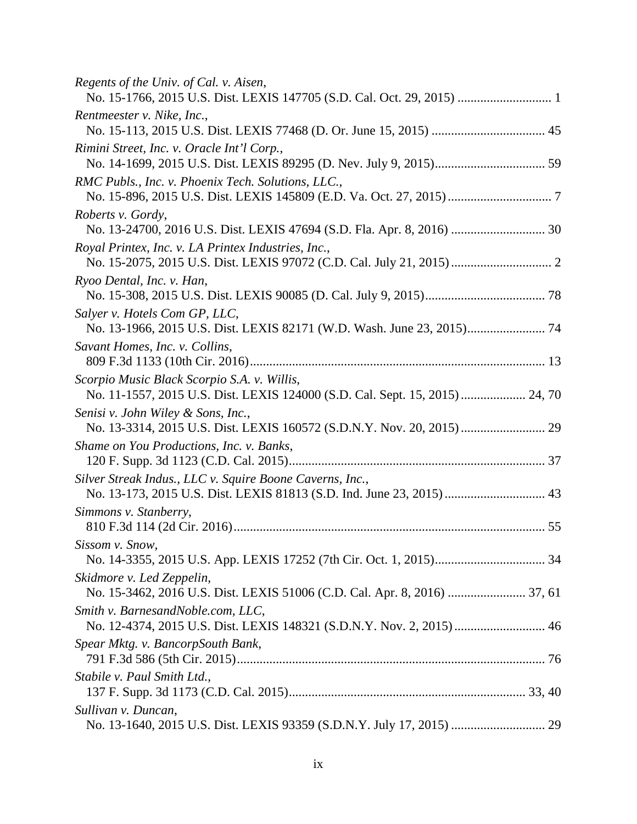| Regents of the Univ. of Cal. v. Aisen,<br>No. 15-1766, 2015 U.S. Dist. LEXIS 147705 (S.D. Cal. Oct. 29, 2015)  1                  |  |
|-----------------------------------------------------------------------------------------------------------------------------------|--|
| Rentmeester v. Nike, Inc.,                                                                                                        |  |
| Rimini Street, Inc. v. Oracle Int'l Corp.,                                                                                        |  |
| RMC Publs., Inc. v. Phoenix Tech. Solutions, LLC.,                                                                                |  |
| Roberts v. Gordy,<br>No. 13-24700, 2016 U.S. Dist. LEXIS 47694 (S.D. Fla. Apr. 8, 2016)  30                                       |  |
| Royal Printex, Inc. v. LA Printex Industries, Inc.,                                                                               |  |
| Ryoo Dental, Inc. v. Han,                                                                                                         |  |
| Salyer v. Hotels Com GP, LLC,                                                                                                     |  |
| Savant Homes, Inc. v. Collins,                                                                                                    |  |
| Scorpio Music Black Scorpio S.A. v. Willis,<br>No. 11-1557, 2015 U.S. Dist. LEXIS 124000 (S.D. Cal. Sept. 15, 2015)  24, 70       |  |
| Senisi v. John Wiley & Sons, Inc.,                                                                                                |  |
| Shame on You Productions, Inc. v. Banks,                                                                                          |  |
| Silver Streak Indus., LLC v. Squire Boone Caverns, Inc.,<br>No. 13-173, 2015 U.S. Dist. LEXIS 81813 (S.D. Ind. June 23, 2015)  43 |  |
| Simmons v. Stanberry,                                                                                                             |  |
| Sissom v. Snow,                                                                                                                   |  |
| Skidmore v. Led Zeppelin,                                                                                                         |  |
| Smith v. BarnesandNoble.com, LLC,<br>No. 12-4374, 2015 U.S. Dist. LEXIS 148321 (S.D.N.Y. Nov. 2, 2015)  46                        |  |
| Spear Mktg. v. BancorpSouth Bank,                                                                                                 |  |
| Stabile v. Paul Smith Ltd.,                                                                                                       |  |
| Sullivan v. Duncan,                                                                                                               |  |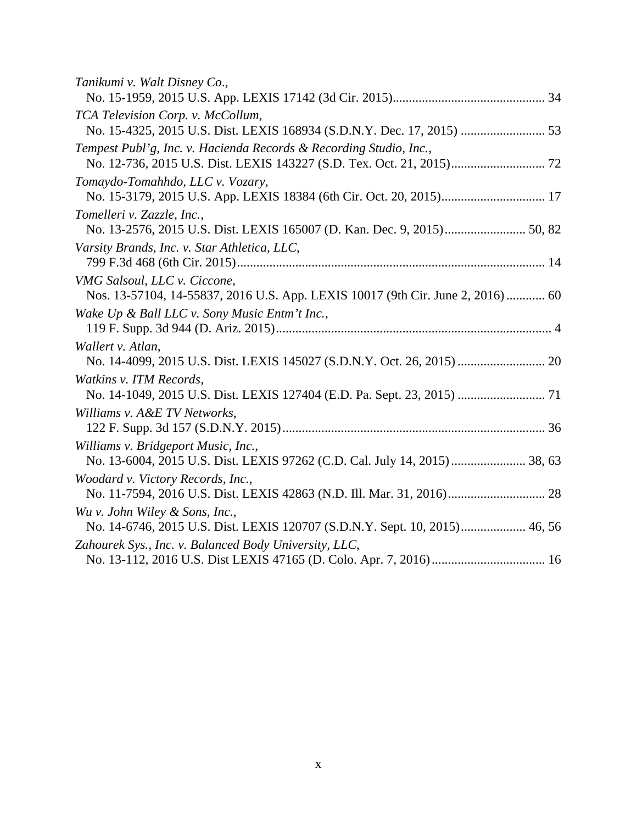| Tanikumi v. Walt Disney Co.,                                                   |
|--------------------------------------------------------------------------------|
|                                                                                |
| TCA Television Corp. v. McCollum,                                              |
|                                                                                |
| Tempest Publ'g, Inc. v. Hacienda Records & Recording Studio, Inc.,             |
|                                                                                |
| Tomaydo-Tomahhdo, LLC v. Vozary,                                               |
|                                                                                |
| Tomelleri v. Zazzle, Inc.,                                                     |
|                                                                                |
| Varsity Brands, Inc. v. Star Athletica, LLC,                                   |
|                                                                                |
| VMG Salsoul, LLC v. Ciccone,                                                   |
| Nos. 13-57104, 14-55837, 2016 U.S. App. LEXIS 10017 (9th Cir. June 2, 2016) 60 |
| Wake Up & Ball LLC v. Sony Music Entm't Inc.,                                  |
|                                                                                |
| Wallert v. Atlan,                                                              |
|                                                                                |
| Watkins v. ITM Records,                                                        |
| No. 14-1049, 2015 U.S. Dist. LEXIS 127404 (E.D. Pa. Sept. 23, 2015)  71        |
| Williams v. A&E TV Networks,                                                   |
|                                                                                |
| Williams v. Bridgeport Music, Inc.,                                            |
|                                                                                |
| Woodard v. Victory Records, Inc.,                                              |
|                                                                                |
| Wu v. John Wiley & Sons, Inc.,                                                 |
| No. 14-6746, 2015 U.S. Dist. LEXIS 120707 (S.D.N.Y. Sept. 10, 2015) 46, 56     |
| Zahourek Sys., Inc. v. Balanced Body University, LLC,                          |
|                                                                                |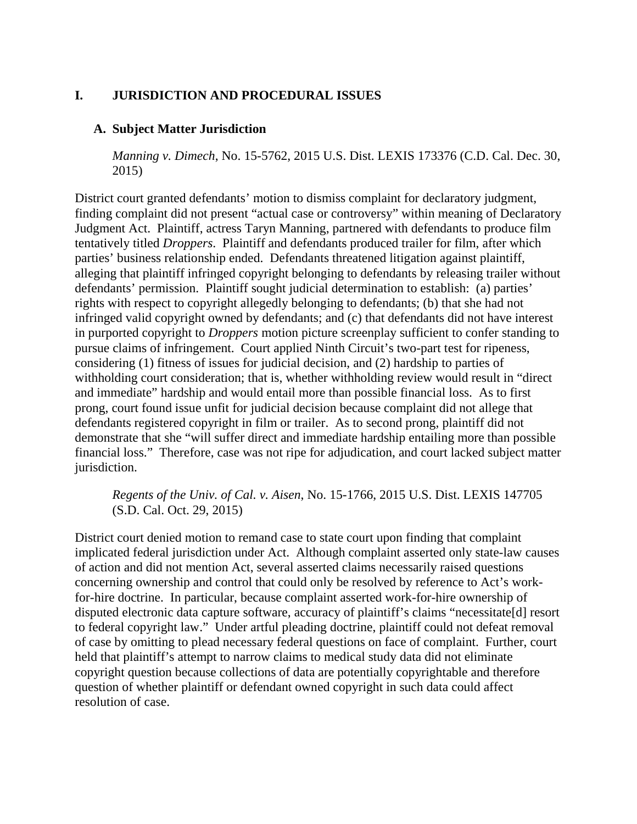# <span id="page-12-0"></span>**I. JURISDICTION AND PROCEDURAL ISSUES**

#### <span id="page-12-1"></span>**A. Subject Matter Jurisdiction**

*Manning v. Dimech*, No. 15-5762, 2015 U.S. Dist. LEXIS 173376 (C.D. Cal. Dec. 30, 2015)

District court granted defendants' motion to dismiss complaint for declaratory judgment, finding complaint did not present "actual case or controversy" within meaning of Declaratory Judgment Act. Plaintiff, actress Taryn Manning, partnered with defendants to produce film tentatively titled *Droppers*. Plaintiff and defendants produced trailer for film, after which parties' business relationship ended. Defendants threatened litigation against plaintiff, alleging that plaintiff infringed copyright belonging to defendants by releasing trailer without defendants' permission. Plaintiff sought judicial determination to establish: (a) parties' rights with respect to copyright allegedly belonging to defendants; (b) that she had not infringed valid copyright owned by defendants; and (c) that defendants did not have interest in purported copyright to *Droppers* motion picture screenplay sufficient to confer standing to pursue claims of infringement. Court applied Ninth Circuit's two-part test for ripeness, considering (1) fitness of issues for judicial decision, and (2) hardship to parties of withholding court consideration; that is, whether withholding review would result in "direct and immediate" hardship and would entail more than possible financial loss. As to first prong, court found issue unfit for judicial decision because complaint did not allege that defendants registered copyright in film or trailer. As to second prong, plaintiff did not demonstrate that she "will suffer direct and immediate hardship entailing more than possible financial loss." Therefore, case was not ripe for adjudication, and court lacked subject matter jurisdiction.

*Regents of the Univ. of Cal. v. Aisen*, No. 15-1766, 2015 U.S. Dist. LEXIS 147705 (S.D. Cal. Oct. 29, 2015)

District court denied motion to remand case to state court upon finding that complaint implicated federal jurisdiction under Act. Although complaint asserted only state-law causes of action and did not mention Act, several asserted claims necessarily raised questions concerning ownership and control that could only be resolved by reference to Act's workfor-hire doctrine. In particular, because complaint asserted work-for-hire ownership of disputed electronic data capture software, accuracy of plaintiff's claims "necessitate[d] resort to federal copyright law." Under artful pleading doctrine, plaintiff could not defeat removal of case by omitting to plead necessary federal questions on face of complaint. Further, court held that plaintiff's attempt to narrow claims to medical study data did not eliminate copyright question because collections of data are potentially copyrightable and therefore question of whether plaintiff or defendant owned copyright in such data could affect resolution of case.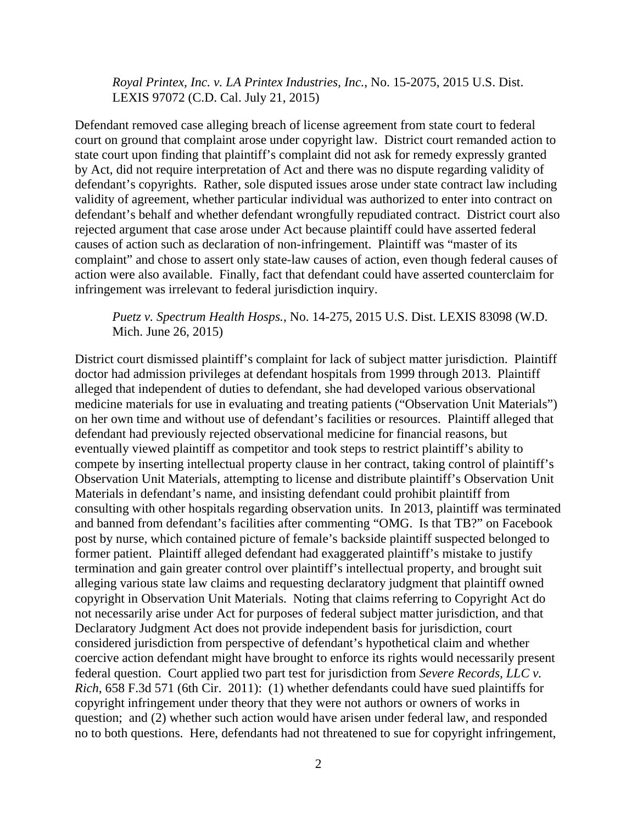*Royal Printex, Inc. v. LA Printex Industries, Inc.*, No. 15-2075, 2015 U.S. Dist. LEXIS 97072 (C.D. Cal. July 21, 2015)

Defendant removed case alleging breach of license agreement from state court to federal court on ground that complaint arose under copyright law. District court remanded action to state court upon finding that plaintiff's complaint did not ask for remedy expressly granted by Act, did not require interpretation of Act and there was no dispute regarding validity of defendant's copyrights. Rather, sole disputed issues arose under state contract law including validity of agreement, whether particular individual was authorized to enter into contract on defendant's behalf and whether defendant wrongfully repudiated contract. District court also rejected argument that case arose under Act because plaintiff could have asserted federal causes of action such as declaration of non-infringement. Plaintiff was "master of its complaint" and chose to assert only state-law causes of action, even though federal causes of action were also available. Finally, fact that defendant could have asserted counterclaim for infringement was irrelevant to federal jurisdiction inquiry.

# *Puetz v. Spectrum Health Hosps.*, No. 14-275, 2015 U.S. Dist. LEXIS 83098 (W.D. Mich. June 26, 2015)

District court dismissed plaintiff's complaint for lack of subject matter jurisdiction. Plaintiff doctor had admission privileges at defendant hospitals from 1999 through 2013. Plaintiff alleged that independent of duties to defendant, she had developed various observational medicine materials for use in evaluating and treating patients ("Observation Unit Materials") on her own time and without use of defendant's facilities or resources. Plaintiff alleged that defendant had previously rejected observational medicine for financial reasons, but eventually viewed plaintiff as competitor and took steps to restrict plaintiff's ability to compete by inserting intellectual property clause in her contract, taking control of plaintiff's Observation Unit Materials, attempting to license and distribute plaintiff's Observation Unit Materials in defendant's name, and insisting defendant could prohibit plaintiff from consulting with other hospitals regarding observation units. In 2013, plaintiff was terminated and banned from defendant's facilities after commenting "OMG. Is that TB?" on Facebook post by nurse, which contained picture of female's backside plaintiff suspected belonged to former patient. Plaintiff alleged defendant had exaggerated plaintiff's mistake to justify termination and gain greater control over plaintiff's intellectual property, and brought suit alleging various state law claims and requesting declaratory judgment that plaintiff owned copyright in Observation Unit Materials. Noting that claims referring to Copyright Act do not necessarily arise under Act for purposes of federal subject matter jurisdiction, and that Declaratory Judgment Act does not provide independent basis for jurisdiction, court considered jurisdiction from perspective of defendant's hypothetical claim and whether coercive action defendant might have brought to enforce its rights would necessarily present federal question. Court applied two part test for jurisdiction from *Severe Records, LLC v. Rich*, 658 F.3d 571 (6th Cir. 2011): (1) whether defendants could have sued plaintiffs for copyright infringement under theory that they were not authors or owners of works in question; and (2) whether such action would have arisen under federal law, and responded no to both questions. Here, defendants had not threatened to sue for copyright infringement,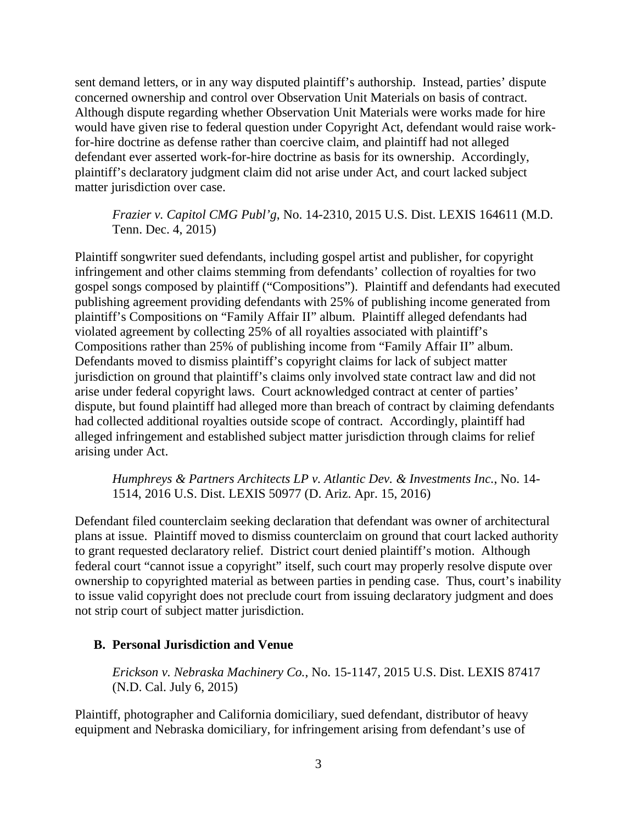sent demand letters, or in any way disputed plaintiff's authorship. Instead, parties' dispute concerned ownership and control over Observation Unit Materials on basis of contract. Although dispute regarding whether Observation Unit Materials were works made for hire would have given rise to federal question under Copyright Act, defendant would raise workfor-hire doctrine as defense rather than coercive claim, and plaintiff had not alleged defendant ever asserted work-for-hire doctrine as basis for its ownership. Accordingly, plaintiff's declaratory judgment claim did not arise under Act, and court lacked subject matter jurisdiction over case.

# *Frazier v. Capitol CMG Publ'g*, No. 14-2310, 2015 U.S. Dist. LEXIS 164611 (M.D. Tenn. Dec. 4, 2015)

Plaintiff songwriter sued defendants, including gospel artist and publisher, for copyright infringement and other claims stemming from defendants' collection of royalties for two gospel songs composed by plaintiff ("Compositions"). Plaintiff and defendants had executed publishing agreement providing defendants with 25% of publishing income generated from plaintiff's Compositions on "Family Affair II" album. Plaintiff alleged defendants had violated agreement by collecting 25% of all royalties associated with plaintiff's Compositions rather than 25% of publishing income from "Family Affair II" album. Defendants moved to dismiss plaintiff's copyright claims for lack of subject matter jurisdiction on ground that plaintiff's claims only involved state contract law and did not arise under federal copyright laws. Court acknowledged contract at center of parties' dispute, but found plaintiff had alleged more than breach of contract by claiming defendants had collected additional royalties outside scope of contract. Accordingly, plaintiff had alleged infringement and established subject matter jurisdiction through claims for relief arising under Act.

*Humphreys & Partners Architects LP v. Atlantic Dev. & Investments Inc.*, No. 14- 1514, 2016 U.S. Dist. LEXIS 50977 (D. Ariz. Apr. 15, 2016)

Defendant filed counterclaim seeking declaration that defendant was owner of architectural plans at issue. Plaintiff moved to dismiss counterclaim on ground that court lacked authority to grant requested declaratory relief. District court denied plaintiff's motion. Although federal court "cannot issue a copyright" itself, such court may properly resolve dispute over ownership to copyrighted material as between parties in pending case. Thus, court's inability to issue valid copyright does not preclude court from issuing declaratory judgment and does not strip court of subject matter jurisdiction.

# <span id="page-14-0"></span>**B. Personal Jurisdiction and Venue**

*Erickson v. Nebraska Machinery Co.*, No. 15-1147, 2015 U.S. Dist. LEXIS 87417 (N.D. Cal. July 6, 2015)

Plaintiff, photographer and California domiciliary, sued defendant, distributor of heavy equipment and Nebraska domiciliary, for infringement arising from defendant's use of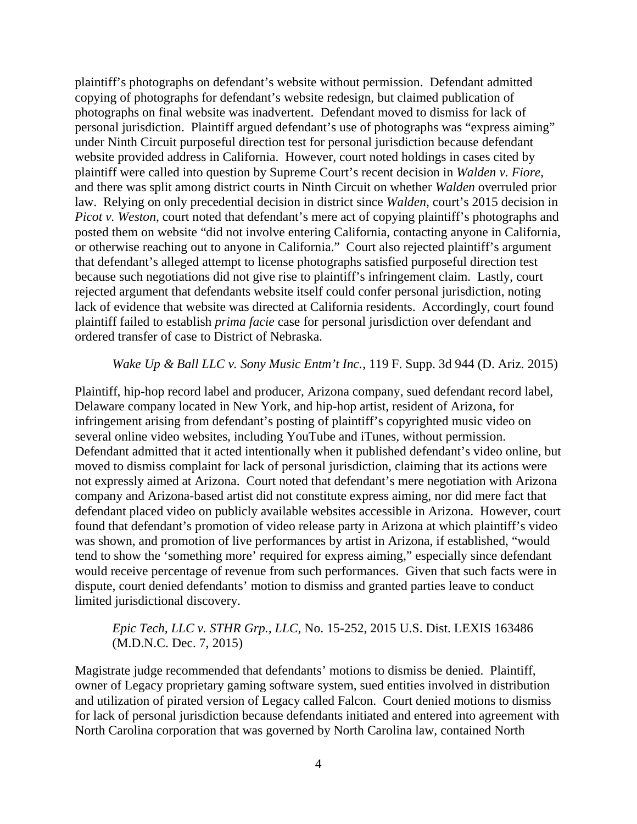plaintiff's photographs on defendant's website without permission. Defendant admitted copying of photographs for defendant's website redesign, but claimed publication of photographs on final website was inadvertent. Defendant moved to dismiss for lack of personal jurisdiction. Plaintiff argued defendant's use of photographs was "express aiming" under Ninth Circuit purposeful direction test for personal jurisdiction because defendant website provided address in California. However, court noted holdings in cases cited by plaintiff were called into question by Supreme Court's recent decision in *Walden v. Fiore*, and there was split among district courts in Ninth Circuit on whether *Walden* overruled prior law. Relying on only precedential decision in district since *Walden,* court's 2015 decision in *Picot v. Weston*, court noted that defendant's mere act of copying plaintiff's photographs and posted them on website "did not involve entering California, contacting anyone in California, or otherwise reaching out to anyone in California." Court also rejected plaintiff's argument that defendant's alleged attempt to license photographs satisfied purposeful direction test because such negotiations did not give rise to plaintiff's infringement claim. Lastly, court rejected argument that defendants website itself could confer personal jurisdiction, noting lack of evidence that website was directed at California residents. Accordingly, court found plaintiff failed to establish *prima facie* case for personal jurisdiction over defendant and ordered transfer of case to District of Nebraska.

#### *Wake Up & Ball LLC v. Sony Music Entm't Inc.*, 119 F. Supp. 3d 944 (D. Ariz. 2015)

Plaintiff, hip-hop record label and producer, Arizona company, sued defendant record label, Delaware company located in New York, and hip-hop artist, resident of Arizona, for infringement arising from defendant's posting of plaintiff's copyrighted music video on several online video websites, including YouTube and iTunes, without permission. Defendant admitted that it acted intentionally when it published defendant's video online, but moved to dismiss complaint for lack of personal jurisdiction, claiming that its actions were not expressly aimed at Arizona. Court noted that defendant's mere negotiation with Arizona company and Arizona-based artist did not constitute express aiming, nor did mere fact that defendant placed video on publicly available websites accessible in Arizona. However, court found that defendant's promotion of video release party in Arizona at which plaintiff's video was shown, and promotion of live performances by artist in Arizona, if established, "would tend to show the 'something more' required for express aiming," especially since defendant would receive percentage of revenue from such performances. Given that such facts were in dispute, court denied defendants' motion to dismiss and granted parties leave to conduct limited jurisdictional discovery.

# *Epic Tech, LLC v. STHR Grp., LLC*, No. 15-252, 2015 U.S. Dist. LEXIS 163486 (M.D.N.C. Dec. 7, 2015)

Magistrate judge recommended that defendants' motions to dismiss be denied. Plaintiff, owner of Legacy proprietary gaming software system, sued entities involved in distribution and utilization of pirated version of Legacy called Falcon. Court denied motions to dismiss for lack of personal jurisdiction because defendants initiated and entered into agreement with North Carolina corporation that was governed by North Carolina law, contained North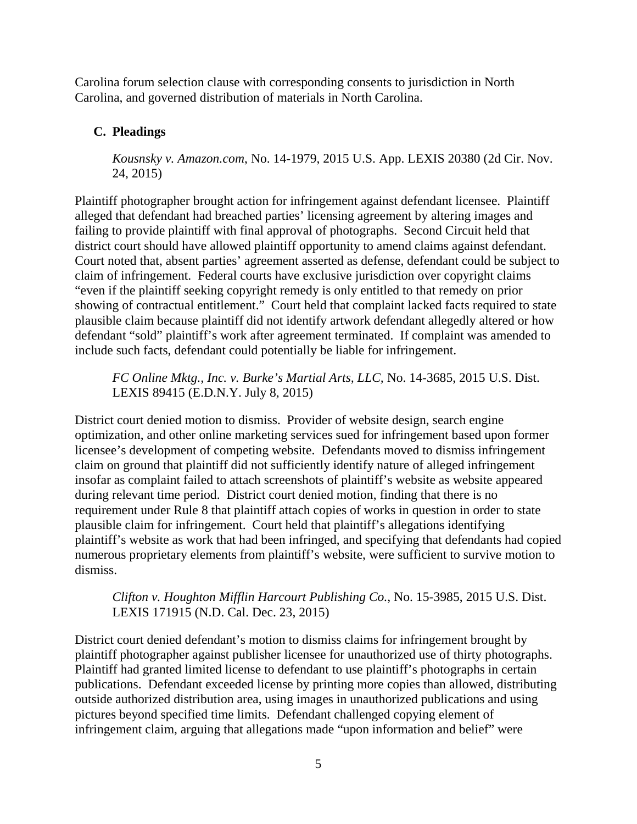Carolina forum selection clause with corresponding consents to jurisdiction in North Carolina, and governed distribution of materials in North Carolina.

# <span id="page-16-0"></span>**C. Pleadings**

*Kousnsky v. Amazon.com*, No. 14-1979, 2015 U.S. App. LEXIS 20380 (2d Cir. Nov. 24, 2015)

Plaintiff photographer brought action for infringement against defendant licensee. Plaintiff alleged that defendant had breached parties' licensing agreement by altering images and failing to provide plaintiff with final approval of photographs. Second Circuit held that district court should have allowed plaintiff opportunity to amend claims against defendant. Court noted that, absent parties' agreement asserted as defense, defendant could be subject to claim of infringement. Federal courts have exclusive jurisdiction over copyright claims "even if the plaintiff seeking copyright remedy is only entitled to that remedy on prior showing of contractual entitlement." Court held that complaint lacked facts required to state plausible claim because plaintiff did not identify artwork defendant allegedly altered or how defendant "sold" plaintiff's work after agreement terminated. If complaint was amended to include such facts, defendant could potentially be liable for infringement.

*FC Online Mktg., Inc. v. Burke's Martial Arts, LLC,* No. 14-3685, 2015 U.S. Dist. LEXIS 89415 (E.D.N.Y. July 8, 2015)

District court denied motion to dismiss. Provider of website design, search engine optimization, and other online marketing services sued for infringement based upon former licensee's development of competing website. Defendants moved to dismiss infringement claim on ground that plaintiff did not sufficiently identify nature of alleged infringement insofar as complaint failed to attach screenshots of plaintiff's website as website appeared during relevant time period. District court denied motion, finding that there is no requirement under Rule 8 that plaintiff attach copies of works in question in order to state plausible claim for infringement. Court held that plaintiff's allegations identifying plaintiff's website as work that had been infringed, and specifying that defendants had copied numerous proprietary elements from plaintiff's website, were sufficient to survive motion to dismiss.

*Clifton v. Houghton Mifflin Harcourt Publishing Co.*, No. 15-3985, 2015 U.S. Dist. LEXIS 171915 (N.D. Cal. Dec. 23, 2015)

District court denied defendant's motion to dismiss claims for infringement brought by plaintiff photographer against publisher licensee for unauthorized use of thirty photographs. Plaintiff had granted limited license to defendant to use plaintiff's photographs in certain publications. Defendant exceeded license by printing more copies than allowed, distributing outside authorized distribution area, using images in unauthorized publications and using pictures beyond specified time limits. Defendant challenged copying element of infringement claim, arguing that allegations made "upon information and belief" were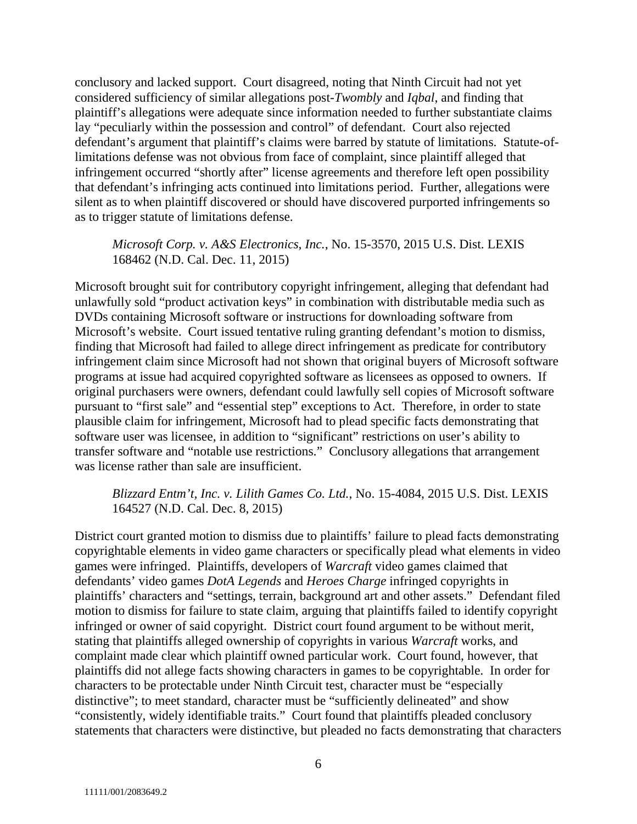conclusory and lacked support. Court disagreed, noting that Ninth Circuit had not yet considered sufficiency of similar allegations post-*Twombly* and *Iqbal*, and finding that plaintiff's allegations were adequate since information needed to further substantiate claims lay "peculiarly within the possession and control" of defendant. Court also rejected defendant's argument that plaintiff's claims were barred by statute of limitations. Statute-oflimitations defense was not obvious from face of complaint, since plaintiff alleged that infringement occurred "shortly after" license agreements and therefore left open possibility that defendant's infringing acts continued into limitations period. Further, allegations were silent as to when plaintiff discovered or should have discovered purported infringements so as to trigger statute of limitations defense.

#### *Microsoft Corp. v. A&S Electronics, Inc.*, No. 15-3570, 2015 U.S. Dist. LEXIS 168462 (N.D. Cal. Dec. 11, 2015)

Microsoft brought suit for contributory copyright infringement, alleging that defendant had unlawfully sold "product activation keys" in combination with distributable media such as DVDs containing Microsoft software or instructions for downloading software from Microsoft's website. Court issued tentative ruling granting defendant's motion to dismiss, finding that Microsoft had failed to allege direct infringement as predicate for contributory infringement claim since Microsoft had not shown that original buyers of Microsoft software programs at issue had acquired copyrighted software as licensees as opposed to owners. If original purchasers were owners, defendant could lawfully sell copies of Microsoft software pursuant to "first sale" and "essential step" exceptions to Act. Therefore, in order to state plausible claim for infringement, Microsoft had to plead specific facts demonstrating that software user was licensee, in addition to "significant" restrictions on user's ability to transfer software and "notable use restrictions." Conclusory allegations that arrangement was license rather than sale are insufficient.

# *Blizzard Entm't, Inc. v. Lilith Games Co. Ltd.*, No. 15-4084, 2015 U.S. Dist. LEXIS 164527 (N.D. Cal. Dec. 8, 2015)

District court granted motion to dismiss due to plaintiffs' failure to plead facts demonstrating copyrightable elements in video game characters or specifically plead what elements in video games were infringed. Plaintiffs, developers of *Warcraft* video games claimed that defendants' video games *DotA Legends* and *Heroes Charge* infringed copyrights in plaintiffs' characters and "settings, terrain, background art and other assets." Defendant filed motion to dismiss for failure to state claim, arguing that plaintiffs failed to identify copyright infringed or owner of said copyright. District court found argument to be without merit, stating that plaintiffs alleged ownership of copyrights in various *Warcraft* works, and complaint made clear which plaintiff owned particular work. Court found, however, that plaintiffs did not allege facts showing characters in games to be copyrightable. In order for characters to be protectable under Ninth Circuit test, character must be "especially distinctive"; to meet standard, character must be "sufficiently delineated" and show "consistently, widely identifiable traits." Court found that plaintiffs pleaded conclusory statements that characters were distinctive, but pleaded no facts demonstrating that characters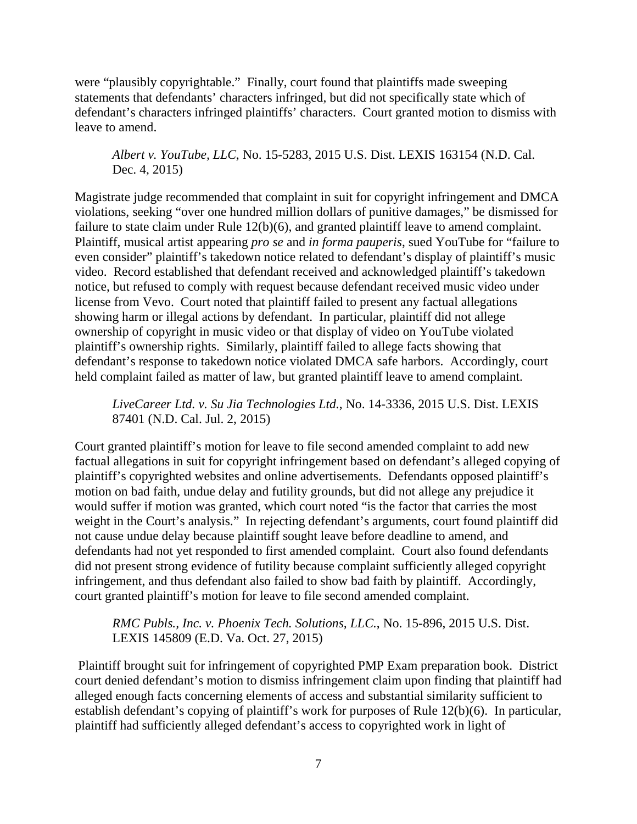were "plausibly copyrightable." Finally, court found that plaintiffs made sweeping statements that defendants' characters infringed, but did not specifically state which of defendant's characters infringed plaintiffs' characters. Court granted motion to dismiss with leave to amend.

# *Albert v. YouTube, LLC*, No. 15-5283, 2015 U.S. Dist. LEXIS 163154 (N.D. Cal. Dec. 4, 2015)

Magistrate judge recommended that complaint in suit for copyright infringement and DMCA violations, seeking "over one hundred million dollars of punitive damages," be dismissed for failure to state claim under Rule 12(b)(6), and granted plaintiff leave to amend complaint. Plaintiff, musical artist appearing *pro se* and *in forma pauperis*, sued YouTube for "failure to even consider" plaintiff's takedown notice related to defendant's display of plaintiff's music video. Record established that defendant received and acknowledged plaintiff's takedown notice, but refused to comply with request because defendant received music video under license from Vevo. Court noted that plaintiff failed to present any factual allegations showing harm or illegal actions by defendant. In particular, plaintiff did not allege ownership of copyright in music video or that display of video on YouTube violated plaintiff's ownership rights. Similarly, plaintiff failed to allege facts showing that defendant's response to takedown notice violated DMCA safe harbors. Accordingly, court held complaint failed as matter of law, but granted plaintiff leave to amend complaint.

*LiveCareer Ltd. v. Su Jia Technologies Ltd.*, No. 14-3336, 2015 U.S. Dist. LEXIS 87401 (N.D. Cal. Jul. 2, 2015)

Court granted plaintiff's motion for leave to file second amended complaint to add new factual allegations in suit for copyright infringement based on defendant's alleged copying of plaintiff's copyrighted websites and online advertisements. Defendants opposed plaintiff's motion on bad faith, undue delay and futility grounds, but did not allege any prejudice it would suffer if motion was granted, which court noted "is the factor that carries the most weight in the Court's analysis." In rejecting defendant's arguments, court found plaintiff did not cause undue delay because plaintiff sought leave before deadline to amend, and defendants had not yet responded to first amended complaint. Court also found defendants did not present strong evidence of futility because complaint sufficiently alleged copyright infringement, and thus defendant also failed to show bad faith by plaintiff. Accordingly, court granted plaintiff's motion for leave to file second amended complaint.

*RMC Publs., Inc. v. Phoenix Tech. Solutions, LLC.*, No. 15-896, 2015 U.S. Dist. LEXIS 145809 (E.D. Va. Oct. 27, 2015)

Plaintiff brought suit for infringement of copyrighted PMP Exam preparation book. District court denied defendant's motion to dismiss infringement claim upon finding that plaintiff had alleged enough facts concerning elements of access and substantial similarity sufficient to establish defendant's copying of plaintiff's work for purposes of Rule 12(b)(6). In particular, plaintiff had sufficiently alleged defendant's access to copyrighted work in light of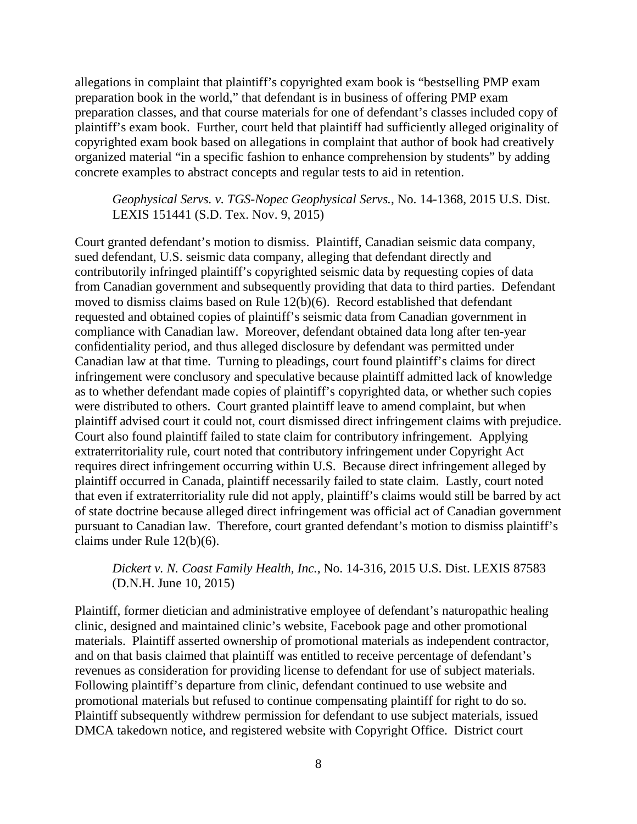allegations in complaint that plaintiff's copyrighted exam book is "bestselling PMP exam preparation book in the world," that defendant is in business of offering PMP exam preparation classes, and that course materials for one of defendant's classes included copy of plaintiff's exam book. Further, court held that plaintiff had sufficiently alleged originality of copyrighted exam book based on allegations in complaint that author of book had creatively organized material "in a specific fashion to enhance comprehension by students" by adding concrete examples to abstract concepts and regular tests to aid in retention.

*Geophysical Servs. v. TGS-Nopec Geophysical Servs.*, No. 14-1368, 2015 U.S. Dist. LEXIS 151441 (S.D. Tex. Nov. 9, 2015)

Court granted defendant's motion to dismiss. Plaintiff, Canadian seismic data company, sued defendant, U.S. seismic data company, alleging that defendant directly and contributorily infringed plaintiff's copyrighted seismic data by requesting copies of data from Canadian government and subsequently providing that data to third parties. Defendant moved to dismiss claims based on Rule 12(b)(6). Record established that defendant requested and obtained copies of plaintiff's seismic data from Canadian government in compliance with Canadian law. Moreover, defendant obtained data long after ten-year confidentiality period, and thus alleged disclosure by defendant was permitted under Canadian law at that time. Turning to pleadings, court found plaintiff's claims for direct infringement were conclusory and speculative because plaintiff admitted lack of knowledge as to whether defendant made copies of plaintiff's copyrighted data, or whether such copies were distributed to others. Court granted plaintiff leave to amend complaint, but when plaintiff advised court it could not, court dismissed direct infringement claims with prejudice. Court also found plaintiff failed to state claim for contributory infringement. Applying extraterritoriality rule, court noted that contributory infringement under Copyright Act requires direct infringement occurring within U.S. Because direct infringement alleged by plaintiff occurred in Canada, plaintiff necessarily failed to state claim. Lastly, court noted that even if extraterritoriality rule did not apply, plaintiff's claims would still be barred by act of state doctrine because alleged direct infringement was official act of Canadian government pursuant to Canadian law. Therefore, court granted defendant's motion to dismiss plaintiff's claims under Rule 12(b)(6).

# *Dickert v. N. Coast Family Health, Inc.*, No. 14-316, 2015 U.S. Dist. LEXIS 87583 (D.N.H. June 10, 2015)

Plaintiff, former dietician and administrative employee of defendant's naturopathic healing clinic, designed and maintained clinic's website, Facebook page and other promotional materials. Plaintiff asserted ownership of promotional materials as independent contractor, and on that basis claimed that plaintiff was entitled to receive percentage of defendant's revenues as consideration for providing license to defendant for use of subject materials. Following plaintiff's departure from clinic, defendant continued to use website and promotional materials but refused to continue compensating plaintiff for right to do so. Plaintiff subsequently withdrew permission for defendant to use subject materials, issued DMCA takedown notice, and registered website with Copyright Office. District court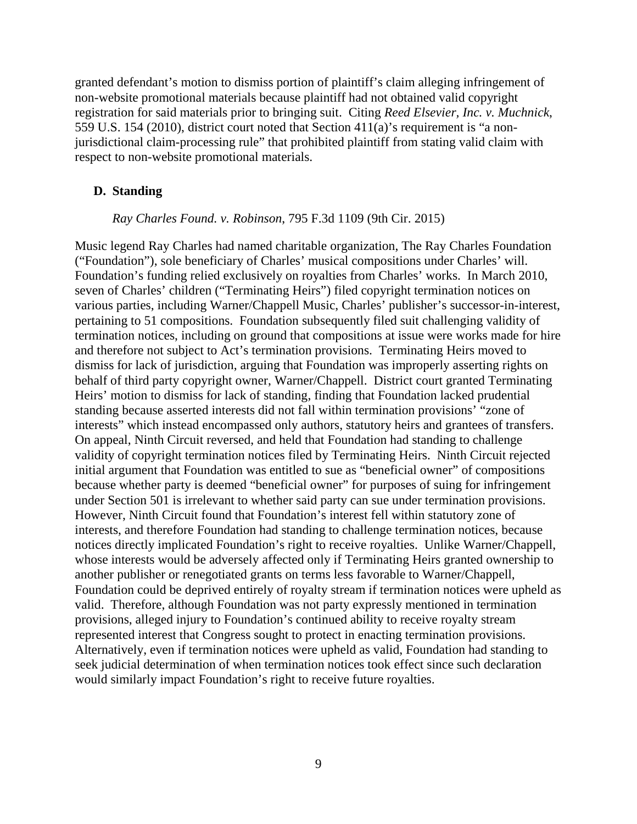granted defendant's motion to dismiss portion of plaintiff's claim alleging infringement of non-website promotional materials because plaintiff had not obtained valid copyright registration for said materials prior to bringing suit. Citing *Reed Elsevier, Inc. v. Muchnick*, 559 U.S. 154 (2010), district court noted that Section 411(a)'s requirement is "a nonjurisdictional claim-processing rule" that prohibited plaintiff from stating valid claim with respect to non-website promotional materials.

### <span id="page-20-0"></span>**D. Standing**

#### *Ray Charles Found. v. Robinson*, 795 F.3d 1109 (9th Cir. 2015)

Music legend Ray Charles had named charitable organization, The Ray Charles Foundation ("Foundation"), sole beneficiary of Charles' musical compositions under Charles' will. Foundation's funding relied exclusively on royalties from Charles' works. In March 2010, seven of Charles' children ("Terminating Heirs") filed copyright termination notices on various parties, including Warner/Chappell Music, Charles' publisher's successor-in-interest, pertaining to 51 compositions. Foundation subsequently filed suit challenging validity of termination notices, including on ground that compositions at issue were works made for hire and therefore not subject to Act's termination provisions. Terminating Heirs moved to dismiss for lack of jurisdiction, arguing that Foundation was improperly asserting rights on behalf of third party copyright owner, Warner/Chappell. District court granted Terminating Heirs' motion to dismiss for lack of standing, finding that Foundation lacked prudential standing because asserted interests did not fall within termination provisions' "zone of interests" which instead encompassed only authors, statutory heirs and grantees of transfers. On appeal, Ninth Circuit reversed, and held that Foundation had standing to challenge validity of copyright termination notices filed by Terminating Heirs. Ninth Circuit rejected initial argument that Foundation was entitled to sue as "beneficial owner" of compositions because whether party is deemed "beneficial owner" for purposes of suing for infringement under Section 501 is irrelevant to whether said party can sue under termination provisions. However, Ninth Circuit found that Foundation's interest fell within statutory zone of interests, and therefore Foundation had standing to challenge termination notices, because notices directly implicated Foundation's right to receive royalties. Unlike Warner/Chappell, whose interests would be adversely affected only if Terminating Heirs granted ownership to another publisher or renegotiated grants on terms less favorable to Warner/Chappell, Foundation could be deprived entirely of royalty stream if termination notices were upheld as valid. Therefore, although Foundation was not party expressly mentioned in termination provisions, alleged injury to Foundation's continued ability to receive royalty stream represented interest that Congress sought to protect in enacting termination provisions. Alternatively, even if termination notices were upheld as valid, Foundation had standing to seek judicial determination of when termination notices took effect since such declaration would similarly impact Foundation's right to receive future royalties.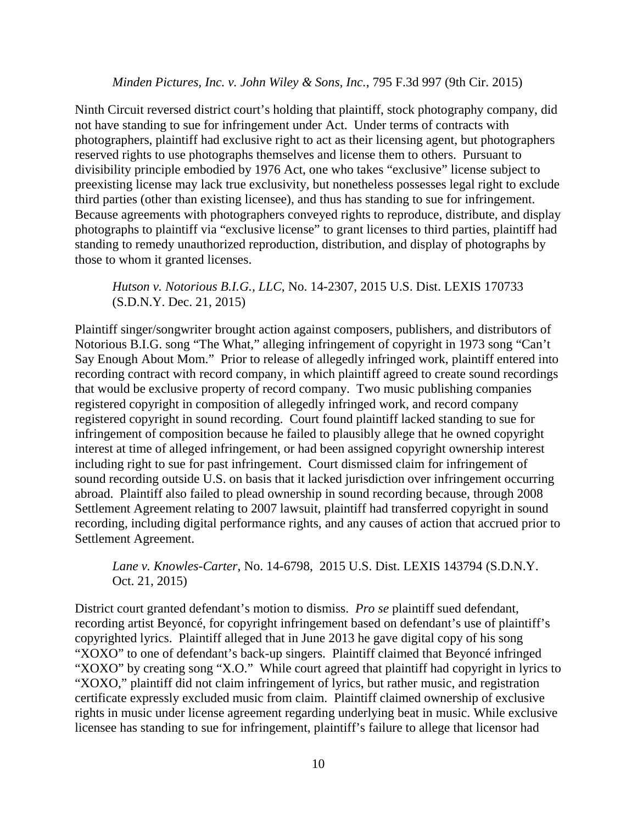#### *Minden Pictures, Inc. v. John Wiley & Sons, Inc.*, 795 F.3d 997 (9th Cir. 2015)

Ninth Circuit reversed district court's holding that plaintiff, stock photography company, did not have standing to sue for infringement under Act. Under terms of contracts with photographers, plaintiff had exclusive right to act as their licensing agent, but photographers reserved rights to use photographs themselves and license them to others. Pursuant to divisibility principle embodied by 1976 Act, one who takes "exclusive" license subject to preexisting license may lack true exclusivity, but nonetheless possesses legal right to exclude third parties (other than existing licensee), and thus has standing to sue for infringement. Because agreements with photographers conveyed rights to reproduce, distribute, and display photographs to plaintiff via "exclusive license" to grant licenses to third parties, plaintiff had standing to remedy unauthorized reproduction, distribution, and display of photographs by those to whom it granted licenses.

# *Hutson v. Notorious B.I.G., LLC*, No. 14-2307, 2015 U.S. Dist. LEXIS 170733 (S.D.N.Y. Dec. 21, 2015)

Plaintiff singer/songwriter brought action against composers, publishers, and distributors of Notorious B.I.G. song "The What," alleging infringement of copyright in 1973 song "Can't Say Enough About Mom." Prior to release of allegedly infringed work, plaintiff entered into recording contract with record company, in which plaintiff agreed to create sound recordings that would be exclusive property of record company. Two music publishing companies registered copyright in composition of allegedly infringed work, and record company registered copyright in sound recording. Court found plaintiff lacked standing to sue for infringement of composition because he failed to plausibly allege that he owned copyright interest at time of alleged infringement, or had been assigned copyright ownership interest including right to sue for past infringement. Court dismissed claim for infringement of sound recording outside U.S. on basis that it lacked jurisdiction over infringement occurring abroad. Plaintiff also failed to plead ownership in sound recording because, through 2008 Settlement Agreement relating to 2007 lawsuit, plaintiff had transferred copyright in sound recording, including digital performance rights, and any causes of action that accrued prior to Settlement Agreement.

*Lane v. Knowles-Carter*, No. 14-6798, 2015 U.S. Dist. LEXIS 143794 (S.D.N.Y. Oct. 21, 2015)

District court granted defendant's motion to dismiss. *Pro se* plaintiff sued defendant, recording artist Beyoncé, for copyright infringement based on defendant's use of plaintiff's copyrighted lyrics. Plaintiff alleged that in June 2013 he gave digital copy of his song "XOXO" to one of defendant's back-up singers. Plaintiff claimed that Beyoncé infringed "XOXO" by creating song "X.O." While court agreed that plaintiff had copyright in lyrics to "XOXO," plaintiff did not claim infringement of lyrics, but rather music, and registration certificate expressly excluded music from claim. Plaintiff claimed ownership of exclusive rights in music under license agreement regarding underlying beat in music. While exclusive licensee has standing to sue for infringement, plaintiff's failure to allege that licensor had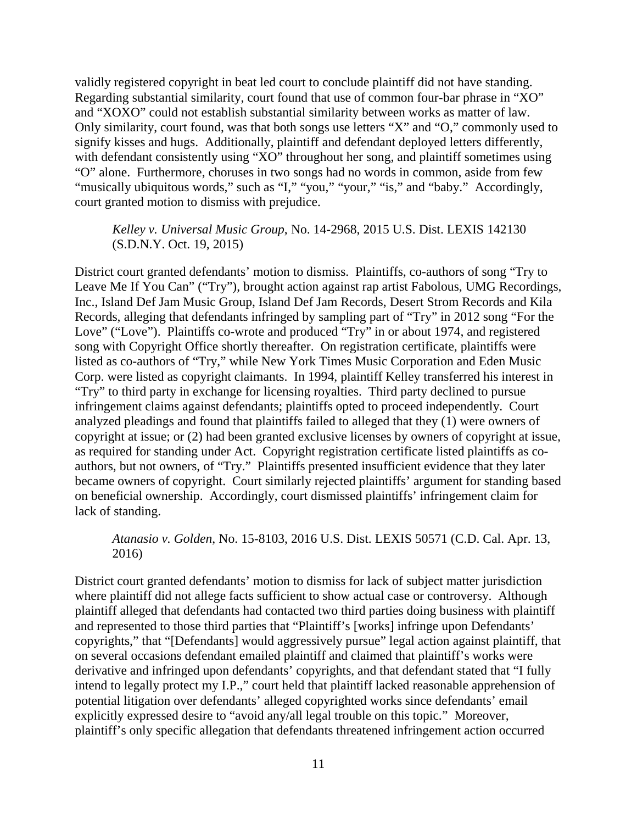validly registered copyright in beat led court to conclude plaintiff did not have standing. Regarding substantial similarity, court found that use of common four-bar phrase in "XO" and "XOXO" could not establish substantial similarity between works as matter of law. Only similarity, court found, was that both songs use letters "X" and "O," commonly used to signify kisses and hugs. Additionally, plaintiff and defendant deployed letters differently, with defendant consistently using "XO" throughout her song, and plaintiff sometimes using "O" alone. Furthermore, choruses in two songs had no words in common, aside from few "musically ubiquitous words," such as "I," "you," "your," "is," and "baby." Accordingly, court granted motion to dismiss with prejudice.

### *Kelley v. Universal Music Group*, No. 14-2968, 2015 U.S. Dist. LEXIS 142130 (S.D.N.Y. Oct. 19, 2015)

District court granted defendants' motion to dismiss. Plaintiffs, co-authors of song "Try to Leave Me If You Can" ("Try"), brought action against rap artist Fabolous, UMG Recordings, Inc., Island Def Jam Music Group, Island Def Jam Records, Desert Strom Records and Kila Records, alleging that defendants infringed by sampling part of "Try" in 2012 song "For the Love" ("Love"). Plaintiffs co-wrote and produced "Try" in or about 1974, and registered song with Copyright Office shortly thereafter. On registration certificate, plaintiffs were listed as co-authors of "Try," while New York Times Music Corporation and Eden Music Corp. were listed as copyright claimants. In 1994, plaintiff Kelley transferred his interest in "Try" to third party in exchange for licensing royalties. Third party declined to pursue infringement claims against defendants; plaintiffs opted to proceed independently. Court analyzed pleadings and found that plaintiffs failed to alleged that they (1) were owners of copyright at issue; or (2) had been granted exclusive licenses by owners of copyright at issue, as required for standing under Act. Copyright registration certificate listed plaintiffs as coauthors, but not owners, of "Try." Plaintiffs presented insufficient evidence that they later became owners of copyright. Court similarly rejected plaintiffs' argument for standing based on beneficial ownership. Accordingly, court dismissed plaintiffs' infringement claim for lack of standing.

*Atanasio v. Golden*, No. 15-8103, 2016 U.S. Dist. LEXIS 50571 (C.D. Cal. Apr. 13, 2016)

District court granted defendants' motion to dismiss for lack of subject matter jurisdiction where plaintiff did not allege facts sufficient to show actual case or controversy. Although plaintiff alleged that defendants had contacted two third parties doing business with plaintiff and represented to those third parties that "Plaintiff's [works] infringe upon Defendants' copyrights," that "[Defendants] would aggressively pursue" legal action against plaintiff, that on several occasions defendant emailed plaintiff and claimed that plaintiff's works were derivative and infringed upon defendants' copyrights, and that defendant stated that "I fully intend to legally protect my I.P.," court held that plaintiff lacked reasonable apprehension of potential litigation over defendants' alleged copyrighted works since defendants' email explicitly expressed desire to "avoid any/all legal trouble on this topic." Moreover, plaintiff's only specific allegation that defendants threatened infringement action occurred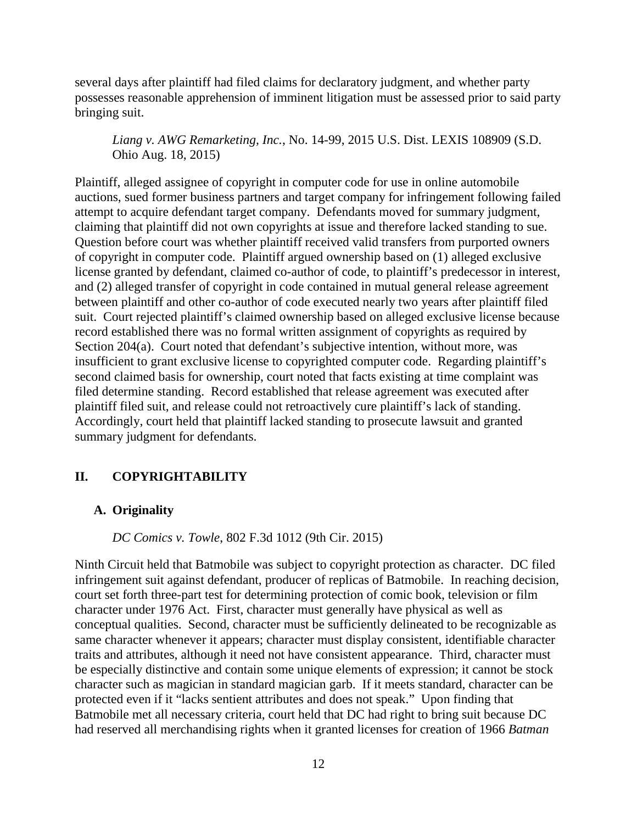several days after plaintiff had filed claims for declaratory judgment, and whether party possesses reasonable apprehension of imminent litigation must be assessed prior to said party bringing suit.

*Liang v. AWG Remarketing, Inc.*, No. 14-99, 2015 U.S. Dist. LEXIS 108909 (S.D. Ohio Aug. 18, 2015)

Plaintiff, alleged assignee of copyright in computer code for use in online automobile auctions, sued former business partners and target company for infringement following failed attempt to acquire defendant target company. Defendants moved for summary judgment, claiming that plaintiff did not own copyrights at issue and therefore lacked standing to sue. Question before court was whether plaintiff received valid transfers from purported owners of copyright in computer code. Plaintiff argued ownership based on (1) alleged exclusive license granted by defendant, claimed co-author of code, to plaintiff's predecessor in interest, and (2) alleged transfer of copyright in code contained in mutual general release agreement between plaintiff and other co-author of code executed nearly two years after plaintiff filed suit. Court rejected plaintiff's claimed ownership based on alleged exclusive license because record established there was no formal written assignment of copyrights as required by Section 204(a). Court noted that defendant's subjective intention, without more, was insufficient to grant exclusive license to copyrighted computer code. Regarding plaintiff's second claimed basis for ownership, court noted that facts existing at time complaint was filed determine standing. Record established that release agreement was executed after plaintiff filed suit, and release could not retroactively cure plaintiff's lack of standing. Accordingly, court held that plaintiff lacked standing to prosecute lawsuit and granted summary judgment for defendants.

# <span id="page-23-0"></span>**II. COPYRIGHTABILITY**

#### <span id="page-23-1"></span>**A. Originality**

*DC Comics v. Towle*, 802 F.3d 1012 (9th Cir. 2015)

Ninth Circuit held that Batmobile was subject to copyright protection as character. DC filed infringement suit against defendant, producer of replicas of Batmobile. In reaching decision, court set forth three-part test for determining protection of comic book, television or film character under 1976 Act. First, character must generally have physical as well as conceptual qualities. Second, character must be sufficiently delineated to be recognizable as same character whenever it appears; character must display consistent, identifiable character traits and attributes, although it need not have consistent appearance. Third, character must be especially distinctive and contain some unique elements of expression; it cannot be stock character such as magician in standard magician garb. If it meets standard, character can be protected even if it "lacks sentient attributes and does not speak." Upon finding that Batmobile met all necessary criteria, court held that DC had right to bring suit because DC had reserved all merchandising rights when it granted licenses for creation of 1966 *Batman*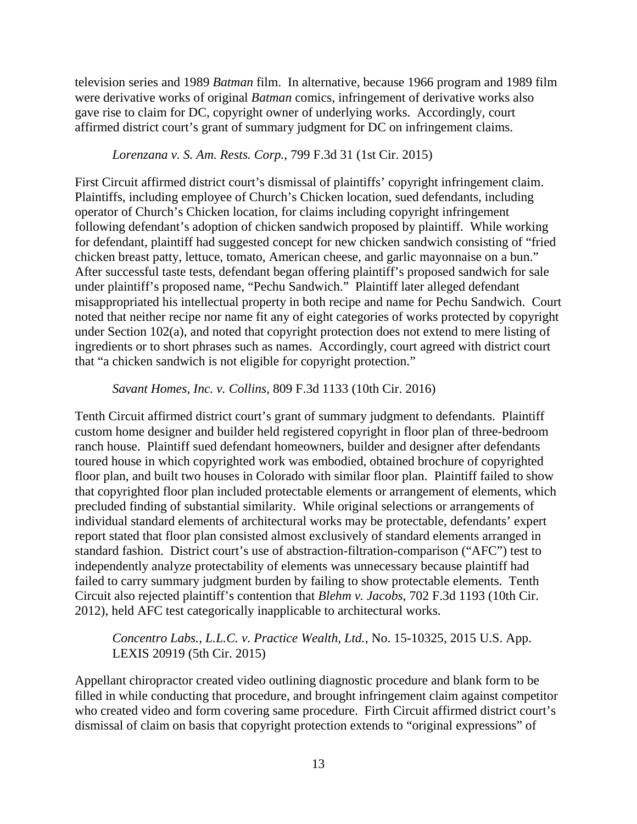television series and 1989 *Batman* film. In alternative, because 1966 program and 1989 film were derivative works of original *Batman* comics, infringement of derivative works also gave rise to claim for DC, copyright owner of underlying works. Accordingly, court affirmed district court's grant of summary judgment for DC on infringement claims.

# *Lorenzana v. S. Am. Rests. Corp.*, 799 F.3d 31 (1st Cir. 2015)

First Circuit affirmed district court's dismissal of plaintiffs' copyright infringement claim. Plaintiffs, including employee of Church's Chicken location, sued defendants, including operator of Church's Chicken location, for claims including copyright infringement following defendant's adoption of chicken sandwich proposed by plaintiff. While working for defendant, plaintiff had suggested concept for new chicken sandwich consisting of "fried chicken breast patty, lettuce, tomato, American cheese, and garlic mayonnaise on a bun." After successful taste tests, defendant began offering plaintiff's proposed sandwich for sale under plaintiff's proposed name, "Pechu Sandwich." Plaintiff later alleged defendant misappropriated his intellectual property in both recipe and name for Pechu Sandwich. Court noted that neither recipe nor name fit any of eight categories of works protected by copyright under Section 102(a), and noted that copyright protection does not extend to mere listing of ingredients or to short phrases such as names. Accordingly, court agreed with district court that "a chicken sandwich is not eligible for copyright protection."

#### *Savant Homes, Inc. v. Collins*, 809 F.3d 1133 (10th Cir. 2016)

Tenth Circuit affirmed district court's grant of summary judgment to defendants. Plaintiff custom home designer and builder held registered copyright in floor plan of three-bedroom ranch house. Plaintiff sued defendant homeowners, builder and designer after defendants toured house in which copyrighted work was embodied, obtained brochure of copyrighted floor plan, and built two houses in Colorado with similar floor plan. Plaintiff failed to show that copyrighted floor plan included protectable elements or arrangement of elements, which precluded finding of substantial similarity. While original selections or arrangements of individual standard elements of architectural works may be protectable, defendants' expert report stated that floor plan consisted almost exclusively of standard elements arranged in standard fashion. District court's use of abstraction-filtration-comparison ("AFC") test to independently analyze protectability of elements was unnecessary because plaintiff had failed to carry summary judgment burden by failing to show protectable elements. Tenth Circuit also rejected plaintiff's contention that *Blehm v. Jacobs*, 702 F.3d 1193 (10th Cir. 2012), held AFC test categorically inapplicable to architectural works.

## *Concentro Labs., L.L.C. v. Practice Wealth, Ltd.*, No. 15-10325, 2015 U.S. App. LEXIS 20919 (5th Cir. 2015)

Appellant chiropractor created video outlining diagnostic procedure and blank form to be filled in while conducting that procedure, and brought infringement claim against competitor who created video and form covering same procedure. Firth Circuit affirmed district court's dismissal of claim on basis that copyright protection extends to "original expressions" of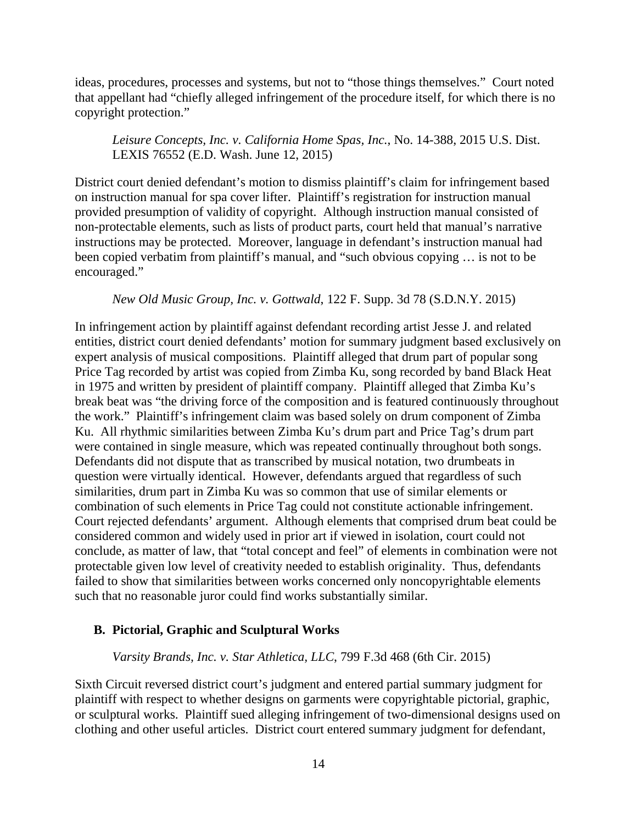ideas, procedures, processes and systems, but not to "those things themselves." Court noted that appellant had "chiefly alleged infringement of the procedure itself, for which there is no copyright protection."

*Leisure Concepts, Inc. v. California Home Spas, Inc.*, No. 14-388, 2015 U.S. Dist. LEXIS 76552 (E.D. Wash. June 12, 2015)

District court denied defendant's motion to dismiss plaintiff's claim for infringement based on instruction manual for spa cover lifter. Plaintiff's registration for instruction manual provided presumption of validity of copyright. Although instruction manual consisted of non-protectable elements, such as lists of product parts, court held that manual's narrative instructions may be protected. Moreover, language in defendant's instruction manual had been copied verbatim from plaintiff's manual, and "such obvious copying … is not to be encouraged."

*New Old Music Group, Inc. v. Gottwald*, 122 F. Supp. 3d 78 (S.D.N.Y. 2015)

In infringement action by plaintiff against defendant recording artist Jesse J. and related entities, district court denied defendants' motion for summary judgment based exclusively on expert analysis of musical compositions. Plaintiff alleged that drum part of popular song Price Tag recorded by artist was copied from Zimba Ku, song recorded by band Black Heat in 1975 and written by president of plaintiff company. Plaintiff alleged that Zimba Ku's break beat was "the driving force of the composition and is featured continuously throughout the work." Plaintiff's infringement claim was based solely on drum component of Zimba Ku. All rhythmic similarities between Zimba Ku's drum part and Price Tag's drum part were contained in single measure, which was repeated continually throughout both songs. Defendants did not dispute that as transcribed by musical notation, two drumbeats in question were virtually identical. However, defendants argued that regardless of such similarities, drum part in Zimba Ku was so common that use of similar elements or combination of such elements in Price Tag could not constitute actionable infringement. Court rejected defendants' argument. Although elements that comprised drum beat could be considered common and widely used in prior art if viewed in isolation, court could not conclude, as matter of law, that "total concept and feel" of elements in combination were not protectable given low level of creativity needed to establish originality. Thus, defendants failed to show that similarities between works concerned only noncopyrightable elements such that no reasonable juror could find works substantially similar.

#### <span id="page-25-0"></span>**B. Pictorial, Graphic and Sculptural Works**

#### *Varsity Brands, Inc. v. Star Athletica, LLC*, 799 F.3d 468 (6th Cir. 2015)

Sixth Circuit reversed district court's judgment and entered partial summary judgment for plaintiff with respect to whether designs on garments were copyrightable pictorial, graphic, or sculptural works. Plaintiff sued alleging infringement of two-dimensional designs used on clothing and other useful articles. District court entered summary judgment for defendant,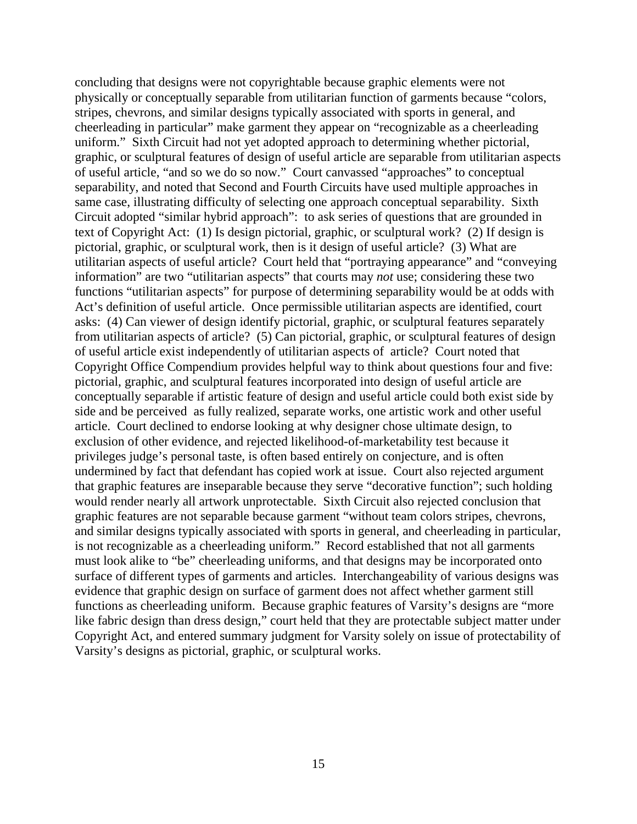concluding that designs were not copyrightable because graphic elements were not physically or conceptually separable from utilitarian function of garments because "colors, stripes, chevrons, and similar designs typically associated with sports in general, and cheerleading in particular" make garment they appear on "recognizable as a cheerleading uniform." Sixth Circuit had not yet adopted approach to determining whether pictorial, graphic, or sculptural features of design of useful article are separable from utilitarian aspects of useful article, "and so we do so now." Court canvassed "approaches" to conceptual separability, and noted that Second and Fourth Circuits have used multiple approaches in same case, illustrating difficulty of selecting one approach conceptual separability. Sixth Circuit adopted "similar hybrid approach": to ask series of questions that are grounded in text of Copyright Act: (1) Is design pictorial, graphic, or sculptural work? (2) If design is pictorial, graphic, or sculptural work, then is it design of useful article? (3) What are utilitarian aspects of useful article? Court held that "portraying appearance" and "conveying information" are two "utilitarian aspects" that courts may *not* use; considering these two functions "utilitarian aspects" for purpose of determining separability would be at odds with Act's definition of useful article. Once permissible utilitarian aspects are identified, court asks: (4) Can viewer of design identify pictorial, graphic, or sculptural features separately from utilitarian aspects of article? (5) Can pictorial, graphic, or sculptural features of design of useful article exist independently of utilitarian aspects of article? Court noted that Copyright Office Compendium provides helpful way to think about questions four and five: pictorial, graphic, and sculptural features incorporated into design of useful article are conceptually separable if artistic feature of design and useful article could both exist side by side and be perceived as fully realized, separate works, one artistic work and other useful article. Court declined to endorse looking at why designer chose ultimate design, to exclusion of other evidence, and rejected likelihood-of-marketability test because it privileges judge's personal taste, is often based entirely on conjecture, and is often undermined by fact that defendant has copied work at issue. Court also rejected argument that graphic features are inseparable because they serve "decorative function"; such holding would render nearly all artwork unprotectable. Sixth Circuit also rejected conclusion that graphic features are not separable because garment "without team colors stripes, chevrons, and similar designs typically associated with sports in general, and cheerleading in particular, is not recognizable as a cheerleading uniform." Record established that not all garments must look alike to "be" cheerleading uniforms, and that designs may be incorporated onto surface of different types of garments and articles. Interchangeability of various designs was evidence that graphic design on surface of garment does not affect whether garment still functions as cheerleading uniform. Because graphic features of Varsity's designs are "more like fabric design than dress design," court held that they are protectable subject matter under Copyright Act, and entered summary judgment for Varsity solely on issue of protectability of Varsity's designs as pictorial, graphic, or sculptural works.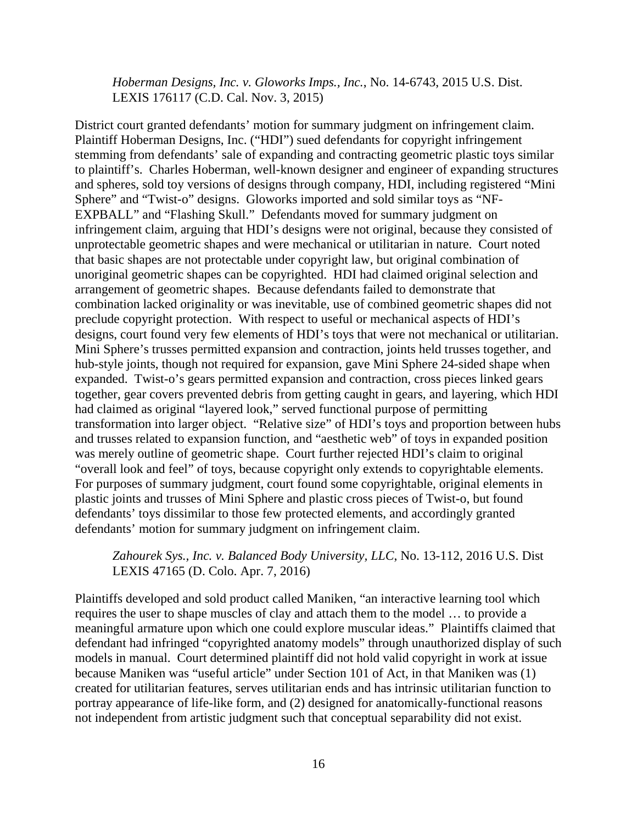*Hoberman Designs, Inc. v. Gloworks Imps., Inc.*, No. 14-6743, 2015 U.S. Dist. LEXIS 176117 (C.D. Cal. Nov. 3, 2015)

District court granted defendants' motion for summary judgment on infringement claim. Plaintiff Hoberman Designs, Inc. ("HDI") sued defendants for copyright infringement stemming from defendants' sale of expanding and contracting geometric plastic toys similar to plaintiff's. Charles Hoberman, well-known designer and engineer of expanding structures and spheres, sold toy versions of designs through company, HDI, including registered "Mini Sphere" and "Twist-o" designs. Gloworks imported and sold similar toys as "NF-EXPBALL" and "Flashing Skull." Defendants moved for summary judgment on infringement claim, arguing that HDI's designs were not original, because they consisted of unprotectable geometric shapes and were mechanical or utilitarian in nature. Court noted that basic shapes are not protectable under copyright law, but original combination of unoriginal geometric shapes can be copyrighted. HDI had claimed original selection and arrangement of geometric shapes. Because defendants failed to demonstrate that combination lacked originality or was inevitable, use of combined geometric shapes did not preclude copyright protection. With respect to useful or mechanical aspects of HDI's designs, court found very few elements of HDI's toys that were not mechanical or utilitarian. Mini Sphere's trusses permitted expansion and contraction, joints held trusses together, and hub-style joints, though not required for expansion, gave Mini Sphere 24-sided shape when expanded. Twist-o's gears permitted expansion and contraction, cross pieces linked gears together, gear covers prevented debris from getting caught in gears, and layering, which HDI had claimed as original "layered look," served functional purpose of permitting transformation into larger object. "Relative size" of HDI's toys and proportion between hubs and trusses related to expansion function, and "aesthetic web" of toys in expanded position was merely outline of geometric shape. Court further rejected HDI's claim to original "overall look and feel" of toys, because copyright only extends to copyrightable elements. For purposes of summary judgment, court found some copyrightable, original elements in plastic joints and trusses of Mini Sphere and plastic cross pieces of Twist-o, but found defendants' toys dissimilar to those few protected elements, and accordingly granted defendants' motion for summary judgment on infringement claim.

# *Zahourek Sys., Inc. v. Balanced Body University, LLC*, No. 13-112, 2016 U.S. Dist LEXIS 47165 (D. Colo. Apr. 7, 2016)

Plaintiffs developed and sold product called Maniken, "an interactive learning tool which requires the user to shape muscles of clay and attach them to the model … to provide a meaningful armature upon which one could explore muscular ideas." Plaintiffs claimed that defendant had infringed "copyrighted anatomy models" through unauthorized display of such models in manual. Court determined plaintiff did not hold valid copyright in work at issue because Maniken was "useful article" under Section 101 of Act, in that Maniken was (1) created for utilitarian features, serves utilitarian ends and has intrinsic utilitarian function to portray appearance of life-like form, and (2) designed for anatomically-functional reasons not independent from artistic judgment such that conceptual separability did not exist.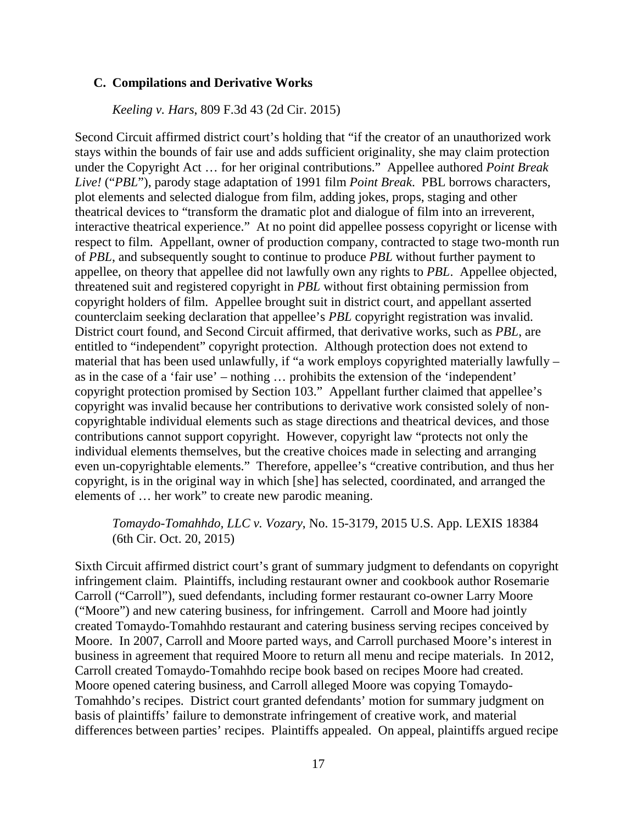#### <span id="page-28-0"></span>**C. Compilations and Derivative Works**

*Keeling v. Hars*, 809 F.3d 43 (2d Cir. 2015)

Second Circuit affirmed district court's holding that "if the creator of an unauthorized work stays within the bounds of fair use and adds sufficient originality, she may claim protection under the Copyright Act … for her original contributions." Appellee authored *Point Break Live!* ("*PBL*"), parody stage adaptation of 1991 film *Point Break*. PBL borrows characters, plot elements and selected dialogue from film, adding jokes, props, staging and other theatrical devices to "transform the dramatic plot and dialogue of film into an irreverent, interactive theatrical experience." At no point did appellee possess copyright or license with respect to film. Appellant, owner of production company, contracted to stage two-month run of *PBL*, and subsequently sought to continue to produce *PBL* without further payment to appellee, on theory that appellee did not lawfully own any rights to *PBL*. Appellee objected, threatened suit and registered copyright in *PBL* without first obtaining permission from copyright holders of film. Appellee brought suit in district court, and appellant asserted counterclaim seeking declaration that appellee's *PBL* copyright registration was invalid. District court found, and Second Circuit affirmed, that derivative works, such as *PBL*, are entitled to "independent" copyright protection. Although protection does not extend to material that has been used unlawfully, if "a work employs copyrighted materially lawfully – as in the case of a 'fair use' – nothing … prohibits the extension of the 'independent' copyright protection promised by Section 103." Appellant further claimed that appellee's copyright was invalid because her contributions to derivative work consisted solely of noncopyrightable individual elements such as stage directions and theatrical devices, and those contributions cannot support copyright. However, copyright law "protects not only the individual elements themselves, but the creative choices made in selecting and arranging even un-copyrightable elements." Therefore, appellee's "creative contribution, and thus her copyright, is in the original way in which [she] has selected, coordinated, and arranged the elements of … her work" to create new parodic meaning.

*Tomaydo-Tomahhdo, LLC v. Vozary*, No. 15-3179, 2015 U.S. App. LEXIS 18384 (6th Cir. Oct. 20, 2015)

Sixth Circuit affirmed district court's grant of summary judgment to defendants on copyright infringement claim. Plaintiffs, including restaurant owner and cookbook author Rosemarie Carroll ("Carroll"), sued defendants, including former restaurant co-owner Larry Moore ("Moore") and new catering business, for infringement. Carroll and Moore had jointly created Tomaydo-Tomahhdo restaurant and catering business serving recipes conceived by Moore. In 2007, Carroll and Moore parted ways, and Carroll purchased Moore's interest in business in agreement that required Moore to return all menu and recipe materials. In 2012, Carroll created Tomaydo-Tomahhdo recipe book based on recipes Moore had created. Moore opened catering business, and Carroll alleged Moore was copying Tomaydo-Tomahhdo's recipes. District court granted defendants' motion for summary judgment on basis of plaintiffs' failure to demonstrate infringement of creative work, and material differences between parties' recipes. Plaintiffs appealed. On appeal, plaintiffs argued recipe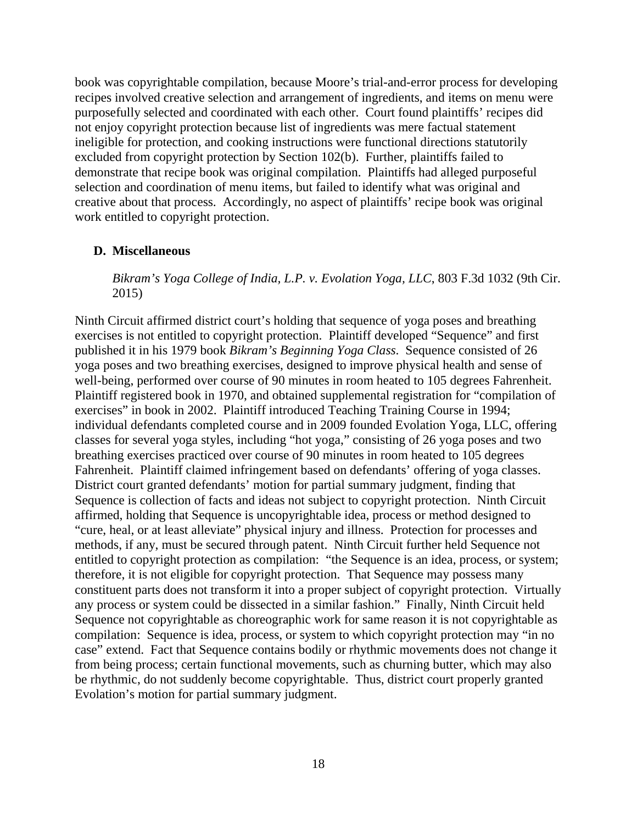book was copyrightable compilation, because Moore's trial-and-error process for developing recipes involved creative selection and arrangement of ingredients, and items on menu were purposefully selected and coordinated with each other. Court found plaintiffs' recipes did not enjoy copyright protection because list of ingredients was mere factual statement ineligible for protection, and cooking instructions were functional directions statutorily excluded from copyright protection by Section 102(b). Further, plaintiffs failed to demonstrate that recipe book was original compilation. Plaintiffs had alleged purposeful selection and coordination of menu items, but failed to identify what was original and creative about that process. Accordingly, no aspect of plaintiffs' recipe book was original work entitled to copyright protection.

#### <span id="page-29-0"></span>**D. Miscellaneous**

*Bikram's Yoga College of India, L.P. v. Evolation Yoga, LLC*, 803 F.3d 1032 (9th Cir. 2015)

Ninth Circuit affirmed district court's holding that sequence of yoga poses and breathing exercises is not entitled to copyright protection. Plaintiff developed "Sequence" and first published it in his 1979 book *Bikram's Beginning Yoga Class*. Sequence consisted of 26 yoga poses and two breathing exercises, designed to improve physical health and sense of well-being, performed over course of 90 minutes in room heated to 105 degrees Fahrenheit. Plaintiff registered book in 1970, and obtained supplemental registration for "compilation of exercises" in book in 2002. Plaintiff introduced Teaching Training Course in 1994; individual defendants completed course and in 2009 founded Evolation Yoga, LLC, offering classes for several yoga styles, including "hot yoga," consisting of 26 yoga poses and two breathing exercises practiced over course of 90 minutes in room heated to 105 degrees Fahrenheit. Plaintiff claimed infringement based on defendants' offering of yoga classes. District court granted defendants' motion for partial summary judgment, finding that Sequence is collection of facts and ideas not subject to copyright protection. Ninth Circuit affirmed, holding that Sequence is uncopyrightable idea, process or method designed to "cure, heal, or at least alleviate" physical injury and illness. Protection for processes and methods, if any, must be secured through patent. Ninth Circuit further held Sequence not entitled to copyright protection as compilation: "the Sequence is an idea, process, or system; therefore, it is not eligible for copyright protection. That Sequence may possess many constituent parts does not transform it into a proper subject of copyright protection. Virtually any process or system could be dissected in a similar fashion." Finally, Ninth Circuit held Sequence not copyrightable as choreographic work for same reason it is not copyrightable as compilation: Sequence is idea, process, or system to which copyright protection may "in no case" extend. Fact that Sequence contains bodily or rhythmic movements does not change it from being process; certain functional movements, such as churning butter, which may also be rhythmic, do not suddenly become copyrightable. Thus, district court properly granted Evolation's motion for partial summary judgment.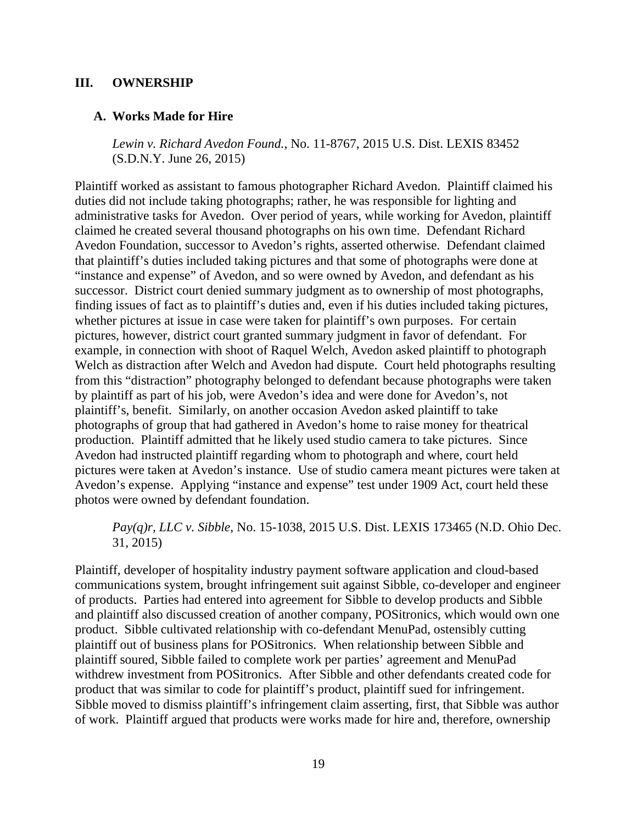#### <span id="page-30-0"></span>**III. OWNERSHIP**

#### <span id="page-30-1"></span>**A. Works Made for Hire**

*Lewin v. Richard Avedon Found.*, No. 11-8767, 2015 U.S. Dist. LEXIS 83452 (S.D.N.Y. June 26, 2015)

Plaintiff worked as assistant to famous photographer Richard Avedon. Plaintiff claimed his duties did not include taking photographs; rather, he was responsible for lighting and administrative tasks for Avedon. Over period of years, while working for Avedon, plaintiff claimed he created several thousand photographs on his own time. Defendant Richard Avedon Foundation, successor to Avedon's rights, asserted otherwise. Defendant claimed that plaintiff's duties included taking pictures and that some of photographs were done at "instance and expense" of Avedon, and so were owned by Avedon, and defendant as his successor. District court denied summary judgment as to ownership of most photographs, finding issues of fact as to plaintiff's duties and, even if his duties included taking pictures, whether pictures at issue in case were taken for plaintiff's own purposes. For certain pictures, however, district court granted summary judgment in favor of defendant. For example, in connection with shoot of Raquel Welch, Avedon asked plaintiff to photograph Welch as distraction after Welch and Avedon had dispute. Court held photographs resulting from this "distraction" photography belonged to defendant because photographs were taken by plaintiff as part of his job, were Avedon's idea and were done for Avedon's, not plaintiff's, benefit. Similarly, on another occasion Avedon asked plaintiff to take photographs of group that had gathered in Avedon's home to raise money for theatrical production. Plaintiff admitted that he likely used studio camera to take pictures. Since Avedon had instructed plaintiff regarding whom to photograph and where, court held pictures were taken at Avedon's instance. Use of studio camera meant pictures were taken at Avedon's expense. Applying "instance and expense" test under 1909 Act, court held these photos were owned by defendant foundation.

*Pay(q)r, LLC v. Sibble*, No. 15-1038, 2015 U.S. Dist. LEXIS 173465 (N.D. Ohio Dec. 31, 2015)

Plaintiff, developer of hospitality industry payment software application and cloud-based communications system, brought infringement suit against Sibble, co-developer and engineer of products. Parties had entered into agreement for Sibble to develop products and Sibble and plaintiff also discussed creation of another company, POSitronics, which would own one product. Sibble cultivated relationship with co-defendant MenuPad, ostensibly cutting plaintiff out of business plans for POSitronics. When relationship between Sibble and plaintiff soured, Sibble failed to complete work per parties' agreement and MenuPad withdrew investment from POSitronics. After Sibble and other defendants created code for product that was similar to code for plaintiff's product, plaintiff sued for infringement. Sibble moved to dismiss plaintiff's infringement claim asserting, first, that Sibble was author of work. Plaintiff argued that products were works made for hire and, therefore, ownership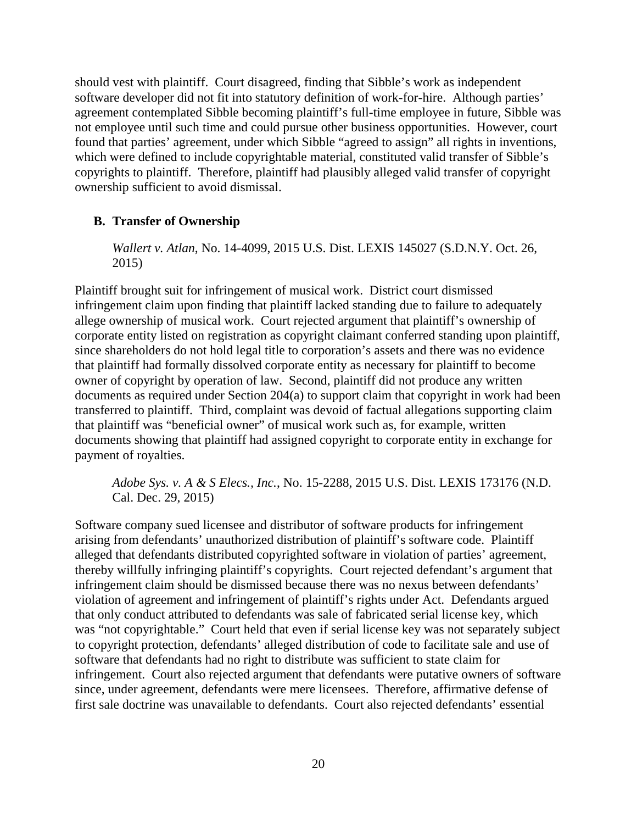should vest with plaintiff. Court disagreed, finding that Sibble's work as independent software developer did not fit into statutory definition of work-for-hire. Although parties' agreement contemplated Sibble becoming plaintiff's full-time employee in future, Sibble was not employee until such time and could pursue other business opportunities. However, court found that parties' agreement, under which Sibble "agreed to assign" all rights in inventions, which were defined to include copyrightable material, constituted valid transfer of Sibble's copyrights to plaintiff. Therefore, plaintiff had plausibly alleged valid transfer of copyright ownership sufficient to avoid dismissal.

# <span id="page-31-0"></span>**B. Transfer of Ownership**

*Wallert v. Atlan*, No. 14-4099, 2015 U.S. Dist. LEXIS 145027 (S.D.N.Y. Oct. 26, 2015)

Plaintiff brought suit for infringement of musical work. District court dismissed infringement claim upon finding that plaintiff lacked standing due to failure to adequately allege ownership of musical work. Court rejected argument that plaintiff's ownership of corporate entity listed on registration as copyright claimant conferred standing upon plaintiff, since shareholders do not hold legal title to corporation's assets and there was no evidence that plaintiff had formally dissolved corporate entity as necessary for plaintiff to become owner of copyright by operation of law. Second, plaintiff did not produce any written documents as required under Section 204(a) to support claim that copyright in work had been transferred to plaintiff. Third, complaint was devoid of factual allegations supporting claim that plaintiff was "beneficial owner" of musical work such as, for example, written documents showing that plaintiff had assigned copyright to corporate entity in exchange for payment of royalties.

*Adobe Sys. v. A & S Elecs., Inc.*, No. 15-2288, 2015 U.S. Dist. LEXIS 173176 (N.D. Cal. Dec. 29, 2015)

Software company sued licensee and distributor of software products for infringement arising from defendants' unauthorized distribution of plaintiff's software code. Plaintiff alleged that defendants distributed copyrighted software in violation of parties' agreement, thereby willfully infringing plaintiff's copyrights. Court rejected defendant's argument that infringement claim should be dismissed because there was no nexus between defendants' violation of agreement and infringement of plaintiff's rights under Act. Defendants argued that only conduct attributed to defendants was sale of fabricated serial license key, which was "not copyrightable." Court held that even if serial license key was not separately subject to copyright protection, defendants' alleged distribution of code to facilitate sale and use of software that defendants had no right to distribute was sufficient to state claim for infringement. Court also rejected argument that defendants were putative owners of software since, under agreement, defendants were mere licensees. Therefore, affirmative defense of first sale doctrine was unavailable to defendants. Court also rejected defendants' essential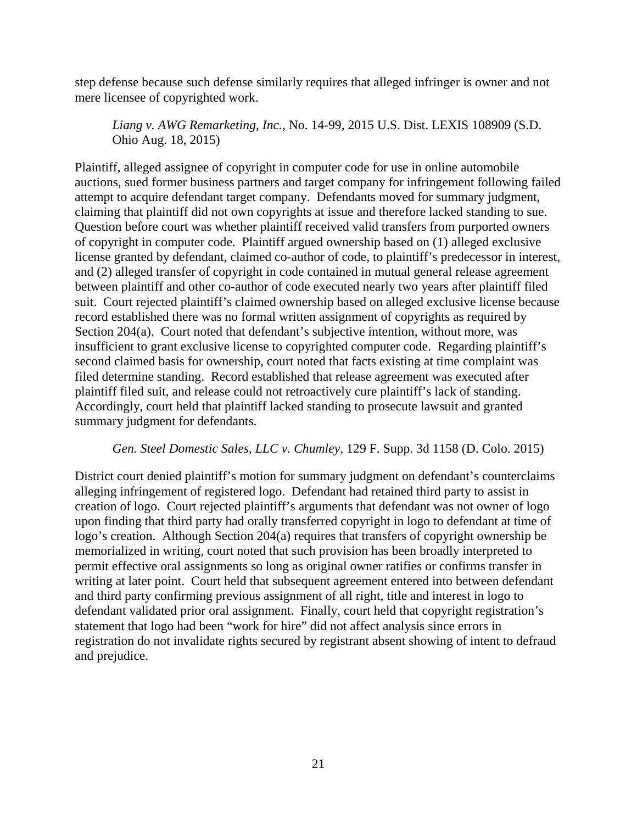step defense because such defense similarly requires that alleged infringer is owner and not mere licensee of copyrighted work.

*Liang v. AWG Remarketing, Inc.*, No. 14-99, 2015 U.S. Dist. LEXIS 108909 (S.D. Ohio Aug. 18, 2015)

Plaintiff, alleged assignee of copyright in computer code for use in online automobile auctions, sued former business partners and target company for infringement following failed attempt to acquire defendant target company. Defendants moved for summary judgment, claiming that plaintiff did not own copyrights at issue and therefore lacked standing to sue. Question before court was whether plaintiff received valid transfers from purported owners of copyright in computer code. Plaintiff argued ownership based on (1) alleged exclusive license granted by defendant, claimed co-author of code, to plaintiff's predecessor in interest, and (2) alleged transfer of copyright in code contained in mutual general release agreement between plaintiff and other co-author of code executed nearly two years after plaintiff filed suit. Court rejected plaintiff's claimed ownership based on alleged exclusive license because record established there was no formal written assignment of copyrights as required by Section 204(a). Court noted that defendant's subjective intention, without more, was insufficient to grant exclusive license to copyrighted computer code. Regarding plaintiff's second claimed basis for ownership, court noted that facts existing at time complaint was filed determine standing. Record established that release agreement was executed after plaintiff filed suit, and release could not retroactively cure plaintiff's lack of standing. Accordingly, court held that plaintiff lacked standing to prosecute lawsuit and granted summary judgment for defendants.

#### *Gen. Steel Domestic Sales, LLC v. Chumley*, 129 F. Supp. 3d 1158 (D. Colo. 2015)

District court denied plaintiff's motion for summary judgment on defendant's counterclaims alleging infringement of registered logo. Defendant had retained third party to assist in creation of logo. Court rejected plaintiff's arguments that defendant was not owner of logo upon finding that third party had orally transferred copyright in logo to defendant at time of logo's creation. Although Section 204(a) requires that transfers of copyright ownership be memorialized in writing, court noted that such provision has been broadly interpreted to permit effective oral assignments so long as original owner ratifies or confirms transfer in writing at later point. Court held that subsequent agreement entered into between defendant and third party confirming previous assignment of all right, title and interest in logo to defendant validated prior oral assignment. Finally, court held that copyright registration's statement that logo had been "work for hire" did not affect analysis since errors in registration do not invalidate rights secured by registrant absent showing of intent to defraud and prejudice.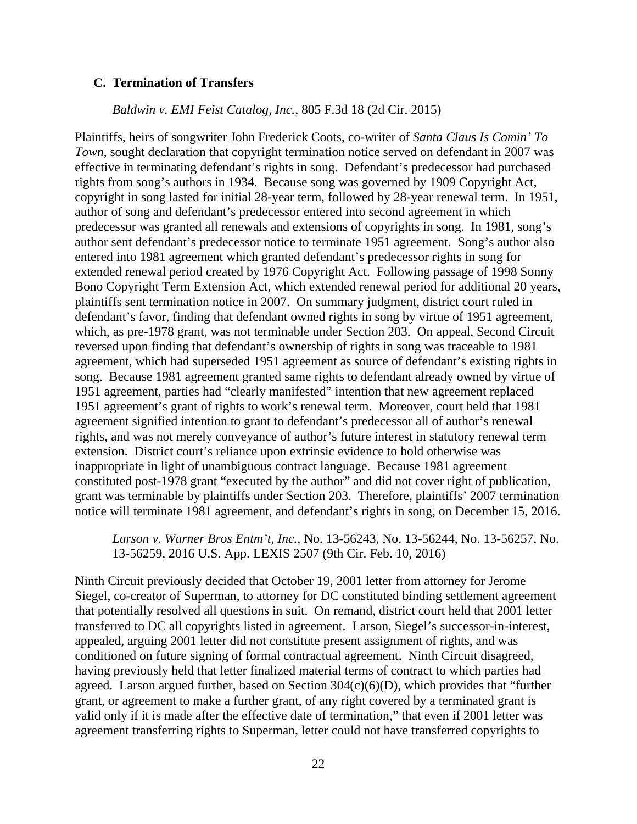#### <span id="page-33-0"></span>**C. Termination of Transfers**

#### *Baldwin v. EMI Feist Catalog, Inc.*, 805 F.3d 18 (2d Cir. 2015)

Plaintiffs, heirs of songwriter John Frederick Coots, co-writer of *Santa Claus Is Comin' To Town*, sought declaration that copyright termination notice served on defendant in 2007 was effective in terminating defendant's rights in song. Defendant's predecessor had purchased rights from song's authors in 1934. Because song was governed by 1909 Copyright Act, copyright in song lasted for initial 28-year term, followed by 28-year renewal term. In 1951, author of song and defendant's predecessor entered into second agreement in which predecessor was granted all renewals and extensions of copyrights in song. In 1981, song's author sent defendant's predecessor notice to terminate 1951 agreement. Song's author also entered into 1981 agreement which granted defendant's predecessor rights in song for extended renewal period created by 1976 Copyright Act. Following passage of 1998 Sonny Bono Copyright Term Extension Act, which extended renewal period for additional 20 years, plaintiffs sent termination notice in 2007. On summary judgment, district court ruled in defendant's favor, finding that defendant owned rights in song by virtue of 1951 agreement, which, as pre-1978 grant, was not terminable under Section 203. On appeal, Second Circuit reversed upon finding that defendant's ownership of rights in song was traceable to 1981 agreement, which had superseded 1951 agreement as source of defendant's existing rights in song. Because 1981 agreement granted same rights to defendant already owned by virtue of 1951 agreement, parties had "clearly manifested" intention that new agreement replaced 1951 agreement's grant of rights to work's renewal term. Moreover, court held that 1981 agreement signified intention to grant to defendant's predecessor all of author's renewal rights, and was not merely conveyance of author's future interest in statutory renewal term extension. District court's reliance upon extrinsic evidence to hold otherwise was inappropriate in light of unambiguous contract language. Because 1981 agreement constituted post-1978 grant "executed by the author" and did not cover right of publication, grant was terminable by plaintiffs under Section 203. Therefore, plaintiffs' 2007 termination notice will terminate 1981 agreement, and defendant's rights in song, on December 15, 2016.

### *Larson v. Warner Bros Entm't, Inc.*, No. 13-56243, No. 13-56244, No. 13-56257, No. 13-56259, 2016 U.S. App. LEXIS 2507 (9th Cir. Feb. 10, 2016)

Ninth Circuit previously decided that October 19, 2001 letter from attorney for Jerome Siegel, co-creator of Superman, to attorney for DC constituted binding settlement agreement that potentially resolved all questions in suit. On remand, district court held that 2001 letter transferred to DC all copyrights listed in agreement. Larson, Siegel's successor-in-interest, appealed, arguing 2001 letter did not constitute present assignment of rights, and was conditioned on future signing of formal contractual agreement. Ninth Circuit disagreed, having previously held that letter finalized material terms of contract to which parties had agreed. Larson argued further, based on Section 304(c)(6)(D), which provides that "further grant, or agreement to make a further grant, of any right covered by a terminated grant is valid only if it is made after the effective date of termination," that even if 2001 letter was agreement transferring rights to Superman, letter could not have transferred copyrights to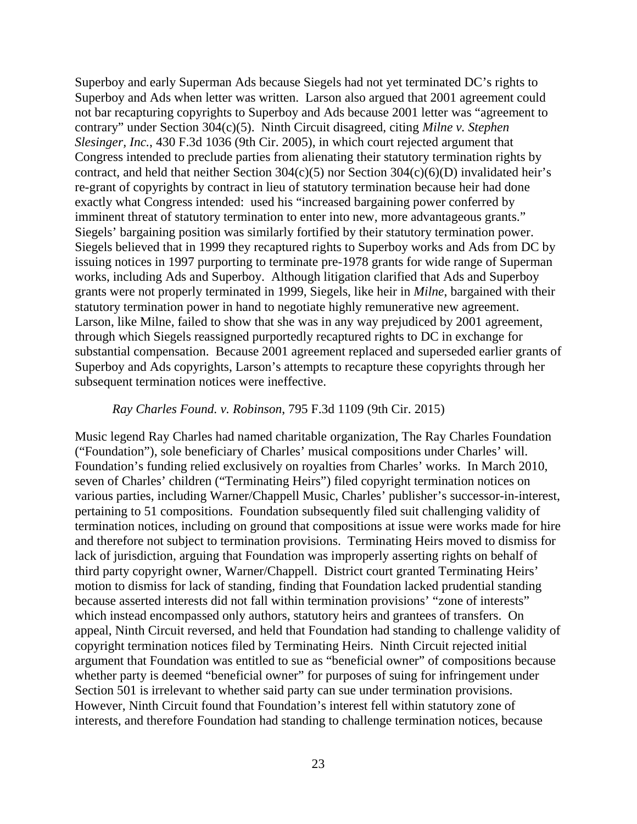Superboy and early Superman Ads because Siegels had not yet terminated DC's rights to Superboy and Ads when letter was written. Larson also argued that 2001 agreement could not bar recapturing copyrights to Superboy and Ads because 2001 letter was "agreement to contrary" under Section 304(c)(5). Ninth Circuit disagreed, citing *Milne v. Stephen Slesinger, Inc.*, 430 F.3d 1036 (9th Cir. 2005), in which court rejected argument that Congress intended to preclude parties from alienating their statutory termination rights by contract, and held that neither Section  $304(c)(5)$  nor Section  $304(c)(6)(D)$  invalidated heir's re-grant of copyrights by contract in lieu of statutory termination because heir had done exactly what Congress intended: used his "increased bargaining power conferred by imminent threat of statutory termination to enter into new, more advantageous grants." Siegels' bargaining position was similarly fortified by their statutory termination power. Siegels believed that in 1999 they recaptured rights to Superboy works and Ads from DC by issuing notices in 1997 purporting to terminate pre-1978 grants for wide range of Superman works, including Ads and Superboy. Although litigation clarified that Ads and Superboy grants were not properly terminated in 1999, Siegels, like heir in *Milne*, bargained with their statutory termination power in hand to negotiate highly remunerative new agreement. Larson, like Milne, failed to show that she was in any way prejudiced by 2001 agreement, through which Siegels reassigned purportedly recaptured rights to DC in exchange for substantial compensation. Because 2001 agreement replaced and superseded earlier grants of Superboy and Ads copyrights, Larson's attempts to recapture these copyrights through her subsequent termination notices were ineffective.

#### *Ray Charles Found. v. Robinson*, 795 F.3d 1109 (9th Cir. 2015)

Music legend Ray Charles had named charitable organization, The Ray Charles Foundation ("Foundation"), sole beneficiary of Charles' musical compositions under Charles' will. Foundation's funding relied exclusively on royalties from Charles' works. In March 2010, seven of Charles' children ("Terminating Heirs") filed copyright termination notices on various parties, including Warner/Chappell Music, Charles' publisher's successor-in-interest, pertaining to 51 compositions. Foundation subsequently filed suit challenging validity of termination notices, including on ground that compositions at issue were works made for hire and therefore not subject to termination provisions. Terminating Heirs moved to dismiss for lack of jurisdiction, arguing that Foundation was improperly asserting rights on behalf of third party copyright owner, Warner/Chappell. District court granted Terminating Heirs' motion to dismiss for lack of standing, finding that Foundation lacked prudential standing because asserted interests did not fall within termination provisions' "zone of interests" which instead encompassed only authors, statutory heirs and grantees of transfers. On appeal, Ninth Circuit reversed, and held that Foundation had standing to challenge validity of copyright termination notices filed by Terminating Heirs. Ninth Circuit rejected initial argument that Foundation was entitled to sue as "beneficial owner" of compositions because whether party is deemed "beneficial owner" for purposes of suing for infringement under Section 501 is irrelevant to whether said party can sue under termination provisions. However, Ninth Circuit found that Foundation's interest fell within statutory zone of interests, and therefore Foundation had standing to challenge termination notices, because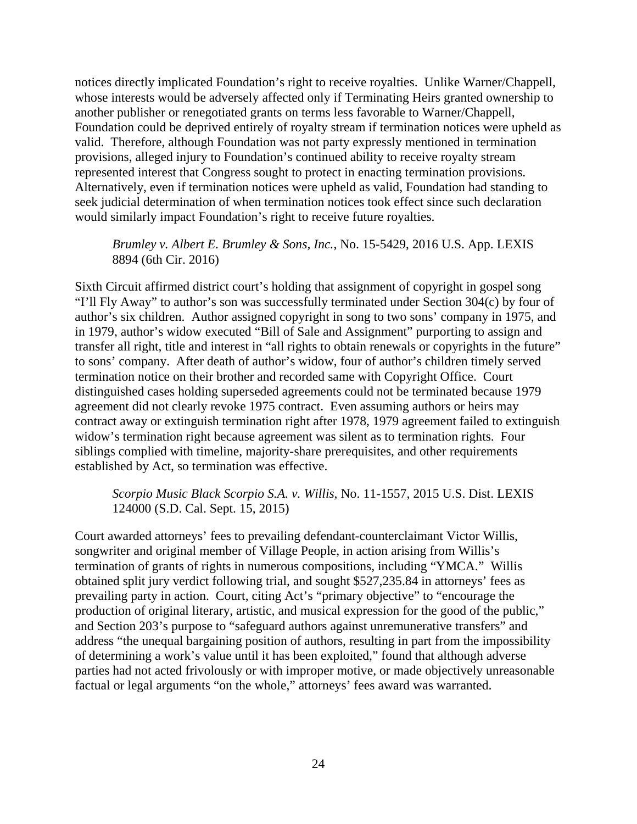notices directly implicated Foundation's right to receive royalties. Unlike Warner/Chappell, whose interests would be adversely affected only if Terminating Heirs granted ownership to another publisher or renegotiated grants on terms less favorable to Warner/Chappell, Foundation could be deprived entirely of royalty stream if termination notices were upheld as valid. Therefore, although Foundation was not party expressly mentioned in termination provisions, alleged injury to Foundation's continued ability to receive royalty stream represented interest that Congress sought to protect in enacting termination provisions. Alternatively, even if termination notices were upheld as valid, Foundation had standing to seek judicial determination of when termination notices took effect since such declaration would similarly impact Foundation's right to receive future royalties.

# *Brumley v. Albert E. Brumley & Sons, Inc.*, No. 15-5429, 2016 U.S. App. LEXIS 8894 (6th Cir. 2016)

Sixth Circuit affirmed district court's holding that assignment of copyright in gospel song "I'll Fly Away" to author's son was successfully terminated under Section 304(c) by four of author's six children. Author assigned copyright in song to two sons' company in 1975, and in 1979, author's widow executed "Bill of Sale and Assignment" purporting to assign and transfer all right, title and interest in "all rights to obtain renewals or copyrights in the future" to sons' company. After death of author's widow, four of author's children timely served termination notice on their brother and recorded same with Copyright Office. Court distinguished cases holding superseded agreements could not be terminated because 1979 agreement did not clearly revoke 1975 contract. Even assuming authors or heirs may contract away or extinguish termination right after 1978, 1979 agreement failed to extinguish widow's termination right because agreement was silent as to termination rights. Four siblings complied with timeline, majority-share prerequisites, and other requirements established by Act, so termination was effective.

# *Scorpio Music Black Scorpio S.A. v. Willis*, No. 11-1557, 2015 U.S. Dist. LEXIS 124000 (S.D. Cal. Sept. 15, 2015)

Court awarded attorneys' fees to prevailing defendant-counterclaimant Victor Willis, songwriter and original member of Village People, in action arising from Willis's termination of grants of rights in numerous compositions, including "YMCA." Willis obtained split jury verdict following trial, and sought \$527,235.84 in attorneys' fees as prevailing party in action. Court, citing Act's "primary objective" to "encourage the production of original literary, artistic, and musical expression for the good of the public," and Section 203's purpose to "safeguard authors against unremunerative transfers" and address "the unequal bargaining position of authors, resulting in part from the impossibility of determining a work's value until it has been exploited," found that although adverse parties had not acted frivolously or with improper motive, or made objectively unreasonable factual or legal arguments "on the whole," attorneys' fees award was warranted.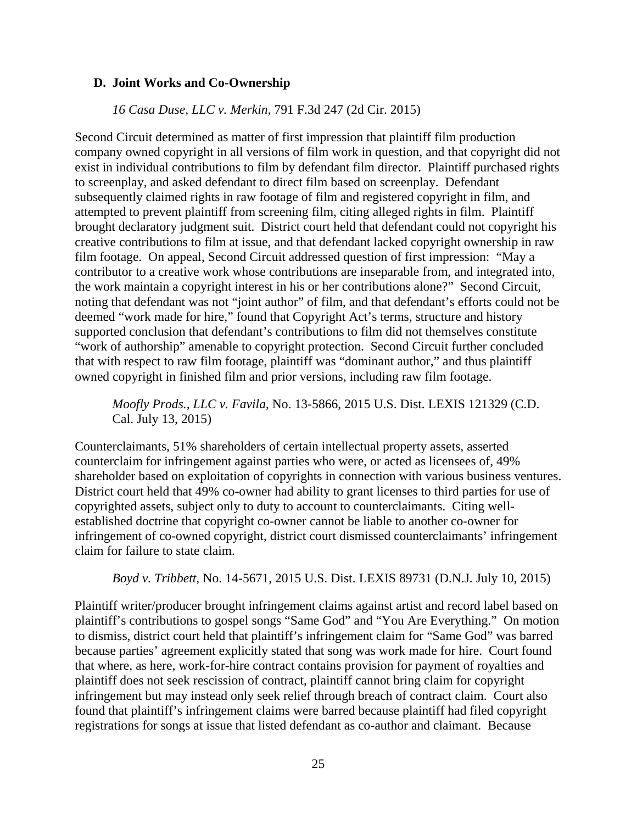### **D. Joint Works and Co-Ownership**

### *16 Casa Duse, LLC v. Merkin*, 791 F.3d 247 (2d Cir. 2015)

Second Circuit determined as matter of first impression that plaintiff film production company owned copyright in all versions of film work in question, and that copyright did not exist in individual contributions to film by defendant film director. Plaintiff purchased rights to screenplay, and asked defendant to direct film based on screenplay. Defendant subsequently claimed rights in raw footage of film and registered copyright in film, and attempted to prevent plaintiff from screening film, citing alleged rights in film. Plaintiff brought declaratory judgment suit. District court held that defendant could not copyright his creative contributions to film at issue, and that defendant lacked copyright ownership in raw film footage. On appeal, Second Circuit addressed question of first impression: "May a contributor to a creative work whose contributions are inseparable from, and integrated into, the work maintain a copyright interest in his or her contributions alone?" Second Circuit, noting that defendant was not "joint author" of film, and that defendant's efforts could not be deemed "work made for hire," found that Copyright Act's terms, structure and history supported conclusion that defendant's contributions to film did not themselves constitute "work of authorship" amenable to copyright protection. Second Circuit further concluded that with respect to raw film footage, plaintiff was "dominant author," and thus plaintiff owned copyright in finished film and prior versions, including raw film footage.

*Moofly Prods., LLC v. Favila*, No. 13-5866, 2015 U.S. Dist. LEXIS 121329 (C.D. Cal. July 13, 2015)

Counterclaimants, 51% shareholders of certain intellectual property assets, asserted counterclaim for infringement against parties who were, or acted as licensees of, 49% shareholder based on exploitation of copyrights in connection with various business ventures. District court held that 49% co-owner had ability to grant licenses to third parties for use of copyrighted assets, subject only to duty to account to counterclaimants. Citing wellestablished doctrine that copyright co-owner cannot be liable to another co-owner for infringement of co-owned copyright, district court dismissed counterclaimants' infringement claim for failure to state claim.

*Boyd v. Tribbett*, No. 14-5671, 2015 U.S. Dist. LEXIS 89731 (D.N.J. July 10, 2015)

Plaintiff writer/producer brought infringement claims against artist and record label based on plaintiff's contributions to gospel songs "Same God" and "You Are Everything." On motion to dismiss, district court held that plaintiff's infringement claim for "Same God" was barred because parties' agreement explicitly stated that song was work made for hire. Court found that where, as here, work-for-hire contract contains provision for payment of royalties and plaintiff does not seek rescission of contract, plaintiff cannot bring claim for copyright infringement but may instead only seek relief through breach of contract claim. Court also found that plaintiff's infringement claims were barred because plaintiff had filed copyright registrations for songs at issue that listed defendant as co-author and claimant. Because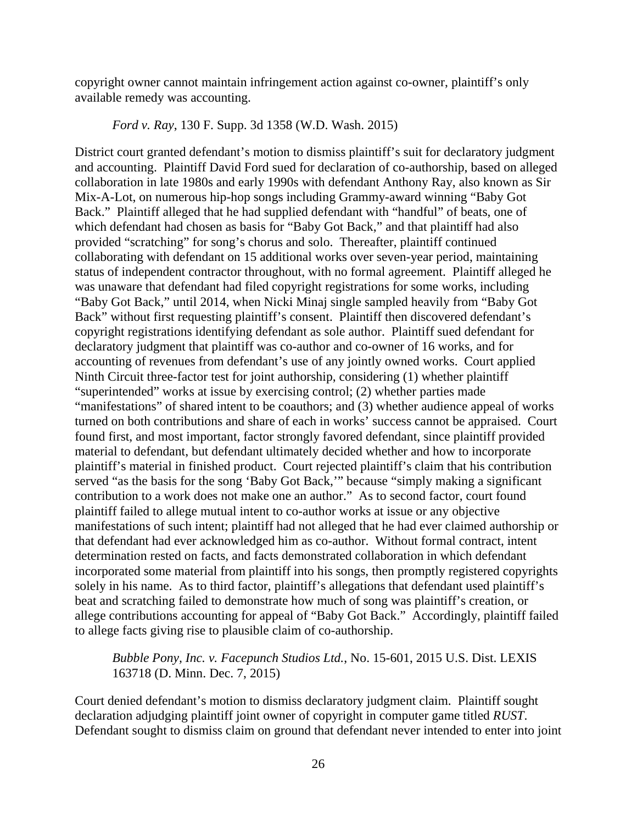copyright owner cannot maintain infringement action against co-owner, plaintiff's only available remedy was accounting.

*Ford v. Ray*, 130 F. Supp. 3d 1358 (W.D. Wash. 2015)

District court granted defendant's motion to dismiss plaintiff's suit for declaratory judgment and accounting. Plaintiff David Ford sued for declaration of co-authorship, based on alleged collaboration in late 1980s and early 1990s with defendant Anthony Ray, also known as Sir Mix-A-Lot, on numerous hip-hop songs including Grammy-award winning "Baby Got Back." Plaintiff alleged that he had supplied defendant with "handful" of beats, one of which defendant had chosen as basis for "Baby Got Back," and that plaintiff had also provided "scratching" for song's chorus and solo. Thereafter, plaintiff continued collaborating with defendant on 15 additional works over seven-year period, maintaining status of independent contractor throughout, with no formal agreement. Plaintiff alleged he was unaware that defendant had filed copyright registrations for some works, including "Baby Got Back," until 2014, when Nicki Minaj single sampled heavily from "Baby Got Back" without first requesting plaintiff's consent. Plaintiff then discovered defendant's copyright registrations identifying defendant as sole author. Plaintiff sued defendant for declaratory judgment that plaintiff was co-author and co-owner of 16 works, and for accounting of revenues from defendant's use of any jointly owned works. Court applied Ninth Circuit three-factor test for joint authorship, considering (1) whether plaintiff "superintended" works at issue by exercising control; (2) whether parties made "manifestations" of shared intent to be coauthors; and (3) whether audience appeal of works turned on both contributions and share of each in works' success cannot be appraised. Court found first, and most important, factor strongly favored defendant, since plaintiff provided material to defendant, but defendant ultimately decided whether and how to incorporate plaintiff's material in finished product. Court rejected plaintiff's claim that his contribution served "as the basis for the song 'Baby Got Back,'" because "simply making a significant contribution to a work does not make one an author." As to second factor, court found plaintiff failed to allege mutual intent to co-author works at issue or any objective manifestations of such intent; plaintiff had not alleged that he had ever claimed authorship or that defendant had ever acknowledged him as co-author. Without formal contract, intent determination rested on facts, and facts demonstrated collaboration in which defendant incorporated some material from plaintiff into his songs, then promptly registered copyrights solely in his name. As to third factor, plaintiff's allegations that defendant used plaintiff's beat and scratching failed to demonstrate how much of song was plaintiff's creation, or allege contributions accounting for appeal of "Baby Got Back." Accordingly, plaintiff failed to allege facts giving rise to plausible claim of co-authorship.

*Bubble Pony, Inc. v. Facepunch Studios Ltd.*, No. 15-601, 2015 U.S. Dist. LEXIS 163718 (D. Minn. Dec. 7, 2015)

Court denied defendant's motion to dismiss declaratory judgment claim. Plaintiff sought declaration adjudging plaintiff joint owner of copyright in computer game titled *RUST*. Defendant sought to dismiss claim on ground that defendant never intended to enter into joint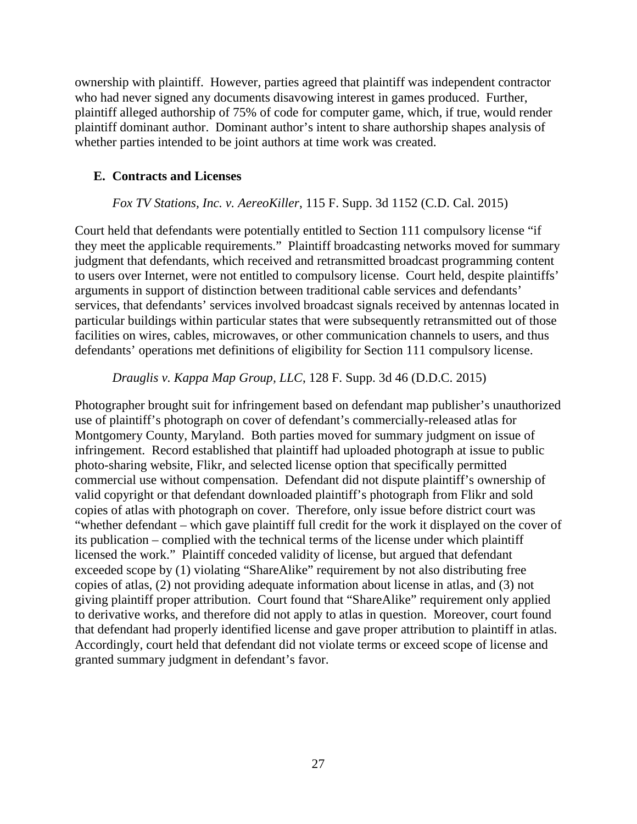ownership with plaintiff. However, parties agreed that plaintiff was independent contractor who had never signed any documents disavowing interest in games produced. Further, plaintiff alleged authorship of 75% of code for computer game, which, if true, would render plaintiff dominant author. Dominant author's intent to share authorship shapes analysis of whether parties intended to be joint authors at time work was created.

### **E. Contracts and Licenses**

#### *Fox TV Stations, Inc. v. AereoKiller*, 115 F. Supp. 3d 1152 (C.D. Cal. 2015)

Court held that defendants were potentially entitled to Section 111 compulsory license "if they meet the applicable requirements." Plaintiff broadcasting networks moved for summary judgment that defendants, which received and retransmitted broadcast programming content to users over Internet, were not entitled to compulsory license. Court held, despite plaintiffs' arguments in support of distinction between traditional cable services and defendants' services, that defendants' services involved broadcast signals received by antennas located in particular buildings within particular states that were subsequently retransmitted out of those facilities on wires, cables, microwaves, or other communication channels to users, and thus defendants' operations met definitions of eligibility for Section 111 compulsory license.

#### *Drauglis v. Kappa Map Group, LLC*, 128 F. Supp. 3d 46 (D.D.C. 2015)

Photographer brought suit for infringement based on defendant map publisher's unauthorized use of plaintiff's photograph on cover of defendant's commercially-released atlas for Montgomery County, Maryland. Both parties moved for summary judgment on issue of infringement. Record established that plaintiff had uploaded photograph at issue to public photo-sharing website, Flikr, and selected license option that specifically permitted commercial use without compensation. Defendant did not dispute plaintiff's ownership of valid copyright or that defendant downloaded plaintiff's photograph from Flikr and sold copies of atlas with photograph on cover. Therefore, only issue before district court was "whether defendant – which gave plaintiff full credit for the work it displayed on the cover of its publication – complied with the technical terms of the license under which plaintiff licensed the work." Plaintiff conceded validity of license, but argued that defendant exceeded scope by (1) violating "ShareAlike" requirement by not also distributing free copies of atlas, (2) not providing adequate information about license in atlas, and (3) not giving plaintiff proper attribution. Court found that "ShareAlike" requirement only applied to derivative works, and therefore did not apply to atlas in question. Moreover, court found that defendant had properly identified license and gave proper attribution to plaintiff in atlas. Accordingly, court held that defendant did not violate terms or exceed scope of license and granted summary judgment in defendant's favor.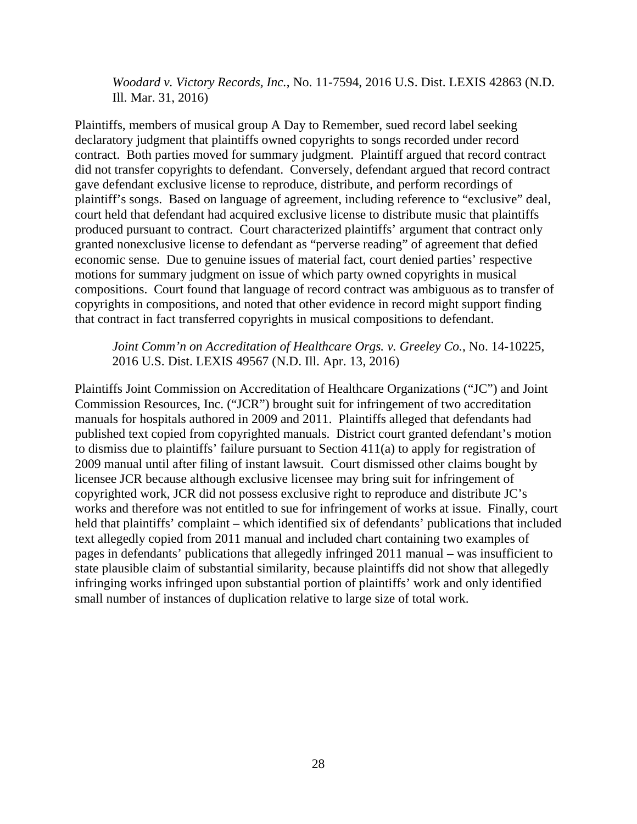*Woodard v. Victory Records, Inc.*, No. 11-7594, 2016 U.S. Dist. LEXIS 42863 (N.D. Ill. Mar. 31, 2016)

Plaintiffs, members of musical group A Day to Remember, sued record label seeking declaratory judgment that plaintiffs owned copyrights to songs recorded under record contract. Both parties moved for summary judgment. Plaintiff argued that record contract did not transfer copyrights to defendant. Conversely, defendant argued that record contract gave defendant exclusive license to reproduce, distribute, and perform recordings of plaintiff's songs. Based on language of agreement, including reference to "exclusive" deal, court held that defendant had acquired exclusive license to distribute music that plaintiffs produced pursuant to contract. Court characterized plaintiffs' argument that contract only granted nonexclusive license to defendant as "perverse reading" of agreement that defied economic sense. Due to genuine issues of material fact, court denied parties' respective motions for summary judgment on issue of which party owned copyrights in musical compositions. Court found that language of record contract was ambiguous as to transfer of copyrights in compositions, and noted that other evidence in record might support finding that contract in fact transferred copyrights in musical compositions to defendant.

#### *Joint Comm'n on Accreditation of Healthcare Orgs. v. Greeley Co.*, No. 14-10225, 2016 U.S. Dist. LEXIS 49567 (N.D. Ill. Apr. 13, 2016)

Plaintiffs Joint Commission on Accreditation of Healthcare Organizations ("JC") and Joint Commission Resources, Inc. ("JCR") brought suit for infringement of two accreditation manuals for hospitals authored in 2009 and 2011. Plaintiffs alleged that defendants had published text copied from copyrighted manuals. District court granted defendant's motion to dismiss due to plaintiffs' failure pursuant to Section 411(a) to apply for registration of 2009 manual until after filing of instant lawsuit. Court dismissed other claims bought by licensee JCR because although exclusive licensee may bring suit for infringement of copyrighted work, JCR did not possess exclusive right to reproduce and distribute JC's works and therefore was not entitled to sue for infringement of works at issue. Finally, court held that plaintiffs' complaint – which identified six of defendants' publications that included text allegedly copied from 2011 manual and included chart containing two examples of pages in defendants' publications that allegedly infringed 2011 manual – was insufficient to state plausible claim of substantial similarity, because plaintiffs did not show that allegedly infringing works infringed upon substantial portion of plaintiffs' work and only identified small number of instances of duplication relative to large size of total work.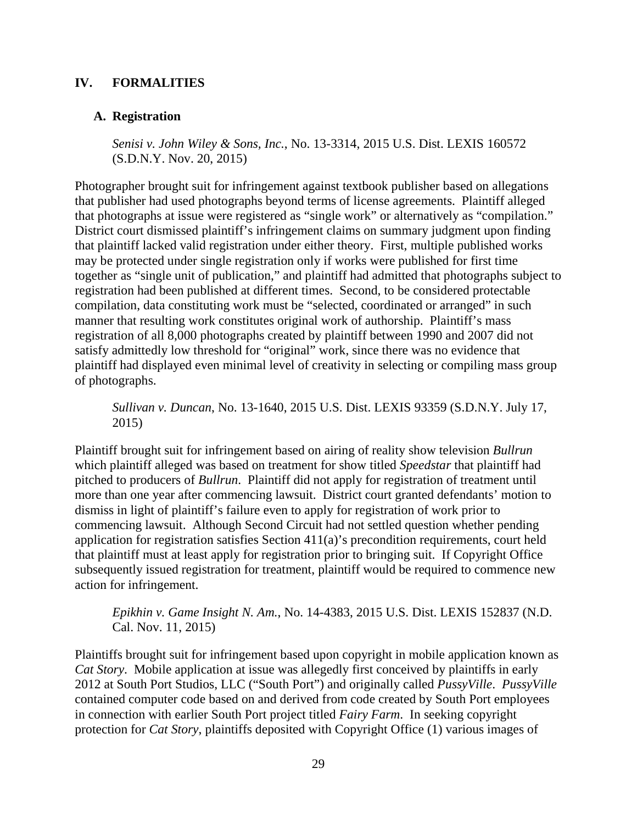## **IV. FORMALITIES**

### **A. Registration**

*Senisi v. John Wiley & Sons, Inc.*, No. 13-3314, 2015 U.S. Dist. LEXIS 160572 (S.D.N.Y. Nov. 20, 2015)

Photographer brought suit for infringement against textbook publisher based on allegations that publisher had used photographs beyond terms of license agreements. Plaintiff alleged that photographs at issue were registered as "single work" or alternatively as "compilation." District court dismissed plaintiff's infringement claims on summary judgment upon finding that plaintiff lacked valid registration under either theory. First, multiple published works may be protected under single registration only if works were published for first time together as "single unit of publication," and plaintiff had admitted that photographs subject to registration had been published at different times. Second, to be considered protectable compilation, data constituting work must be "selected, coordinated or arranged" in such manner that resulting work constitutes original work of authorship. Plaintiff's mass registration of all 8,000 photographs created by plaintiff between 1990 and 2007 did not satisfy admittedly low threshold for "original" work, since there was no evidence that plaintiff had displayed even minimal level of creativity in selecting or compiling mass group of photographs.

*Sullivan v. Duncan*, No. 13-1640, 2015 U.S. Dist. LEXIS 93359 (S.D.N.Y. July 17, 2015)

Plaintiff brought suit for infringement based on airing of reality show television *Bullrun* which plaintiff alleged was based on treatment for show titled *Speedstar* that plaintiff had pitched to producers of *Bullrun*. Plaintiff did not apply for registration of treatment until more than one year after commencing lawsuit. District court granted defendants' motion to dismiss in light of plaintiff's failure even to apply for registration of work prior to commencing lawsuit. Although Second Circuit had not settled question whether pending application for registration satisfies Section 411(a)'s precondition requirements, court held that plaintiff must at least apply for registration prior to bringing suit. If Copyright Office subsequently issued registration for treatment, plaintiff would be required to commence new action for infringement.

*Epikhin v. Game Insight N. Am.*, No. 14-4383, 2015 U.S. Dist. LEXIS 152837 (N.D. Cal. Nov. 11, 2015)

Plaintiffs brought suit for infringement based upon copyright in mobile application known as *Cat Story*. Mobile application at issue was allegedly first conceived by plaintiffs in early 2012 at South Port Studios, LLC ("South Port") and originally called *PussyVille*. *PussyVille* contained computer code based on and derived from code created by South Port employees in connection with earlier South Port project titled *Fairy Farm*. In seeking copyright protection for *Cat Story*, plaintiffs deposited with Copyright Office (1) various images of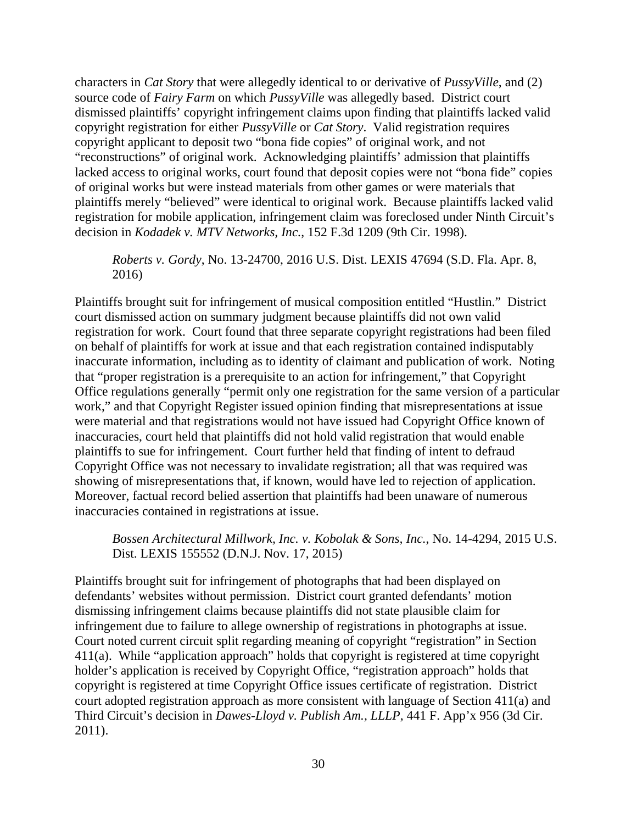characters in *Cat Story* that were allegedly identical to or derivative of *PussyVille*, and (2) source code of *Fairy Farm* on which *PussyVille* was allegedly based. District court dismissed plaintiffs' copyright infringement claims upon finding that plaintiffs lacked valid copyright registration for either *PussyVille* or *Cat Story*. Valid registration requires copyright applicant to deposit two "bona fide copies" of original work, and not "reconstructions" of original work. Acknowledging plaintiffs' admission that plaintiffs lacked access to original works, court found that deposit copies were not "bona fide" copies of original works but were instead materials from other games or were materials that plaintiffs merely "believed" were identical to original work. Because plaintiffs lacked valid registration for mobile application, infringement claim was foreclosed under Ninth Circuit's decision in *Kodadek v. MTV Networks, Inc.*, 152 F.3d 1209 (9th Cir. 1998).

*Roberts v. Gordy*, No. 13-24700, 2016 U.S. Dist. LEXIS 47694 (S.D. Fla. Apr. 8, 2016)

Plaintiffs brought suit for infringement of musical composition entitled "Hustlin." District court dismissed action on summary judgment because plaintiffs did not own valid registration for work. Court found that three separate copyright registrations had been filed on behalf of plaintiffs for work at issue and that each registration contained indisputably inaccurate information, including as to identity of claimant and publication of work. Noting that "proper registration is a prerequisite to an action for infringement," that Copyright Office regulations generally "permit only one registration for the same version of a particular work," and that Copyright Register issued opinion finding that misrepresentations at issue were material and that registrations would not have issued had Copyright Office known of inaccuracies, court held that plaintiffs did not hold valid registration that would enable plaintiffs to sue for infringement. Court further held that finding of intent to defraud Copyright Office was not necessary to invalidate registration; all that was required was showing of misrepresentations that, if known, would have led to rejection of application. Moreover, factual record belied assertion that plaintiffs had been unaware of numerous inaccuracies contained in registrations at issue.

*Bossen Architectural Millwork, Inc. v. Kobolak & Sons, Inc.*, No. 14-4294, 2015 U.S. Dist. LEXIS 155552 (D.N.J. Nov. 17, 2015)

Plaintiffs brought suit for infringement of photographs that had been displayed on defendants' websites without permission. District court granted defendants' motion dismissing infringement claims because plaintiffs did not state plausible claim for infringement due to failure to allege ownership of registrations in photographs at issue. Court noted current circuit split regarding meaning of copyright "registration" in Section 411(a). While "application approach" holds that copyright is registered at time copyright holder's application is received by Copyright Office, "registration approach" holds that copyright is registered at time Copyright Office issues certificate of registration. District court adopted registration approach as more consistent with language of Section 411(a) and Third Circuit's decision in *Dawes-Lloyd v. Publish Am., LLLP*, 441 F. App'x 956 (3d Cir. 2011).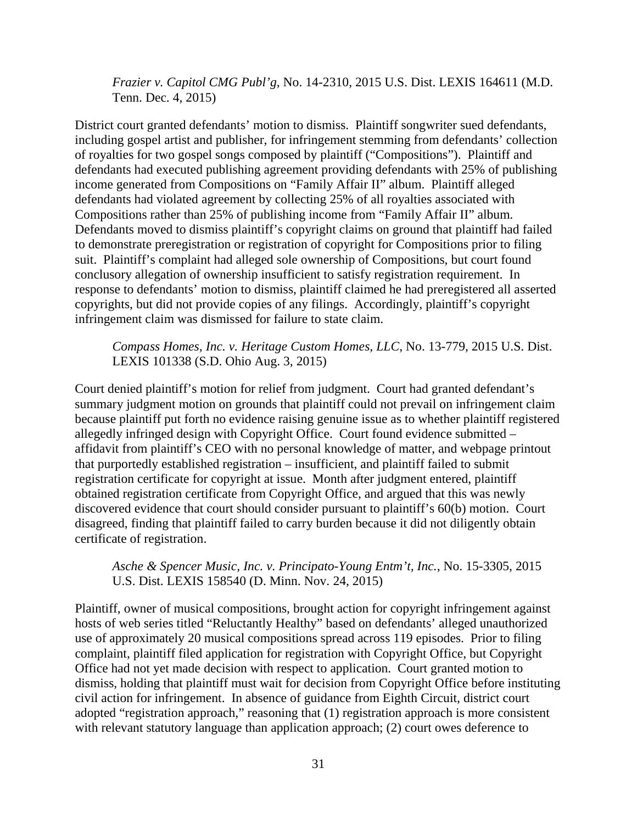*Frazier v. Capitol CMG Publ'g*, No. 14-2310, 2015 U.S. Dist. LEXIS 164611 (M.D. Tenn. Dec. 4, 2015)

District court granted defendants' motion to dismiss. Plaintiff songwriter sued defendants, including gospel artist and publisher, for infringement stemming from defendants' collection of royalties for two gospel songs composed by plaintiff ("Compositions"). Plaintiff and defendants had executed publishing agreement providing defendants with 25% of publishing income generated from Compositions on "Family Affair II" album. Plaintiff alleged defendants had violated agreement by collecting 25% of all royalties associated with Compositions rather than 25% of publishing income from "Family Affair II" album. Defendants moved to dismiss plaintiff's copyright claims on ground that plaintiff had failed to demonstrate preregistration or registration of copyright for Compositions prior to filing suit. Plaintiff's complaint had alleged sole ownership of Compositions, but court found conclusory allegation of ownership insufficient to satisfy registration requirement. In response to defendants' motion to dismiss, plaintiff claimed he had preregistered all asserted copyrights, but did not provide copies of any filings. Accordingly, plaintiff's copyright infringement claim was dismissed for failure to state claim.

#### *Compass Homes, Inc. v. Heritage Custom Homes, LLC*, No. 13-779, 2015 U.S. Dist. LEXIS 101338 (S.D. Ohio Aug. 3, 2015)

Court denied plaintiff's motion for relief from judgment. Court had granted defendant's summary judgment motion on grounds that plaintiff could not prevail on infringement claim because plaintiff put forth no evidence raising genuine issue as to whether plaintiff registered allegedly infringed design with Copyright Office. Court found evidence submitted – affidavit from plaintiff's CEO with no personal knowledge of matter, and webpage printout that purportedly established registration – insufficient, and plaintiff failed to submit registration certificate for copyright at issue. Month after judgment entered, plaintiff obtained registration certificate from Copyright Office, and argued that this was newly discovered evidence that court should consider pursuant to plaintiff's 60(b) motion. Court disagreed, finding that plaintiff failed to carry burden because it did not diligently obtain certificate of registration.

*Asche & Spencer Music, Inc. v. Principato-Young Entm't, Inc.*, No. 15-3305, 2015 U.S. Dist. LEXIS 158540 (D. Minn. Nov. 24, 2015)

Plaintiff, owner of musical compositions, brought action for copyright infringement against hosts of web series titled "Reluctantly Healthy" based on defendants' alleged unauthorized use of approximately 20 musical compositions spread across 119 episodes. Prior to filing complaint, plaintiff filed application for registration with Copyright Office, but Copyright Office had not yet made decision with respect to application. Court granted motion to dismiss, holding that plaintiff must wait for decision from Copyright Office before instituting civil action for infringement. In absence of guidance from Eighth Circuit, district court adopted "registration approach," reasoning that (1) registration approach is more consistent with relevant statutory language than application approach; (2) court owes deference to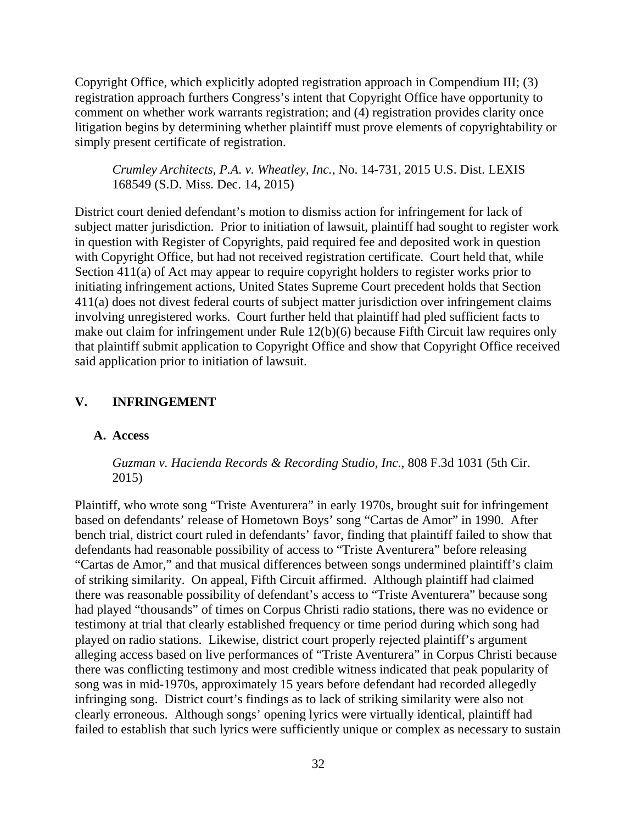Copyright Office, which explicitly adopted registration approach in Compendium III; (3) registration approach furthers Congress's intent that Copyright Office have opportunity to comment on whether work warrants registration; and (4) registration provides clarity once litigation begins by determining whether plaintiff must prove elements of copyrightability or simply present certificate of registration.

*Crumley Architects, P.A. v. Wheatley, Inc.*, No. 14-731, 2015 U.S. Dist. LEXIS 168549 (S.D. Miss. Dec. 14, 2015)

District court denied defendant's motion to dismiss action for infringement for lack of subject matter jurisdiction. Prior to initiation of lawsuit, plaintiff had sought to register work in question with Register of Copyrights, paid required fee and deposited work in question with Copyright Office, but had not received registration certificate. Court held that, while Section 411(a) of Act may appear to require copyright holders to register works prior to initiating infringement actions, United States Supreme Court precedent holds that Section 411(a) does not divest federal courts of subject matter jurisdiction over infringement claims involving unregistered works. Court further held that plaintiff had pled sufficient facts to make out claim for infringement under Rule 12(b)(6) because Fifth Circuit law requires only that plaintiff submit application to Copyright Office and show that Copyright Office received said application prior to initiation of lawsuit.

# **V. INFRINGEMENT**

### **A. Access**

*Guzman v. Hacienda Records & Recording Studio, Inc.*, 808 F.3d 1031 (5th Cir. 2015)

Plaintiff, who wrote song "Triste Aventurera" in early 1970s, brought suit for infringement based on defendants' release of Hometown Boys' song "Cartas de Amor" in 1990. After bench trial, district court ruled in defendants' favor, finding that plaintiff failed to show that defendants had reasonable possibility of access to "Triste Aventurera" before releasing "Cartas de Amor," and that musical differences between songs undermined plaintiff's claim of striking similarity. On appeal, Fifth Circuit affirmed. Although plaintiff had claimed there was reasonable possibility of defendant's access to "Triste Aventurera" because song had played "thousands" of times on Corpus Christi radio stations, there was no evidence or testimony at trial that clearly established frequency or time period during which song had played on radio stations. Likewise, district court properly rejected plaintiff's argument alleging access based on live performances of "Triste Aventurera" in Corpus Christi because there was conflicting testimony and most credible witness indicated that peak popularity of song was in mid-1970s, approximately 15 years before defendant had recorded allegedly infringing song. District court's findings as to lack of striking similarity were also not clearly erroneous. Although songs' opening lyrics were virtually identical, plaintiff had failed to establish that such lyrics were sufficiently unique or complex as necessary to sustain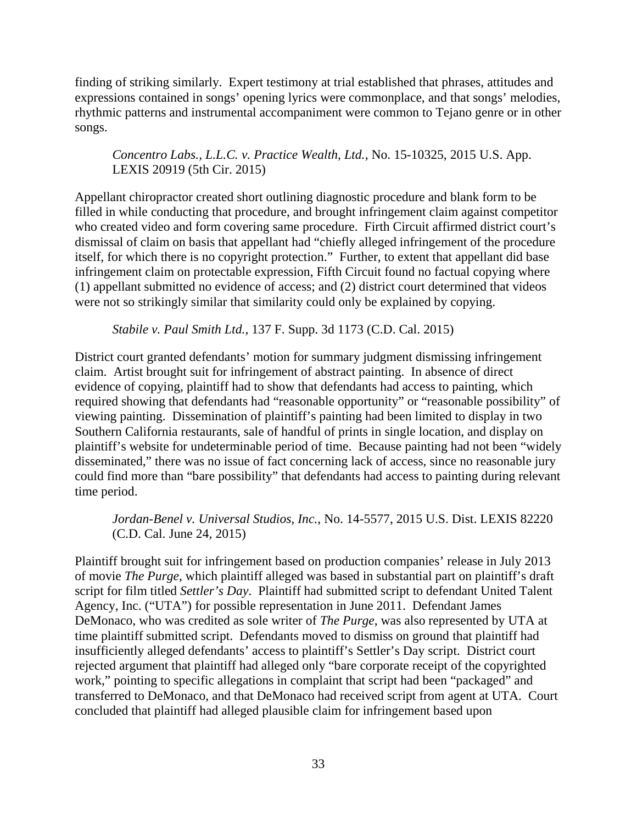finding of striking similarly. Expert testimony at trial established that phrases, attitudes and expressions contained in songs' opening lyrics were commonplace, and that songs' melodies, rhythmic patterns and instrumental accompaniment were common to Tejano genre or in other songs.

# *Concentro Labs., L.L.C. v. Practice Wealth, Ltd.*, No. 15-10325, 2015 U.S. App. LEXIS 20919 (5th Cir. 2015)

Appellant chiropractor created short outlining diagnostic procedure and blank form to be filled in while conducting that procedure, and brought infringement claim against competitor who created video and form covering same procedure. Firth Circuit affirmed district court's dismissal of claim on basis that appellant had "chiefly alleged infringement of the procedure itself, for which there is no copyright protection." Further, to extent that appellant did base infringement claim on protectable expression, Fifth Circuit found no factual copying where (1) appellant submitted no evidence of access; and (2) district court determined that videos were not so strikingly similar that similarity could only be explained by copying.

## *Stabile v. Paul Smith Ltd.*, 137 F. Supp. 3d 1173 (C.D. Cal. 2015)

District court granted defendants' motion for summary judgment dismissing infringement claim. Artist brought suit for infringement of abstract painting. In absence of direct evidence of copying, plaintiff had to show that defendants had access to painting, which required showing that defendants had "reasonable opportunity" or "reasonable possibility" of viewing painting. Dissemination of plaintiff's painting had been limited to display in two Southern California restaurants, sale of handful of prints in single location, and display on plaintiff's website for undeterminable period of time. Because painting had not been "widely disseminated," there was no issue of fact concerning lack of access, since no reasonable jury could find more than "bare possibility" that defendants had access to painting during relevant time period.

*Jordan-Benel v. Universal Studios, Inc.*, No. 14-5577, 2015 U.S. Dist. LEXIS 82220 (C.D. Cal. June 24, 2015)

Plaintiff brought suit for infringement based on production companies' release in July 2013 of movie *The Purge*, which plaintiff alleged was based in substantial part on plaintiff's draft script for film titled *Settler's Day*. Plaintiff had submitted script to defendant United Talent Agency, Inc. ("UTA") for possible representation in June 2011. Defendant James DeMonaco, who was credited as sole writer of *The Purge*, was also represented by UTA at time plaintiff submitted script. Defendants moved to dismiss on ground that plaintiff had insufficiently alleged defendants' access to plaintiff's Settler's Day script. District court rejected argument that plaintiff had alleged only "bare corporate receipt of the copyrighted work," pointing to specific allegations in complaint that script had been "packaged" and transferred to DeMonaco, and that DeMonaco had received script from agent at UTA. Court concluded that plaintiff had alleged plausible claim for infringement based upon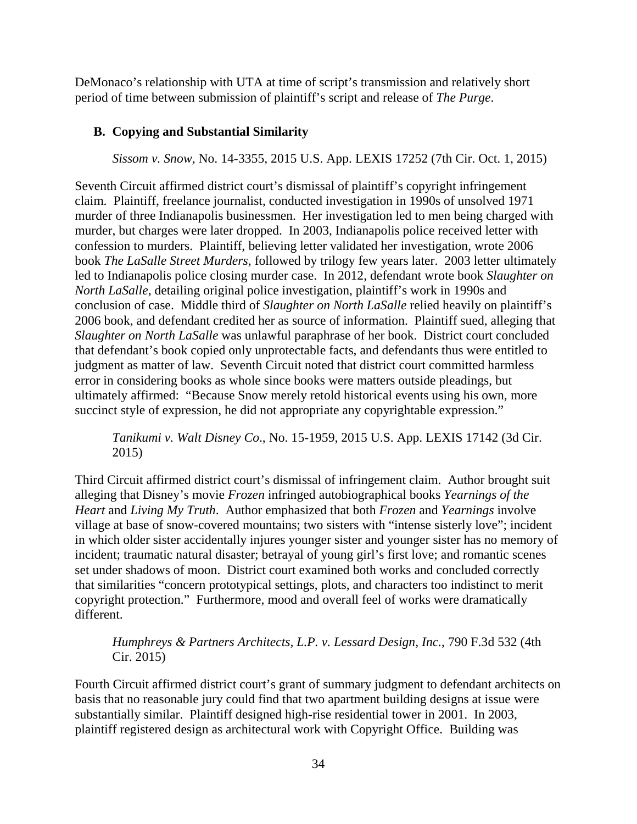DeMonaco's relationship with UTA at time of script's transmission and relatively short period of time between submission of plaintiff's script and release of *The Purge*.

# **B. Copying and Substantial Similarity**

*Sissom v. Snow,* No. 14-3355, 2015 U.S. App. LEXIS 17252 (7th Cir. Oct. 1, 2015)

Seventh Circuit affirmed district court's dismissal of plaintiff's copyright infringement claim. Plaintiff, freelance journalist, conducted investigation in 1990s of unsolved 1971 murder of three Indianapolis businessmen. Her investigation led to men being charged with murder, but charges were later dropped. In 2003, Indianapolis police received letter with confession to murders. Plaintiff, believing letter validated her investigation, wrote 2006 book *The LaSalle Street Murders*, followed by trilogy few years later. 2003 letter ultimately led to Indianapolis police closing murder case. In 2012, defendant wrote book *Slaughter on North LaSalle*, detailing original police investigation, plaintiff's work in 1990s and conclusion of case. Middle third of *Slaughter on North LaSalle* relied heavily on plaintiff's 2006 book, and defendant credited her as source of information. Plaintiff sued, alleging that *Slaughter on North LaSalle* was unlawful paraphrase of her book. District court concluded that defendant's book copied only unprotectable facts, and defendants thus were entitled to judgment as matter of law. Seventh Circuit noted that district court committed harmless error in considering books as whole since books were matters outside pleadings, but ultimately affirmed: "Because Snow merely retold historical events using his own, more succinct style of expression, he did not appropriate any copyrightable expression."

*Tanikumi v. Walt Disney Co*., No. 15-1959, 2015 U.S. App. LEXIS 17142 (3d Cir. 2015)

Third Circuit affirmed district court's dismissal of infringement claim. Author brought suit alleging that Disney's movie *Frozen* infringed autobiographical books *Yearnings of the Heart* and *Living My Truth*. Author emphasized that both *Frozen* and *Yearnings* involve village at base of snow-covered mountains; two sisters with "intense sisterly love"; incident in which older sister accidentally injures younger sister and younger sister has no memory of incident; traumatic natural disaster; betrayal of young girl's first love; and romantic scenes set under shadows of moon. District court examined both works and concluded correctly that similarities "concern prototypical settings, plots, and characters too indistinct to merit copyright protection." Furthermore, mood and overall feel of works were dramatically different.

# *Humphreys & Partners Architects, L.P. v. Lessard Design, Inc.*, 790 F.3d 532 (4th Cir. 2015)

Fourth Circuit affirmed district court's grant of summary judgment to defendant architects on basis that no reasonable jury could find that two apartment building designs at issue were substantially similar. Plaintiff designed high-rise residential tower in 2001. In 2003, plaintiff registered design as architectural work with Copyright Office. Building was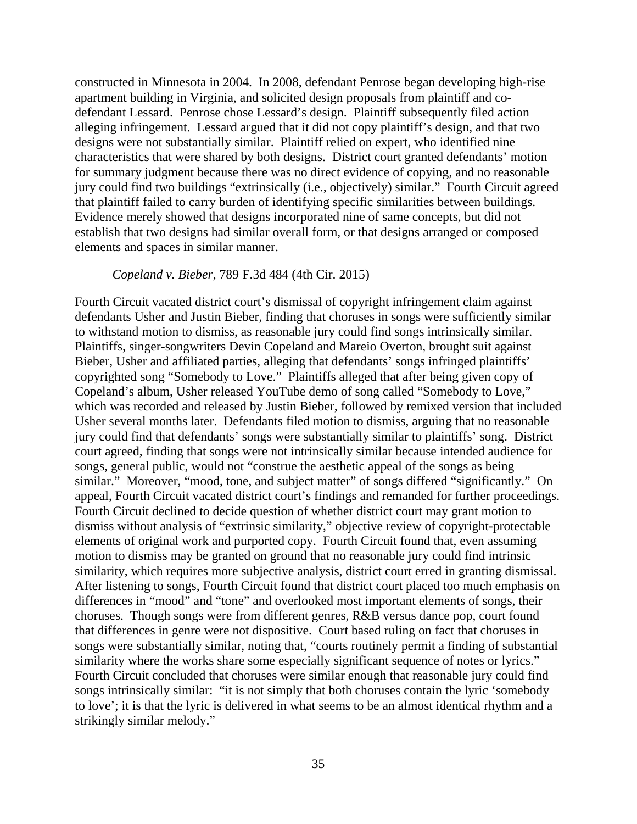constructed in Minnesota in 2004. In 2008, defendant Penrose began developing high-rise apartment building in Virginia, and solicited design proposals from plaintiff and codefendant Lessard. Penrose chose Lessard's design. Plaintiff subsequently filed action alleging infringement. Lessard argued that it did not copy plaintiff's design, and that two designs were not substantially similar. Plaintiff relied on expert, who identified nine characteristics that were shared by both designs. District court granted defendants' motion for summary judgment because there was no direct evidence of copying, and no reasonable jury could find two buildings "extrinsically (i.e., objectively) similar." Fourth Circuit agreed that plaintiff failed to carry burden of identifying specific similarities between buildings. Evidence merely showed that designs incorporated nine of same concepts, but did not establish that two designs had similar overall form, or that designs arranged or composed elements and spaces in similar manner.

#### *Copeland v. Bieber*, 789 F.3d 484 (4th Cir. 2015)

Fourth Circuit vacated district court's dismissal of copyright infringement claim against defendants Usher and Justin Bieber, finding that choruses in songs were sufficiently similar to withstand motion to dismiss, as reasonable jury could find songs intrinsically similar. Plaintiffs, singer-songwriters Devin Copeland and Mareio Overton, brought suit against Bieber, Usher and affiliated parties, alleging that defendants' songs infringed plaintiffs' copyrighted song "Somebody to Love." Plaintiffs alleged that after being given copy of Copeland's album, Usher released YouTube demo of song called "Somebody to Love," which was recorded and released by Justin Bieber, followed by remixed version that included Usher several months later. Defendants filed motion to dismiss, arguing that no reasonable jury could find that defendants' songs were substantially similar to plaintiffs' song. District court agreed, finding that songs were not intrinsically similar because intended audience for songs, general public, would not "construe the aesthetic appeal of the songs as being similar." Moreover, "mood, tone, and subject matter" of songs differed "significantly." On appeal, Fourth Circuit vacated district court's findings and remanded for further proceedings. Fourth Circuit declined to decide question of whether district court may grant motion to dismiss without analysis of "extrinsic similarity," objective review of copyright-protectable elements of original work and purported copy. Fourth Circuit found that, even assuming motion to dismiss may be granted on ground that no reasonable jury could find intrinsic similarity, which requires more subjective analysis, district court erred in granting dismissal. After listening to songs, Fourth Circuit found that district court placed too much emphasis on differences in "mood" and "tone" and overlooked most important elements of songs, their choruses. Though songs were from different genres, R&B versus dance pop, court found that differences in genre were not dispositive. Court based ruling on fact that choruses in songs were substantially similar, noting that, "courts routinely permit a finding of substantial similarity where the works share some especially significant sequence of notes or lyrics." Fourth Circuit concluded that choruses were similar enough that reasonable jury could find songs intrinsically similar: "it is not simply that both choruses contain the lyric 'somebody to love'; it is that the lyric is delivered in what seems to be an almost identical rhythm and a strikingly similar melody."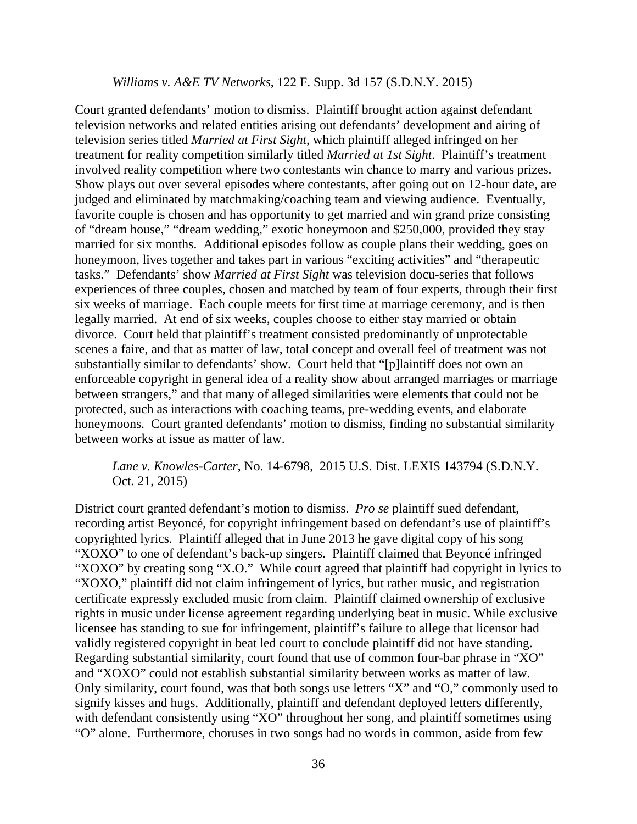#### *Williams v. A&E TV Networks*, 122 F. Supp. 3d 157 (S.D.N.Y. 2015)

Court granted defendants' motion to dismiss. Plaintiff brought action against defendant television networks and related entities arising out defendants' development and airing of television series titled *Married at First Sight*, which plaintiff alleged infringed on her treatment for reality competition similarly titled *Married at 1st Sight*. Plaintiff's treatment involved reality competition where two contestants win chance to marry and various prizes. Show plays out over several episodes where contestants, after going out on 12-hour date, are judged and eliminated by matchmaking/coaching team and viewing audience. Eventually, favorite couple is chosen and has opportunity to get married and win grand prize consisting of "dream house," "dream wedding," exotic honeymoon and \$250,000, provided they stay married for six months. Additional episodes follow as couple plans their wedding, goes on honeymoon, lives together and takes part in various "exciting activities" and "therapeutic tasks." Defendants' show *Married at First Sight* was television docu-series that follows experiences of three couples, chosen and matched by team of four experts, through their first six weeks of marriage. Each couple meets for first time at marriage ceremony, and is then legally married. At end of six weeks, couples choose to either stay married or obtain divorce. Court held that plaintiff's treatment consisted predominantly of unprotectable scenes a faire, and that as matter of law, total concept and overall feel of treatment was not substantially similar to defendants' show. Court held that "[p]laintiff does not own an enforceable copyright in general idea of a reality show about arranged marriages or marriage between strangers," and that many of alleged similarities were elements that could not be protected, such as interactions with coaching teams, pre-wedding events, and elaborate honeymoons. Court granted defendants' motion to dismiss, finding no substantial similarity between works at issue as matter of law.

### *Lane v. Knowles-Carter*, No. 14-6798, 2015 U.S. Dist. LEXIS 143794 (S.D.N.Y. Oct. 21, 2015)

District court granted defendant's motion to dismiss. *Pro se* plaintiff sued defendant, recording artist Beyoncé, for copyright infringement based on defendant's use of plaintiff's copyrighted lyrics. Plaintiff alleged that in June 2013 he gave digital copy of his song "XOXO" to one of defendant's back-up singers. Plaintiff claimed that Beyoncé infringed "XOXO" by creating song "X.O." While court agreed that plaintiff had copyright in lyrics to "XOXO," plaintiff did not claim infringement of lyrics, but rather music, and registration certificate expressly excluded music from claim. Plaintiff claimed ownership of exclusive rights in music under license agreement regarding underlying beat in music. While exclusive licensee has standing to sue for infringement, plaintiff's failure to allege that licensor had validly registered copyright in beat led court to conclude plaintiff did not have standing. Regarding substantial similarity, court found that use of common four-bar phrase in "XO" and "XOXO" could not establish substantial similarity between works as matter of law. Only similarity, court found, was that both songs use letters "X" and "O," commonly used to signify kisses and hugs. Additionally, plaintiff and defendant deployed letters differently, with defendant consistently using "XO" throughout her song, and plaintiff sometimes using "O" alone. Furthermore, choruses in two songs had no words in common, aside from few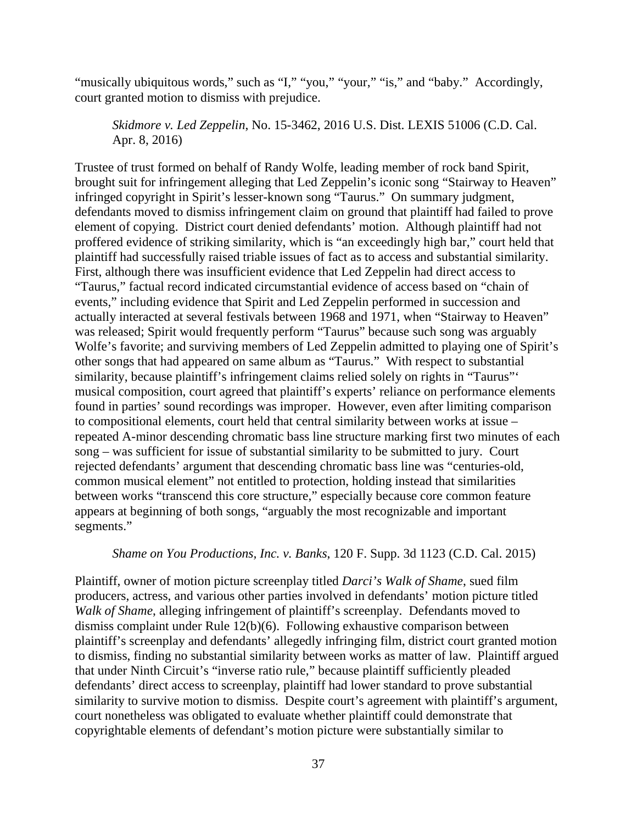"musically ubiquitous words," such as "I," "you," "your," "is," and "baby." Accordingly, court granted motion to dismiss with prejudice.

*Skidmore v. Led Zeppelin*, No. 15-3462, 2016 U.S. Dist. LEXIS 51006 (C.D. Cal. Apr. 8, 2016)

Trustee of trust formed on behalf of Randy Wolfe, leading member of rock band Spirit, brought suit for infringement alleging that Led Zeppelin's iconic song "Stairway to Heaven" infringed copyright in Spirit's lesser-known song "Taurus." On summary judgment, defendants moved to dismiss infringement claim on ground that plaintiff had failed to prove element of copying. District court denied defendants' motion. Although plaintiff had not proffered evidence of striking similarity, which is "an exceedingly high bar," court held that plaintiff had successfully raised triable issues of fact as to access and substantial similarity. First, although there was insufficient evidence that Led Zeppelin had direct access to "Taurus," factual record indicated circumstantial evidence of access based on "chain of events," including evidence that Spirit and Led Zeppelin performed in succession and actually interacted at several festivals between 1968 and 1971, when "Stairway to Heaven" was released; Spirit would frequently perform "Taurus" because such song was arguably Wolfe's favorite; and surviving members of Led Zeppelin admitted to playing one of Spirit's other songs that had appeared on same album as "Taurus." With respect to substantial similarity, because plaintiff's infringement claims relied solely on rights in "Taurus"' musical composition, court agreed that plaintiff's experts' reliance on performance elements found in parties' sound recordings was improper. However, even after limiting comparison to compositional elements, court held that central similarity between works at issue – repeated A-minor descending chromatic bass line structure marking first two minutes of each song – was sufficient for issue of substantial similarity to be submitted to jury. Court rejected defendants' argument that descending chromatic bass line was "centuries-old, common musical element" not entitled to protection, holding instead that similarities between works "transcend this core structure," especially because core common feature appears at beginning of both songs, "arguably the most recognizable and important segments."

#### *Shame on You Productions, Inc. v. Banks*, 120 F. Supp. 3d 1123 (C.D. Cal. 2015)

Plaintiff, owner of motion picture screenplay titled *Darci's Walk of Shame*, sued film producers, actress, and various other parties involved in defendants' motion picture titled *Walk of Shame*, alleging infringement of plaintiff's screenplay. Defendants moved to dismiss complaint under Rule 12(b)(6). Following exhaustive comparison between plaintiff's screenplay and defendants' allegedly infringing film, district court granted motion to dismiss, finding no substantial similarity between works as matter of law. Plaintiff argued that under Ninth Circuit's "inverse ratio rule," because plaintiff sufficiently pleaded defendants' direct access to screenplay, plaintiff had lower standard to prove substantial similarity to survive motion to dismiss. Despite court's agreement with plaintiff's argument, court nonetheless was obligated to evaluate whether plaintiff could demonstrate that copyrightable elements of defendant's motion picture were substantially similar to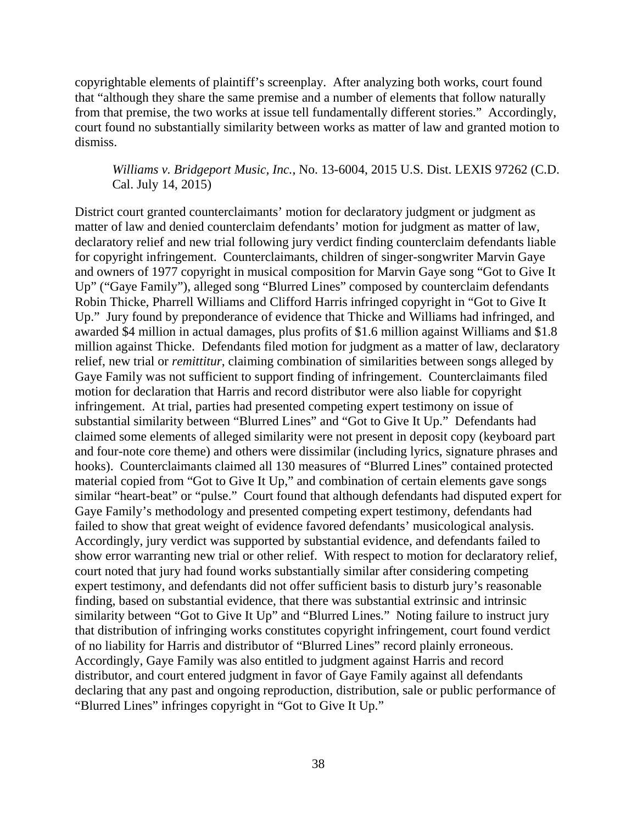copyrightable elements of plaintiff's screenplay. After analyzing both works, court found that "although they share the same premise and a number of elements that follow naturally from that premise, the two works at issue tell fundamentally different stories." Accordingly, court found no substantially similarity between works as matter of law and granted motion to dismiss.

### *Williams v. Bridgeport Music, Inc.*, No. 13-6004, 2015 U.S. Dist. LEXIS 97262 (C.D. Cal. July 14, 2015)

District court granted counterclaimants' motion for declaratory judgment or judgment as matter of law and denied counterclaim defendants' motion for judgment as matter of law, declaratory relief and new trial following jury verdict finding counterclaim defendants liable for copyright infringement. Counterclaimants, children of singer-songwriter Marvin Gaye and owners of 1977 copyright in musical composition for Marvin Gaye song "Got to Give It Up" ("Gaye Family"), alleged song "Blurred Lines" composed by counterclaim defendants Robin Thicke, Pharrell Williams and Clifford Harris infringed copyright in "Got to Give It Up." Jury found by preponderance of evidence that Thicke and Williams had infringed, and awarded \$4 million in actual damages, plus profits of \$1.6 million against Williams and \$1.8 million against Thicke. Defendants filed motion for judgment as a matter of law, declaratory relief, new trial or *remittitur*, claiming combination of similarities between songs alleged by Gaye Family was not sufficient to support finding of infringement. Counterclaimants filed motion for declaration that Harris and record distributor were also liable for copyright infringement. At trial, parties had presented competing expert testimony on issue of substantial similarity between "Blurred Lines" and "Got to Give It Up." Defendants had claimed some elements of alleged similarity were not present in deposit copy (keyboard part and four-note core theme) and others were dissimilar (including lyrics, signature phrases and hooks). Counterclaimants claimed all 130 measures of "Blurred Lines" contained protected material copied from "Got to Give It Up," and combination of certain elements gave songs similar "heart-beat" or "pulse." Court found that although defendants had disputed expert for Gaye Family's methodology and presented competing expert testimony, defendants had failed to show that great weight of evidence favored defendants' musicological analysis. Accordingly, jury verdict was supported by substantial evidence, and defendants failed to show error warranting new trial or other relief. With respect to motion for declaratory relief, court noted that jury had found works substantially similar after considering competing expert testimony, and defendants did not offer sufficient basis to disturb jury's reasonable finding, based on substantial evidence, that there was substantial extrinsic and intrinsic similarity between "Got to Give It Up" and "Blurred Lines." Noting failure to instruct jury that distribution of infringing works constitutes copyright infringement, court found verdict of no liability for Harris and distributor of "Blurred Lines" record plainly erroneous. Accordingly, Gaye Family was also entitled to judgment against Harris and record distributor, and court entered judgment in favor of Gaye Family against all defendants declaring that any past and ongoing reproduction, distribution, sale or public performance of "Blurred Lines" infringes copyright in "Got to Give It Up."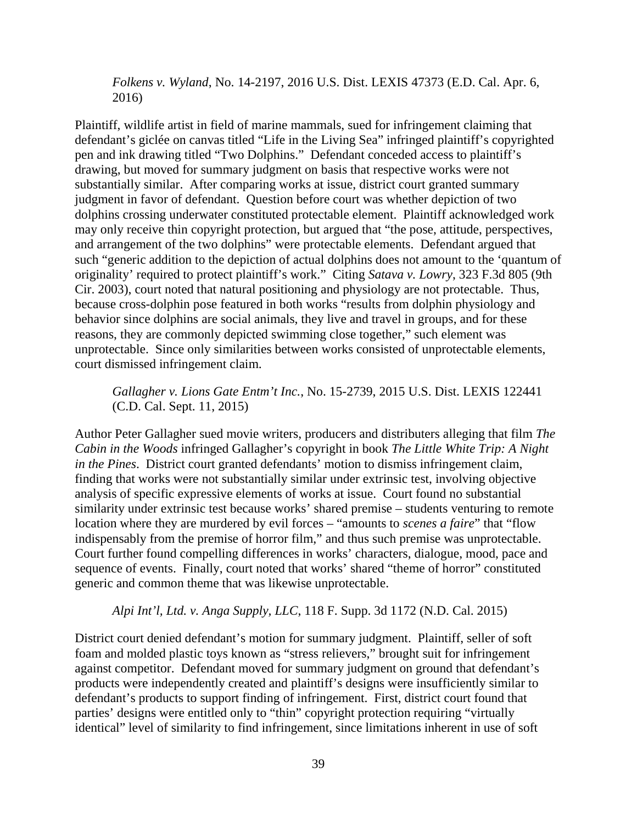*Folkens v. Wyland*, No. 14-2197, 2016 U.S. Dist. LEXIS 47373 (E.D. Cal. Apr. 6, 2016)

Plaintiff, wildlife artist in field of marine mammals, sued for infringement claiming that defendant's giclée on canvas titled "Life in the Living Sea" infringed plaintiff's copyrighted pen and ink drawing titled "Two Dolphins." Defendant conceded access to plaintiff's drawing, but moved for summary judgment on basis that respective works were not substantially similar. After comparing works at issue, district court granted summary judgment in favor of defendant. Question before court was whether depiction of two dolphins crossing underwater constituted protectable element. Plaintiff acknowledged work may only receive thin copyright protection, but argued that "the pose, attitude, perspectives, and arrangement of the two dolphins" were protectable elements. Defendant argued that such "generic addition to the depiction of actual dolphins does not amount to the 'quantum of originality' required to protect plaintiff's work." Citing *Satava v. Lowry*, 323 F.3d 805 (9th Cir. 2003), court noted that natural positioning and physiology are not protectable. Thus, because cross-dolphin pose featured in both works "results from dolphin physiology and behavior since dolphins are social animals, they live and travel in groups, and for these reasons, they are commonly depicted swimming close together," such element was unprotectable. Since only similarities between works consisted of unprotectable elements, court dismissed infringement claim.

*Gallagher v. Lions Gate Entm't Inc.*, No. 15-2739, 2015 U.S. Dist. LEXIS 122441 (C.D. Cal. Sept. 11, 2015)

Author Peter Gallagher sued movie writers, producers and distributers alleging that film *The Cabin in the Woods* infringed Gallagher's copyright in book *The Little White Trip: A Night in the Pines*. District court granted defendants' motion to dismiss infringement claim, finding that works were not substantially similar under extrinsic test, involving objective analysis of specific expressive elements of works at issue. Court found no substantial similarity under extrinsic test because works' shared premise – students venturing to remote location where they are murdered by evil forces – "amounts to *scenes a faire*" that "flow indispensably from the premise of horror film," and thus such premise was unprotectable. Court further found compelling differences in works' characters, dialogue, mood, pace and sequence of events. Finally, court noted that works' shared "theme of horror" constituted generic and common theme that was likewise unprotectable.

#### *Alpi Int'l, Ltd. v. Anga Supply, LLC*, 118 F. Supp. 3d 1172 (N.D. Cal. 2015)

District court denied defendant's motion for summary judgment. Plaintiff, seller of soft foam and molded plastic toys known as "stress relievers," brought suit for infringement against competitor. Defendant moved for summary judgment on ground that defendant's products were independently created and plaintiff's designs were insufficiently similar to defendant's products to support finding of infringement. First, district court found that parties' designs were entitled only to "thin" copyright protection requiring "virtually identical" level of similarity to find infringement, since limitations inherent in use of soft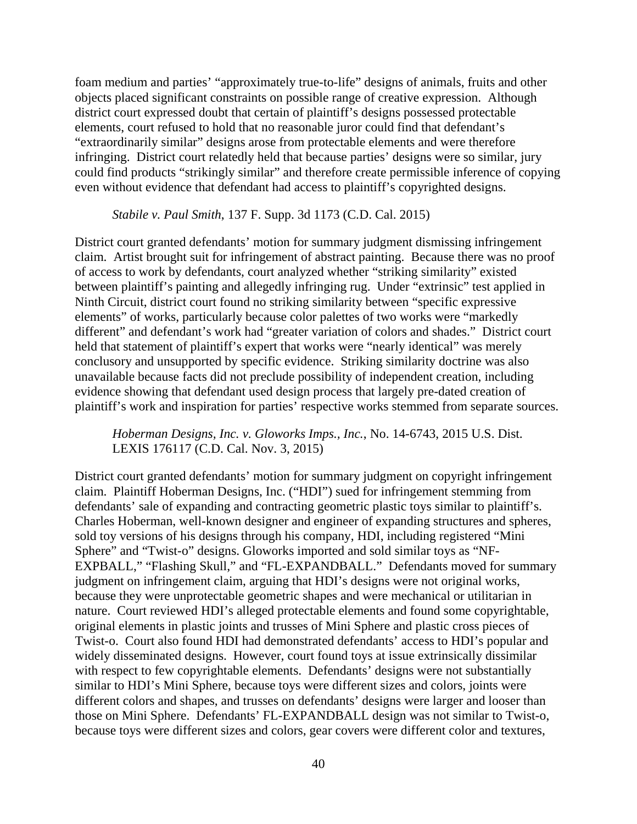foam medium and parties' "approximately true-to-life" designs of animals, fruits and other objects placed significant constraints on possible range of creative expression. Although district court expressed doubt that certain of plaintiff's designs possessed protectable elements, court refused to hold that no reasonable juror could find that defendant's "extraordinarily similar" designs arose from protectable elements and were therefore infringing. District court relatedly held that because parties' designs were so similar, jury could find products "strikingly similar" and therefore create permissible inference of copying even without evidence that defendant had access to plaintiff's copyrighted designs.

#### *Stabile v. Paul Smith*, 137 F. Supp. 3d 1173 (C.D. Cal. 2015)

District court granted defendants' motion for summary judgment dismissing infringement claim. Artist brought suit for infringement of abstract painting. Because there was no proof of access to work by defendants, court analyzed whether "striking similarity" existed between plaintiff's painting and allegedly infringing rug. Under "extrinsic" test applied in Ninth Circuit, district court found no striking similarity between "specific expressive elements" of works, particularly because color palettes of two works were "markedly different" and defendant's work had "greater variation of colors and shades." District court held that statement of plaintiff's expert that works were "nearly identical" was merely conclusory and unsupported by specific evidence. Striking similarity doctrine was also unavailable because facts did not preclude possibility of independent creation, including evidence showing that defendant used design process that largely pre-dated creation of plaintiff's work and inspiration for parties' respective works stemmed from separate sources.

*Hoberman Designs, Inc. v. Gloworks Imps., Inc.*, No. 14-6743, 2015 U.S. Dist. LEXIS 176117 (C.D. Cal. Nov. 3, 2015)

District court granted defendants' motion for summary judgment on copyright infringement claim. Plaintiff Hoberman Designs, Inc. ("HDI") sued for infringement stemming from defendants' sale of expanding and contracting geometric plastic toys similar to plaintiff's. Charles Hoberman, well-known designer and engineer of expanding structures and spheres, sold toy versions of his designs through his company, HDI, including registered "Mini Sphere" and "Twist-o" designs. Gloworks imported and sold similar toys as "NF-EXPBALL," "Flashing Skull," and "FL-EXPANDBALL." Defendants moved for summary judgment on infringement claim, arguing that HDI's designs were not original works, because they were unprotectable geometric shapes and were mechanical or utilitarian in nature. Court reviewed HDI's alleged protectable elements and found some copyrightable, original elements in plastic joints and trusses of Mini Sphere and plastic cross pieces of Twist-o. Court also found HDI had demonstrated defendants' access to HDI's popular and widely disseminated designs. However, court found toys at issue extrinsically dissimilar with respect to few copyrightable elements. Defendants' designs were not substantially similar to HDI's Mini Sphere, because toys were different sizes and colors, joints were different colors and shapes, and trusses on defendants' designs were larger and looser than those on Mini Sphere. Defendants' FL-EXPANDBALL design was not similar to Twist-o, because toys were different sizes and colors, gear covers were different color and textures,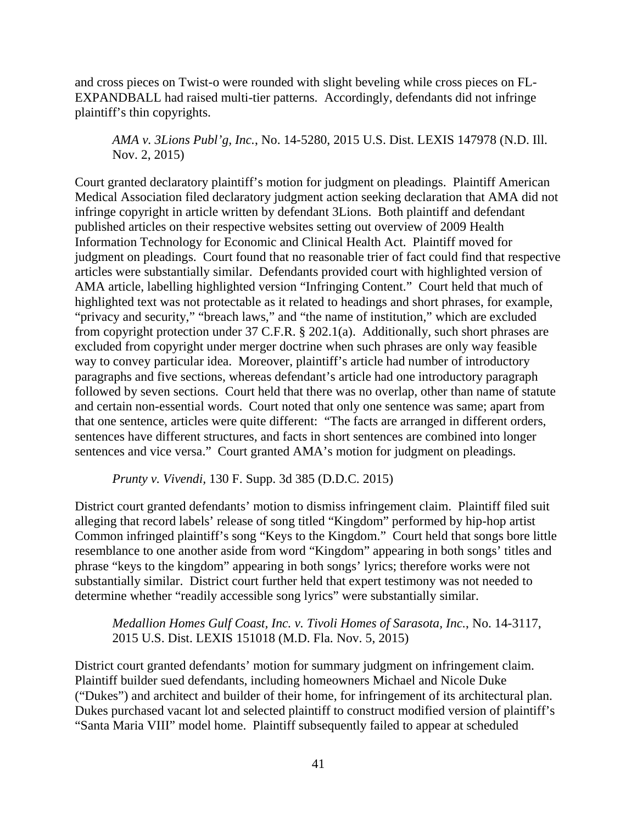and cross pieces on Twist-o were rounded with slight beveling while cross pieces on FL-EXPANDBALL had raised multi-tier patterns. Accordingly, defendants did not infringe plaintiff's thin copyrights.

*AMA v. 3Lions Publ'g, Inc.*, No. 14-5280, 2015 U.S. Dist. LEXIS 147978 (N.D. Ill. Nov. 2, 2015)

Court granted declaratory plaintiff's motion for judgment on pleadings. Plaintiff American Medical Association filed declaratory judgment action seeking declaration that AMA did not infringe copyright in article written by defendant 3Lions. Both plaintiff and defendant published articles on their respective websites setting out overview of 2009 Health Information Technology for Economic and Clinical Health Act. Plaintiff moved for judgment on pleadings. Court found that no reasonable trier of fact could find that respective articles were substantially similar. Defendants provided court with highlighted version of AMA article, labelling highlighted version "Infringing Content." Court held that much of highlighted text was not protectable as it related to headings and short phrases, for example, "privacy and security," "breach laws," and "the name of institution," which are excluded from copyright protection under 37 C.F.R. § 202.1(a). Additionally, such short phrases are excluded from copyright under merger doctrine when such phrases are only way feasible way to convey particular idea. Moreover, plaintiff's article had number of introductory paragraphs and five sections, whereas defendant's article had one introductory paragraph followed by seven sections. Court held that there was no overlap, other than name of statute and certain non-essential words. Court noted that only one sentence was same; apart from that one sentence, articles were quite different: "The facts are arranged in different orders, sentences have different structures, and facts in short sentences are combined into longer sentences and vice versa." Court granted AMA's motion for judgment on pleadings.

*Prunty v. Vivendi,* 130 F. Supp. 3d 385 (D.D.C. 2015)

District court granted defendants' motion to dismiss infringement claim. Plaintiff filed suit alleging that record labels' release of song titled "Kingdom" performed by hip-hop artist Common infringed plaintiff's song "Keys to the Kingdom." Court held that songs bore little resemblance to one another aside from word "Kingdom" appearing in both songs' titles and phrase "keys to the kingdom" appearing in both songs' lyrics; therefore works were not substantially similar. District court further held that expert testimony was not needed to determine whether "readily accessible song lyrics" were substantially similar.

*Medallion Homes Gulf Coast, Inc. v. Tivoli Homes of Sarasota, Inc.*, No. 14-3117, 2015 U.S. Dist. LEXIS 151018 (M.D. Fla. Nov. 5, 2015)

District court granted defendants' motion for summary judgment on infringement claim. Plaintiff builder sued defendants, including homeowners Michael and Nicole Duke ("Dukes") and architect and builder of their home, for infringement of its architectural plan. Dukes purchased vacant lot and selected plaintiff to construct modified version of plaintiff's "Santa Maria VIII" model home. Plaintiff subsequently failed to appear at scheduled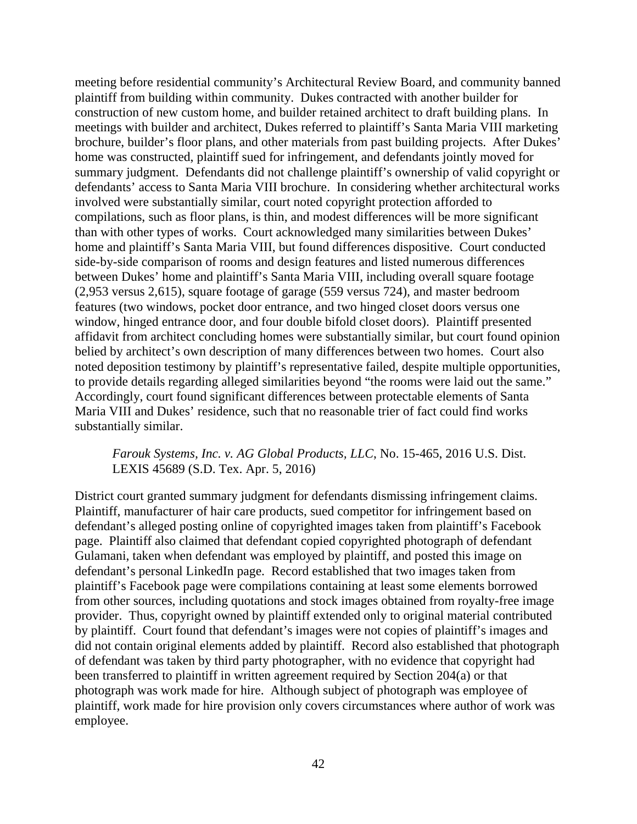meeting before residential community's Architectural Review Board, and community banned plaintiff from building within community. Dukes contracted with another builder for construction of new custom home, and builder retained architect to draft building plans. In meetings with builder and architect, Dukes referred to plaintiff's Santa Maria VIII marketing brochure, builder's floor plans, and other materials from past building projects. After Dukes' home was constructed, plaintiff sued for infringement, and defendants jointly moved for summary judgment. Defendants did not challenge plaintiff's ownership of valid copyright or defendants' access to Santa Maria VIII brochure. In considering whether architectural works involved were substantially similar, court noted copyright protection afforded to compilations, such as floor plans, is thin, and modest differences will be more significant than with other types of works. Court acknowledged many similarities between Dukes' home and plaintiff's Santa Maria VIII, but found differences dispositive. Court conducted side-by-side comparison of rooms and design features and listed numerous differences between Dukes' home and plaintiff's Santa Maria VIII, including overall square footage (2,953 versus 2,615), square footage of garage (559 versus 724), and master bedroom features (two windows, pocket door entrance, and two hinged closet doors versus one window, hinged entrance door, and four double bifold closet doors). Plaintiff presented affidavit from architect concluding homes were substantially similar, but court found opinion belied by architect's own description of many differences between two homes. Court also noted deposition testimony by plaintiff's representative failed, despite multiple opportunities, to provide details regarding alleged similarities beyond "the rooms were laid out the same." Accordingly, court found significant differences between protectable elements of Santa Maria VIII and Dukes' residence, such that no reasonable trier of fact could find works substantially similar.

*Farouk Systems, Inc. v. AG Global Products, LLC*, No. 15-465, 2016 U.S. Dist. LEXIS 45689 (S.D. Tex. Apr. 5, 2016)

District court granted summary judgment for defendants dismissing infringement claims. Plaintiff, manufacturer of hair care products, sued competitor for infringement based on defendant's alleged posting online of copyrighted images taken from plaintiff's Facebook page. Plaintiff also claimed that defendant copied copyrighted photograph of defendant Gulamani, taken when defendant was employed by plaintiff, and posted this image on defendant's personal LinkedIn page. Record established that two images taken from plaintiff's Facebook page were compilations containing at least some elements borrowed from other sources, including quotations and stock images obtained from royalty-free image provider. Thus, copyright owned by plaintiff extended only to original material contributed by plaintiff. Court found that defendant's images were not copies of plaintiff's images and did not contain original elements added by plaintiff. Record also established that photograph of defendant was taken by third party photographer, with no evidence that copyright had been transferred to plaintiff in written agreement required by Section 204(a) or that photograph was work made for hire. Although subject of photograph was employee of plaintiff, work made for hire provision only covers circumstances where author of work was employee.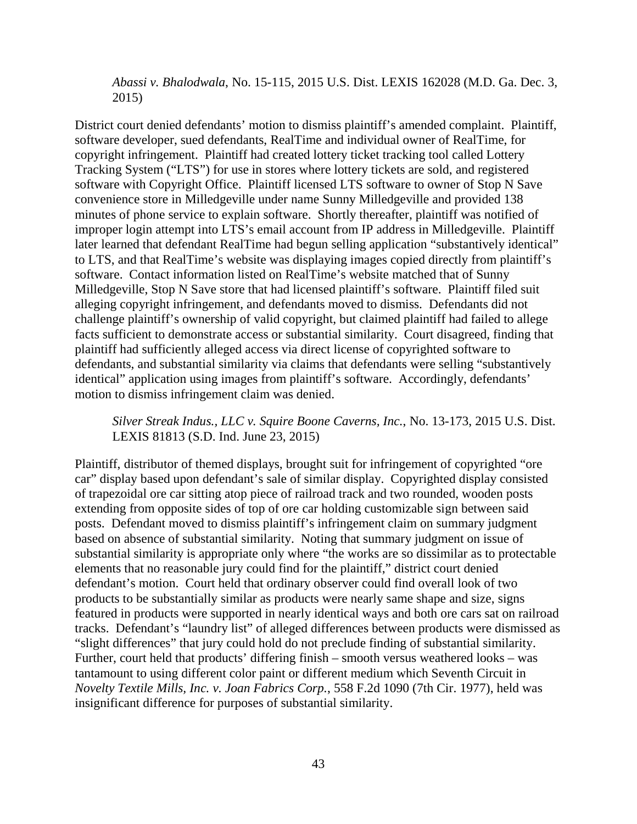*Abassi v. Bhalodwala*, No. 15-115, 2015 U.S. Dist. LEXIS 162028 (M.D. Ga. Dec. 3, 2015)

District court denied defendants' motion to dismiss plaintiff's amended complaint. Plaintiff, software developer, sued defendants, RealTime and individual owner of RealTime, for copyright infringement. Plaintiff had created lottery ticket tracking tool called Lottery Tracking System ("LTS") for use in stores where lottery tickets are sold, and registered software with Copyright Office. Plaintiff licensed LTS software to owner of Stop N Save convenience store in Milledgeville under name Sunny Milledgeville and provided 138 minutes of phone service to explain software. Shortly thereafter, plaintiff was notified of improper login attempt into LTS's email account from IP address in Milledgeville. Plaintiff later learned that defendant RealTime had begun selling application "substantively identical" to LTS, and that RealTime's website was displaying images copied directly from plaintiff's software. Contact information listed on RealTime's website matched that of Sunny Milledgeville, Stop N Save store that had licensed plaintiff's software. Plaintiff filed suit alleging copyright infringement, and defendants moved to dismiss. Defendants did not challenge plaintiff's ownership of valid copyright, but claimed plaintiff had failed to allege facts sufficient to demonstrate access or substantial similarity. Court disagreed, finding that plaintiff had sufficiently alleged access via direct license of copyrighted software to defendants, and substantial similarity via claims that defendants were selling "substantively identical" application using images from plaintiff's software. Accordingly, defendants' motion to dismiss infringement claim was denied.

*Silver Streak Indus., LLC v. Squire Boone Caverns, Inc.*, No. 13-173, 2015 U.S. Dist. LEXIS 81813 (S.D. Ind. June 23, 2015)

Plaintiff, distributor of themed displays, brought suit for infringement of copyrighted "ore car" display based upon defendant's sale of similar display. Copyrighted display consisted of trapezoidal ore car sitting atop piece of railroad track and two rounded, wooden posts extending from opposite sides of top of ore car holding customizable sign between said posts. Defendant moved to dismiss plaintiff's infringement claim on summary judgment based on absence of substantial similarity. Noting that summary judgment on issue of substantial similarity is appropriate only where "the works are so dissimilar as to protectable elements that no reasonable jury could find for the plaintiff," district court denied defendant's motion. Court held that ordinary observer could find overall look of two products to be substantially similar as products were nearly same shape and size, signs featured in products were supported in nearly identical ways and both ore cars sat on railroad tracks. Defendant's "laundry list" of alleged differences between products were dismissed as "slight differences" that jury could hold do not preclude finding of substantial similarity. Further, court held that products' differing finish – smooth versus weathered looks – was tantamount to using different color paint or different medium which Seventh Circuit in *Novelty Textile Mills, Inc. v. Joan Fabrics Corp.*, 558 F.2d 1090 (7th Cir. 1977), held was insignificant difference for purposes of substantial similarity.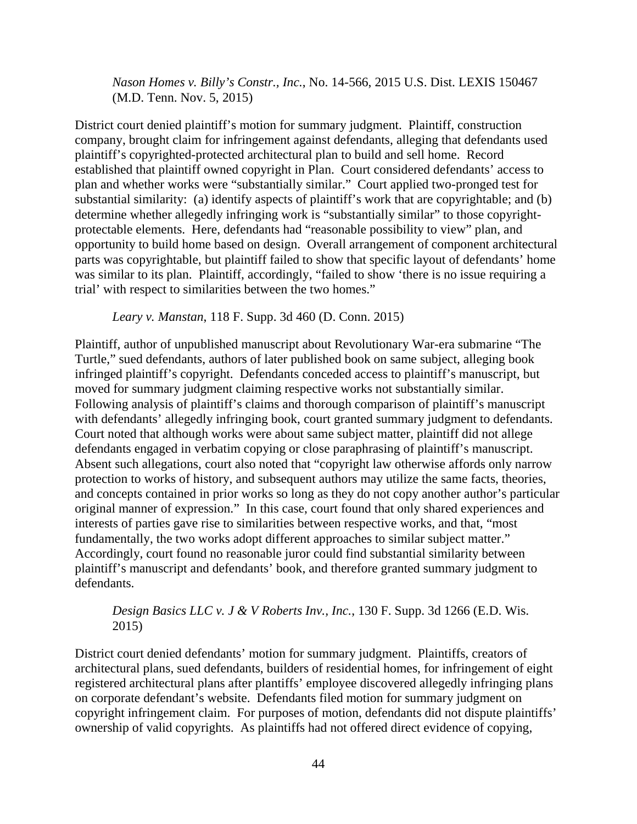*Nason Homes v. Billy's Constr., Inc.*, No. 14-566, 2015 U.S. Dist. LEXIS 150467 (M.D. Tenn. Nov. 5, 2015)

District court denied plaintiff's motion for summary judgment. Plaintiff, construction company, brought claim for infringement against defendants, alleging that defendants used plaintiff's copyrighted-protected architectural plan to build and sell home. Record established that plaintiff owned copyright in Plan. Court considered defendants' access to plan and whether works were "substantially similar." Court applied two-pronged test for substantial similarity: (a) identify aspects of plaintiff's work that are copyrightable; and (b) determine whether allegedly infringing work is "substantially similar" to those copyrightprotectable elements. Here, defendants had "reasonable possibility to view" plan, and opportunity to build home based on design. Overall arrangement of component architectural parts was copyrightable, but plaintiff failed to show that specific layout of defendants' home was similar to its plan. Plaintiff, accordingly, "failed to show 'there is no issue requiring a trial' with respect to similarities between the two homes."

*Leary v. Manstan*, 118 F. Supp. 3d 460 (D. Conn. 2015)

Plaintiff, author of unpublished manuscript about Revolutionary War-era submarine "The Turtle," sued defendants, authors of later published book on same subject, alleging book infringed plaintiff's copyright. Defendants conceded access to plaintiff's manuscript, but moved for summary judgment claiming respective works not substantially similar. Following analysis of plaintiff's claims and thorough comparison of plaintiff's manuscript with defendants' allegedly infringing book, court granted summary judgment to defendants. Court noted that although works were about same subject matter, plaintiff did not allege defendants engaged in verbatim copying or close paraphrasing of plaintiff's manuscript. Absent such allegations, court also noted that "copyright law otherwise affords only narrow protection to works of history, and subsequent authors may utilize the same facts, theories, and concepts contained in prior works so long as they do not copy another author's particular original manner of expression." In this case, court found that only shared experiences and interests of parties gave rise to similarities between respective works, and that, "most fundamentally, the two works adopt different approaches to similar subject matter." Accordingly, court found no reasonable juror could find substantial similarity between plaintiff's manuscript and defendants' book, and therefore granted summary judgment to defendants.

*Design Basics LLC v. J & V Roberts Inv., Inc.*, 130 F. Supp. 3d 1266 (E.D. Wis. 2015)

District court denied defendants' motion for summary judgment. Plaintiffs, creators of architectural plans, sued defendants, builders of residential homes, for infringement of eight registered architectural plans after plantiffs' employee discovered allegedly infringing plans on corporate defendant's website. Defendants filed motion for summary judgment on copyright infringement claim. For purposes of motion, defendants did not dispute plaintiffs' ownership of valid copyrights. As plaintiffs had not offered direct evidence of copying,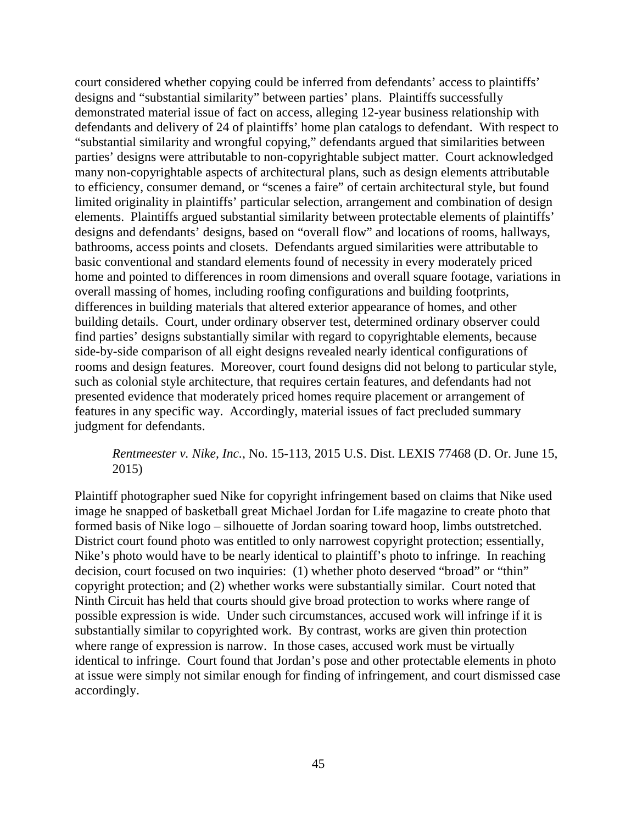court considered whether copying could be inferred from defendants' access to plaintiffs' designs and "substantial similarity" between parties' plans. Plaintiffs successfully demonstrated material issue of fact on access, alleging 12-year business relationship with defendants and delivery of 24 of plaintiffs' home plan catalogs to defendant. With respect to "substantial similarity and wrongful copying," defendants argued that similarities between parties' designs were attributable to non-copyrightable subject matter. Court acknowledged many non-copyrightable aspects of architectural plans, such as design elements attributable to efficiency, consumer demand, or "scenes a faire" of certain architectural style, but found limited originality in plaintiffs' particular selection, arrangement and combination of design elements. Plaintiffs argued substantial similarity between protectable elements of plaintiffs' designs and defendants' designs, based on "overall flow" and locations of rooms, hallways, bathrooms, access points and closets. Defendants argued similarities were attributable to basic conventional and standard elements found of necessity in every moderately priced home and pointed to differences in room dimensions and overall square footage, variations in overall massing of homes, including roofing configurations and building footprints, differences in building materials that altered exterior appearance of homes, and other building details. Court, under ordinary observer test, determined ordinary observer could find parties' designs substantially similar with regard to copyrightable elements, because side-by-side comparison of all eight designs revealed nearly identical configurations of rooms and design features. Moreover, court found designs did not belong to particular style, such as colonial style architecture, that requires certain features, and defendants had not presented evidence that moderately priced homes require placement or arrangement of features in any specific way. Accordingly, material issues of fact precluded summary judgment for defendants.

### *Rentmeester v. Nike, Inc.*, No. 15-113, 2015 U.S. Dist. LEXIS 77468 (D. Or. June 15, 2015)

Plaintiff photographer sued Nike for copyright infringement based on claims that Nike used image he snapped of basketball great Michael Jordan for Life magazine to create photo that formed basis of Nike logo – silhouette of Jordan soaring toward hoop, limbs outstretched. District court found photo was entitled to only narrowest copyright protection; essentially, Nike's photo would have to be nearly identical to plaintiff's photo to infringe. In reaching decision, court focused on two inquiries: (1) whether photo deserved "broad" or "thin" copyright protection; and (2) whether works were substantially similar. Court noted that Ninth Circuit has held that courts should give broad protection to works where range of possible expression is wide. Under such circumstances, accused work will infringe if it is substantially similar to copyrighted work. By contrast, works are given thin protection where range of expression is narrow. In those cases, accused work must be virtually identical to infringe. Court found that Jordan's pose and other protectable elements in photo at issue were simply not similar enough for finding of infringement, and court dismissed case accordingly.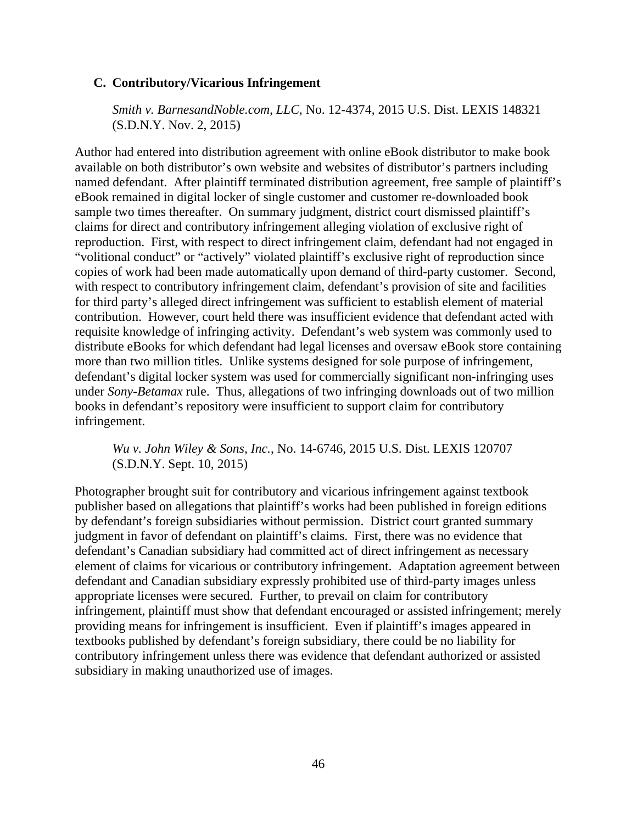### **C. Contributory/Vicarious Infringement**

*Smith v. BarnesandNoble.com, LLC*, No. 12-4374, 2015 U.S. Dist. LEXIS 148321 (S.D.N.Y. Nov. 2, 2015)

Author had entered into distribution agreement with online eBook distributor to make book available on both distributor's own website and websites of distributor's partners including named defendant. After plaintiff terminated distribution agreement, free sample of plaintiff's eBook remained in digital locker of single customer and customer re-downloaded book sample two times thereafter. On summary judgment, district court dismissed plaintiff's claims for direct and contributory infringement alleging violation of exclusive right of reproduction. First, with respect to direct infringement claim, defendant had not engaged in "volitional conduct" or "actively" violated plaintiff's exclusive right of reproduction since copies of work had been made automatically upon demand of third-party customer. Second, with respect to contributory infringement claim, defendant's provision of site and facilities for third party's alleged direct infringement was sufficient to establish element of material contribution. However, court held there was insufficient evidence that defendant acted with requisite knowledge of infringing activity. Defendant's web system was commonly used to distribute eBooks for which defendant had legal licenses and oversaw eBook store containing more than two million titles. Unlike systems designed for sole purpose of infringement, defendant's digital locker system was used for commercially significant non-infringing uses under *Sony-Betamax* rule. Thus, allegations of two infringing downloads out of two million books in defendant's repository were insufficient to support claim for contributory infringement.

*Wu v. John Wiley & Sons, Inc.*, No. 14-6746, 2015 U.S. Dist. LEXIS 120707 (S.D.N.Y. Sept. 10, 2015)

Photographer brought suit for contributory and vicarious infringement against textbook publisher based on allegations that plaintiff's works had been published in foreign editions by defendant's foreign subsidiaries without permission. District court granted summary judgment in favor of defendant on plaintiff's claims. First, there was no evidence that defendant's Canadian subsidiary had committed act of direct infringement as necessary element of claims for vicarious or contributory infringement. Adaptation agreement between defendant and Canadian subsidiary expressly prohibited use of third-party images unless appropriate licenses were secured. Further, to prevail on claim for contributory infringement, plaintiff must show that defendant encouraged or assisted infringement; merely providing means for infringement is insufficient. Even if plaintiff's images appeared in textbooks published by defendant's foreign subsidiary, there could be no liability for contributory infringement unless there was evidence that defendant authorized or assisted subsidiary in making unauthorized use of images.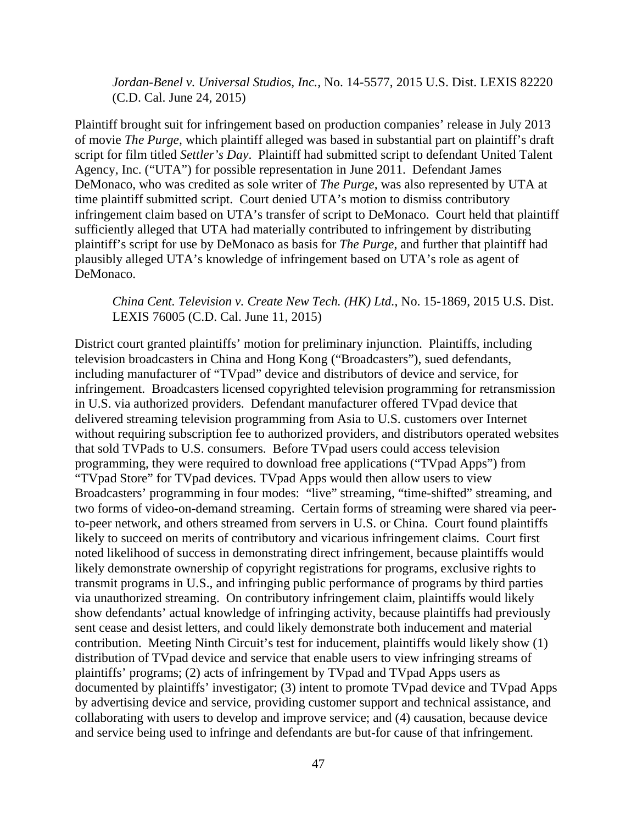*Jordan-Benel v. Universal Studios, Inc.,* No. 14-5577, 2015 U.S. Dist. LEXIS 82220 (C.D. Cal. June 24, 2015)

Plaintiff brought suit for infringement based on production companies' release in July 2013 of movie *The Purge*, which plaintiff alleged was based in substantial part on plaintiff's draft script for film titled *Settler's Day*. Plaintiff had submitted script to defendant United Talent Agency, Inc. ("UTA") for possible representation in June 2011. Defendant James DeMonaco, who was credited as sole writer of *The Purge*, was also represented by UTA at time plaintiff submitted script. Court denied UTA's motion to dismiss contributory infringement claim based on UTA's transfer of script to DeMonaco. Court held that plaintiff sufficiently alleged that UTA had materially contributed to infringement by distributing plaintiff's script for use by DeMonaco as basis for *The Purge*, and further that plaintiff had plausibly alleged UTA's knowledge of infringement based on UTA's role as agent of DeMonaco.

*China Cent. Television v. Create New Tech. (HK) Ltd.*, No. 15-1869, 2015 U.S. Dist. LEXIS 76005 (C.D. Cal. June 11, 2015)

District court granted plaintiffs' motion for preliminary injunction. Plaintiffs, including television broadcasters in China and Hong Kong ("Broadcasters"), sued defendants, including manufacturer of "TVpad" device and distributors of device and service, for infringement. Broadcasters licensed copyrighted television programming for retransmission in U.S. via authorized providers. Defendant manufacturer offered TVpad device that delivered streaming television programming from Asia to U.S. customers over Internet without requiring subscription fee to authorized providers, and distributors operated websites that sold TVPads to U.S. consumers. Before TVpad users could access television programming, they were required to download free applications ("TVpad Apps") from "TVpad Store" for TVpad devices. TVpad Apps would then allow users to view Broadcasters' programming in four modes: "live" streaming, "time-shifted" streaming, and two forms of video-on-demand streaming. Certain forms of streaming were shared via peerto-peer network, and others streamed from servers in U.S. or China. Court found plaintiffs likely to succeed on merits of contributory and vicarious infringement claims. Court first noted likelihood of success in demonstrating direct infringement, because plaintiffs would likely demonstrate ownership of copyright registrations for programs, exclusive rights to transmit programs in U.S., and infringing public performance of programs by third parties via unauthorized streaming. On contributory infringement claim, plaintiffs would likely show defendants' actual knowledge of infringing activity, because plaintiffs had previously sent cease and desist letters, and could likely demonstrate both inducement and material contribution. Meeting Ninth Circuit's test for inducement, plaintiffs would likely show (1) distribution of TVpad device and service that enable users to view infringing streams of plaintiffs' programs; (2) acts of infringement by TVpad and TVpad Apps users as documented by plaintiffs' investigator; (3) intent to promote TVpad device and TVpad Apps by advertising device and service, providing customer support and technical assistance, and collaborating with users to develop and improve service; and (4) causation, because device and service being used to infringe and defendants are but-for cause of that infringement.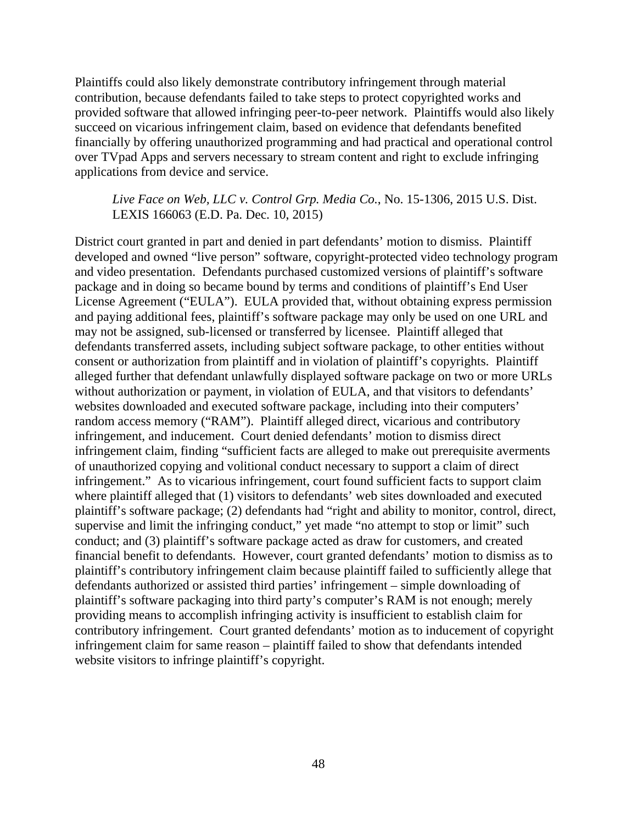Plaintiffs could also likely demonstrate contributory infringement through material contribution, because defendants failed to take steps to protect copyrighted works and provided software that allowed infringing peer-to-peer network. Plaintiffs would also likely succeed on vicarious infringement claim, based on evidence that defendants benefited financially by offering unauthorized programming and had practical and operational control over TVpad Apps and servers necessary to stream content and right to exclude infringing applications from device and service.

*Live Face on Web, LLC v. Control Grp. Media Co.*, No. 15-1306, 2015 U.S. Dist. LEXIS 166063 (E.D. Pa. Dec. 10, 2015)

District court granted in part and denied in part defendants' motion to dismiss. Plaintiff developed and owned "live person" software, copyright-protected video technology program and video presentation. Defendants purchased customized versions of plaintiff's software package and in doing so became bound by terms and conditions of plaintiff's End User License Agreement ("EULA"). EULA provided that, without obtaining express permission and paying additional fees, plaintiff's software package may only be used on one URL and may not be assigned, sub-licensed or transferred by licensee. Plaintiff alleged that defendants transferred assets, including subject software package, to other entities without consent or authorization from plaintiff and in violation of plaintiff's copyrights. Plaintiff alleged further that defendant unlawfully displayed software package on two or more URLs without authorization or payment, in violation of EULA, and that visitors to defendants' websites downloaded and executed software package, including into their computers' random access memory ("RAM"). Plaintiff alleged direct, vicarious and contributory infringement, and inducement. Court denied defendants' motion to dismiss direct infringement claim, finding "sufficient facts are alleged to make out prerequisite averments of unauthorized copying and volitional conduct necessary to support a claim of direct infringement." As to vicarious infringement, court found sufficient facts to support claim where plaintiff alleged that (1) visitors to defendants' web sites downloaded and executed plaintiff's software package; (2) defendants had "right and ability to monitor, control, direct, supervise and limit the infringing conduct," yet made "no attempt to stop or limit" such conduct; and (3) plaintiff's software package acted as draw for customers, and created financial benefit to defendants. However, court granted defendants' motion to dismiss as to plaintiff's contributory infringement claim because plaintiff failed to sufficiently allege that defendants authorized or assisted third parties' infringement – simple downloading of plaintiff's software packaging into third party's computer's RAM is not enough; merely providing means to accomplish infringing activity is insufficient to establish claim for contributory infringement. Court granted defendants' motion as to inducement of copyright infringement claim for same reason – plaintiff failed to show that defendants intended website visitors to infringe plaintiff's copyright.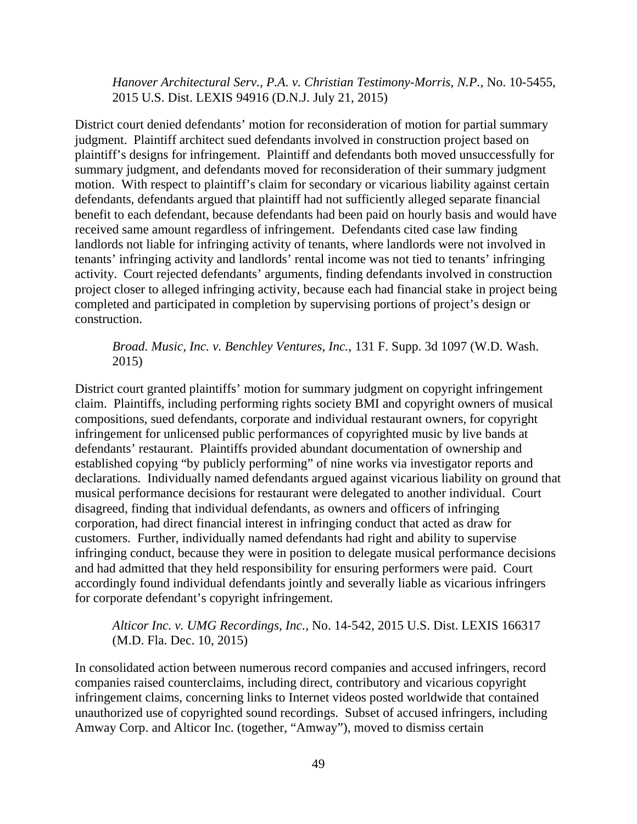*Hanover Architectural Serv., P.A. v. Christian Testimony-Morris, N.P.*, No. 10-5455, 2015 U.S. Dist. LEXIS 94916 (D.N.J. July 21, 2015)

District court denied defendants' motion for reconsideration of motion for partial summary judgment. Plaintiff architect sued defendants involved in construction project based on plaintiff's designs for infringement. Plaintiff and defendants both moved unsuccessfully for summary judgment, and defendants moved for reconsideration of their summary judgment motion. With respect to plaintiff's claim for secondary or vicarious liability against certain defendants, defendants argued that plaintiff had not sufficiently alleged separate financial benefit to each defendant, because defendants had been paid on hourly basis and would have received same amount regardless of infringement. Defendants cited case law finding landlords not liable for infringing activity of tenants, where landlords were not involved in tenants' infringing activity and landlords' rental income was not tied to tenants' infringing activity. Court rejected defendants' arguments, finding defendants involved in construction project closer to alleged infringing activity, because each had financial stake in project being completed and participated in completion by supervising portions of project's design or construction.

## *Broad. Music, Inc. v. Benchley Ventures, Inc.*, 131 F. Supp. 3d 1097 (W.D. Wash. 2015)

District court granted plaintiffs' motion for summary judgment on copyright infringement claim. Plaintiffs, including performing rights society BMI and copyright owners of musical compositions, sued defendants, corporate and individual restaurant owners, for copyright infringement for unlicensed public performances of copyrighted music by live bands at defendants' restaurant. Plaintiffs provided abundant documentation of ownership and established copying "by publicly performing" of nine works via investigator reports and declarations. Individually named defendants argued against vicarious liability on ground that musical performance decisions for restaurant were delegated to another individual. Court disagreed, finding that individual defendants, as owners and officers of infringing corporation, had direct financial interest in infringing conduct that acted as draw for customers. Further, individually named defendants had right and ability to supervise infringing conduct, because they were in position to delegate musical performance decisions and had admitted that they held responsibility for ensuring performers were paid. Court accordingly found individual defendants jointly and severally liable as vicarious infringers for corporate defendant's copyright infringement.

## *Alticor Inc. v. UMG Recordings, Inc.*, No. 14-542, 2015 U.S. Dist. LEXIS 166317 (M.D. Fla. Dec. 10, 2015)

In consolidated action between numerous record companies and accused infringers, record companies raised counterclaims, including direct, contributory and vicarious copyright infringement claims, concerning links to Internet videos posted worldwide that contained unauthorized use of copyrighted sound recordings. Subset of accused infringers, including Amway Corp. and Alticor Inc. (together, "Amway"), moved to dismiss certain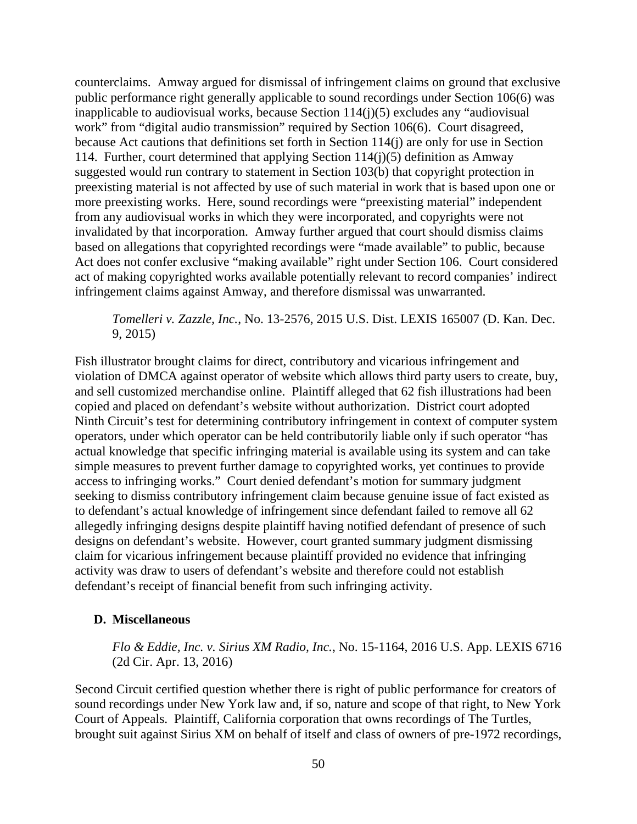counterclaims. Amway argued for dismissal of infringement claims on ground that exclusive public performance right generally applicable to sound recordings under Section 106(6) was inapplicable to audiovisual works, because Section 114(j)(5) excludes any "audiovisual work" from "digital audio transmission" required by Section 106(6). Court disagreed, because Act cautions that definitions set forth in Section 114(j) are only for use in Section 114. Further, court determined that applying Section 114(j)(5) definition as Amway suggested would run contrary to statement in Section 103(b) that copyright protection in preexisting material is not affected by use of such material in work that is based upon one or more preexisting works. Here, sound recordings were "preexisting material" independent from any audiovisual works in which they were incorporated, and copyrights were not invalidated by that incorporation. Amway further argued that court should dismiss claims based on allegations that copyrighted recordings were "made available" to public, because Act does not confer exclusive "making available" right under Section 106. Court considered act of making copyrighted works available potentially relevant to record companies' indirect infringement claims against Amway, and therefore dismissal was unwarranted.

*Tomelleri v. Zazzle, Inc.*, No. 13-2576, 2015 U.S. Dist. LEXIS 165007 (D. Kan. Dec. 9, 2015)

Fish illustrator brought claims for direct, contributory and vicarious infringement and violation of DMCA against operator of website which allows third party users to create, buy, and sell customized merchandise online. Plaintiff alleged that 62 fish illustrations had been copied and placed on defendant's website without authorization. District court adopted Ninth Circuit's test for determining contributory infringement in context of computer system operators, under which operator can be held contributorily liable only if such operator "has actual knowledge that specific infringing material is available using its system and can take simple measures to prevent further damage to copyrighted works, yet continues to provide access to infringing works." Court denied defendant's motion for summary judgment seeking to dismiss contributory infringement claim because genuine issue of fact existed as to defendant's actual knowledge of infringement since defendant failed to remove all 62 allegedly infringing designs despite plaintiff having notified defendant of presence of such designs on defendant's website. However, court granted summary judgment dismissing claim for vicarious infringement because plaintiff provided no evidence that infringing activity was draw to users of defendant's website and therefore could not establish defendant's receipt of financial benefit from such infringing activity.

#### **D. Miscellaneous**

*Flo & Eddie, Inc. v. Sirius XM Radio, Inc.*, No. 15-1164, 2016 U.S. App. LEXIS 6716 (2d Cir. Apr. 13, 2016)

Second Circuit certified question whether there is right of public performance for creators of sound recordings under New York law and, if so, nature and scope of that right, to New York Court of Appeals. Plaintiff, California corporation that owns recordings of The Turtles, brought suit against Sirius XM on behalf of itself and class of owners of pre-1972 recordings,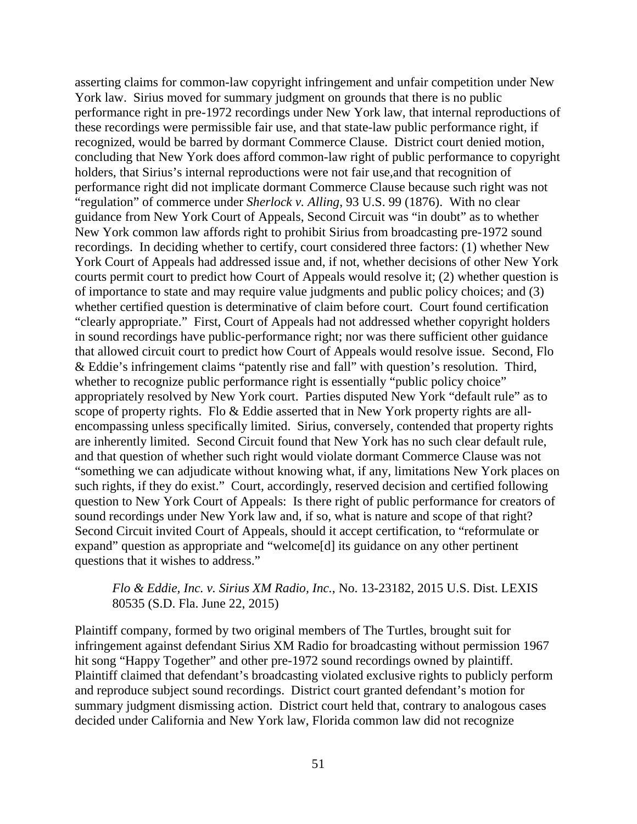asserting claims for common-law copyright infringement and unfair competition under New York law. Sirius moved for summary judgment on grounds that there is no public performance right in pre-1972 recordings under New York law, that internal reproductions of these recordings were permissible fair use, and that state-law public performance right, if recognized, would be barred by dormant Commerce Clause. District court denied motion, concluding that New York does afford common-law right of public performance to copyright holders, that Sirius's internal reproductions were not fair use,and that recognition of performance right did not implicate dormant Commerce Clause because such right was not "regulation" of commerce under *Sherlock v. Alling*, 93 U.S. 99 (1876). With no clear guidance from New York Court of Appeals, Second Circuit was "in doubt" as to whether New York common law affords right to prohibit Sirius from broadcasting pre-1972 sound recordings. In deciding whether to certify, court considered three factors: (1) whether New York Court of Appeals had addressed issue and, if not, whether decisions of other New York courts permit court to predict how Court of Appeals would resolve it; (2) whether question is of importance to state and may require value judgments and public policy choices; and (3) whether certified question is determinative of claim before court. Court found certification "clearly appropriate." First, Court of Appeals had not addressed whether copyright holders in sound recordings have public-performance right; nor was there sufficient other guidance that allowed circuit court to predict how Court of Appeals would resolve issue. Second, Flo & Eddie's infringement claims "patently rise and fall" with question's resolution. Third, whether to recognize public performance right is essentially "public policy choice" appropriately resolved by New York court. Parties disputed New York "default rule" as to scope of property rights. Flo & Eddie asserted that in New York property rights are allencompassing unless specifically limited. Sirius, conversely, contended that property rights are inherently limited. Second Circuit found that New York has no such clear default rule, and that question of whether such right would violate dormant Commerce Clause was not "something we can adjudicate without knowing what, if any, limitations New York places on such rights, if they do exist." Court, accordingly, reserved decision and certified following question to New York Court of Appeals: Is there right of public performance for creators of sound recordings under New York law and, if so, what is nature and scope of that right? Second Circuit invited Court of Appeals, should it accept certification, to "reformulate or expand" question as appropriate and "welcome[d] its guidance on any other pertinent questions that it wishes to address."

#### *Flo & Eddie, Inc. v. Sirius XM Radio, Inc.*, No. 13-23182, 2015 U.S. Dist. LEXIS 80535 (S.D. Fla. June 22, 2015)

Plaintiff company, formed by two original members of The Turtles, brought suit for infringement against defendant Sirius XM Radio for broadcasting without permission 1967 hit song "Happy Together" and other pre-1972 sound recordings owned by plaintiff. Plaintiff claimed that defendant's broadcasting violated exclusive rights to publicly perform and reproduce subject sound recordings. District court granted defendant's motion for summary judgment dismissing action. District court held that, contrary to analogous cases decided under California and New York law, Florida common law did not recognize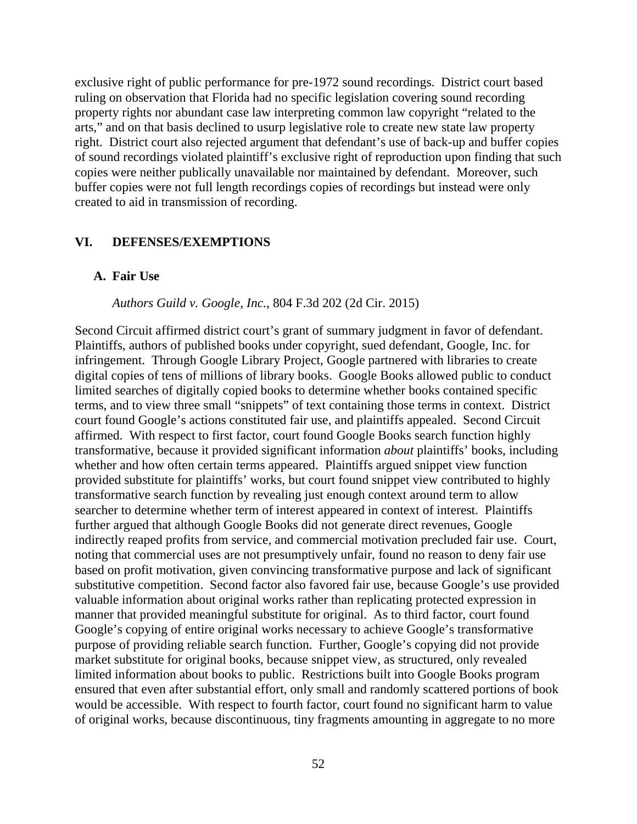exclusive right of public performance for pre-1972 sound recordings. District court based ruling on observation that Florida had no specific legislation covering sound recording property rights nor abundant case law interpreting common law copyright "related to the arts," and on that basis declined to usurp legislative role to create new state law property right. District court also rejected argument that defendant's use of back-up and buffer copies of sound recordings violated plaintiff's exclusive right of reproduction upon finding that such copies were neither publically unavailable nor maintained by defendant. Moreover, such buffer copies were not full length recordings copies of recordings but instead were only created to aid in transmission of recording.

#### **VI. DEFENSES/EXEMPTIONS**

#### **A. Fair Use**

#### *Authors Guild v. Google, Inc.*, 804 F.3d 202 (2d Cir. 2015)

Second Circuit affirmed district court's grant of summary judgment in favor of defendant. Plaintiffs, authors of published books under copyright, sued defendant, Google, Inc. for infringement. Through Google Library Project, Google partnered with libraries to create digital copies of tens of millions of library books. Google Books allowed public to conduct limited searches of digitally copied books to determine whether books contained specific terms, and to view three small "snippets" of text containing those terms in context. District court found Google's actions constituted fair use, and plaintiffs appealed. Second Circuit affirmed. With respect to first factor, court found Google Books search function highly transformative, because it provided significant information *about* plaintiffs' books, including whether and how often certain terms appeared. Plaintiffs argued snippet view function provided substitute for plaintiffs' works, but court found snippet view contributed to highly transformative search function by revealing just enough context around term to allow searcher to determine whether term of interest appeared in context of interest. Plaintiffs further argued that although Google Books did not generate direct revenues, Google indirectly reaped profits from service, and commercial motivation precluded fair use. Court, noting that commercial uses are not presumptively unfair, found no reason to deny fair use based on profit motivation, given convincing transformative purpose and lack of significant substitutive competition. Second factor also favored fair use, because Google's use provided valuable information about original works rather than replicating protected expression in manner that provided meaningful substitute for original. As to third factor, court found Google's copying of entire original works necessary to achieve Google's transformative purpose of providing reliable search function. Further, Google's copying did not provide market substitute for original books, because snippet view, as structured, only revealed limited information about books to public. Restrictions built into Google Books program ensured that even after substantial effort, only small and randomly scattered portions of book would be accessible. With respect to fourth factor, court found no significant harm to value of original works, because discontinuous, tiny fragments amounting in aggregate to no more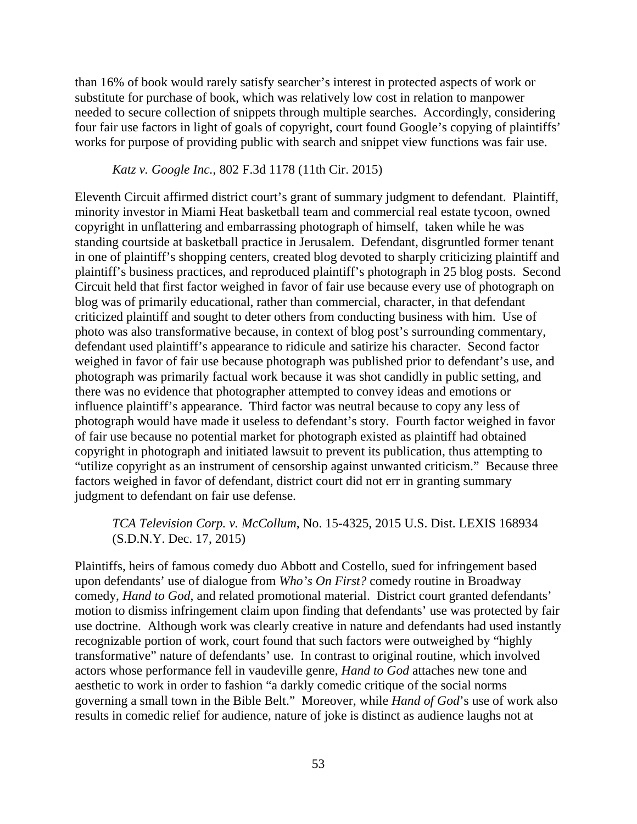than 16% of book would rarely satisfy searcher's interest in protected aspects of work or substitute for purchase of book, which was relatively low cost in relation to manpower needed to secure collection of snippets through multiple searches. Accordingly, considering four fair use factors in light of goals of copyright, court found Google's copying of plaintiffs' works for purpose of providing public with search and snippet view functions was fair use.

#### *Katz v. Google Inc.*, 802 F.3d 1178 (11th Cir. 2015)

Eleventh Circuit affirmed district court's grant of summary judgment to defendant. Plaintiff, minority investor in Miami Heat basketball team and commercial real estate tycoon, owned copyright in unflattering and embarrassing photograph of himself, taken while he was standing courtside at basketball practice in Jerusalem. Defendant, disgruntled former tenant in one of plaintiff's shopping centers, created blog devoted to sharply criticizing plaintiff and plaintiff's business practices, and reproduced plaintiff's photograph in 25 blog posts. Second Circuit held that first factor weighed in favor of fair use because every use of photograph on blog was of primarily educational, rather than commercial, character, in that defendant criticized plaintiff and sought to deter others from conducting business with him. Use of photo was also transformative because, in context of blog post's surrounding commentary, defendant used plaintiff's appearance to ridicule and satirize his character. Second factor weighed in favor of fair use because photograph was published prior to defendant's use, and photograph was primarily factual work because it was shot candidly in public setting, and there was no evidence that photographer attempted to convey ideas and emotions or influence plaintiff's appearance. Third factor was neutral because to copy any less of photograph would have made it useless to defendant's story. Fourth factor weighed in favor of fair use because no potential market for photograph existed as plaintiff had obtained copyright in photograph and initiated lawsuit to prevent its publication, thus attempting to "utilize copyright as an instrument of censorship against unwanted criticism." Because three factors weighed in favor of defendant, district court did not err in granting summary judgment to defendant on fair use defense.

### *TCA Television Corp. v. McCollum*, No. 15-4325, 2015 U.S. Dist. LEXIS 168934 (S.D.N.Y. Dec. 17, 2015)

Plaintiffs, heirs of famous comedy duo Abbott and Costello, sued for infringement based upon defendants' use of dialogue from *Who's On First?* comedy routine in Broadway comedy, *Hand to God*, and related promotional material. District court granted defendants' motion to dismiss infringement claim upon finding that defendants' use was protected by fair use doctrine. Although work was clearly creative in nature and defendants had used instantly recognizable portion of work, court found that such factors were outweighed by "highly transformative" nature of defendants' use. In contrast to original routine, which involved actors whose performance fell in vaudeville genre, *Hand to God* attaches new tone and aesthetic to work in order to fashion "a darkly comedic critique of the social norms governing a small town in the Bible Belt." Moreover, while *Hand of God*'s use of work also results in comedic relief for audience, nature of joke is distinct as audience laughs not at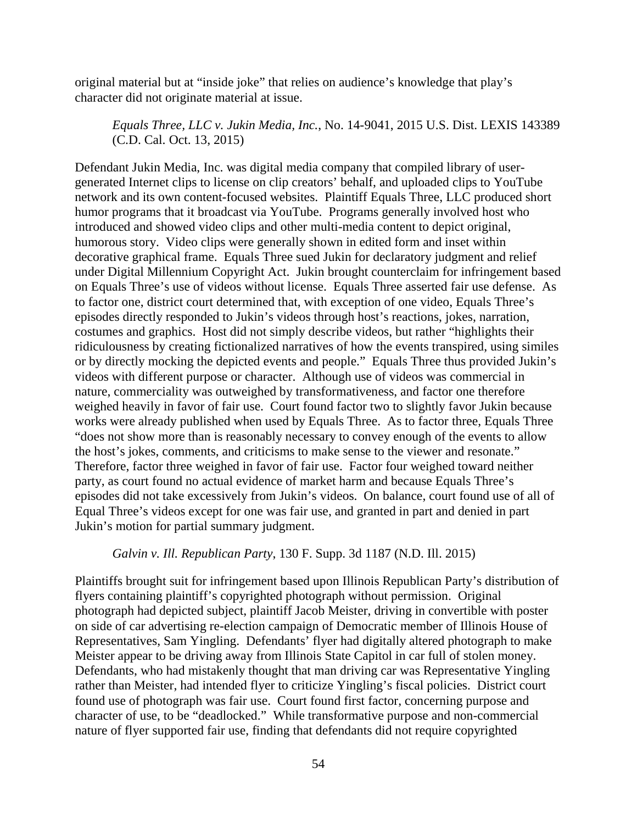original material but at "inside joke" that relies on audience's knowledge that play's character did not originate material at issue.

*Equals Three, LLC v. Jukin Media, Inc.*, No. 14-9041, 2015 U.S. Dist. LEXIS 143389 (C.D. Cal. Oct. 13, 2015)

Defendant Jukin Media, Inc. was digital media company that compiled library of usergenerated Internet clips to license on clip creators' behalf, and uploaded clips to YouTube network and its own content-focused websites. Plaintiff Equals Three, LLC produced short humor programs that it broadcast via YouTube. Programs generally involved host who introduced and showed video clips and other multi-media content to depict original, humorous story. Video clips were generally shown in edited form and inset within decorative graphical frame. Equals Three sued Jukin for declaratory judgment and relief under Digital Millennium Copyright Act. Jukin brought counterclaim for infringement based on Equals Three's use of videos without license. Equals Three asserted fair use defense. As to factor one, district court determined that, with exception of one video, Equals Three's episodes directly responded to Jukin's videos through host's reactions, jokes, narration, costumes and graphics. Host did not simply describe videos, but rather "highlights their ridiculousness by creating fictionalized narratives of how the events transpired, using similes or by directly mocking the depicted events and people." Equals Three thus provided Jukin's videos with different purpose or character. Although use of videos was commercial in nature, commerciality was outweighed by transformativeness, and factor one therefore weighed heavily in favor of fair use. Court found factor two to slightly favor Jukin because works were already published when used by Equals Three. As to factor three, Equals Three "does not show more than is reasonably necessary to convey enough of the events to allow the host's jokes, comments, and criticisms to make sense to the viewer and resonate." Therefore, factor three weighed in favor of fair use. Factor four weighed toward neither party, as court found no actual evidence of market harm and because Equals Three's episodes did not take excessively from Jukin's videos. On balance, court found use of all of Equal Three's videos except for one was fair use, and granted in part and denied in part Jukin's motion for partial summary judgment.

#### *Galvin v. Ill. Republican Party*, 130 F. Supp. 3d 1187 (N.D. Ill. 2015)

Plaintiffs brought suit for infringement based upon Illinois Republican Party's distribution of flyers containing plaintiff's copyrighted photograph without permission. Original photograph had depicted subject, plaintiff Jacob Meister, driving in convertible with poster on side of car advertising re-election campaign of Democratic member of Illinois House of Representatives, Sam Yingling. Defendants' flyer had digitally altered photograph to make Meister appear to be driving away from Illinois State Capitol in car full of stolen money. Defendants, who had mistakenly thought that man driving car was Representative Yingling rather than Meister, had intended flyer to criticize Yingling's fiscal policies. District court found use of photograph was fair use. Court found first factor, concerning purpose and character of use, to be "deadlocked." While transformative purpose and non-commercial nature of flyer supported fair use, finding that defendants did not require copyrighted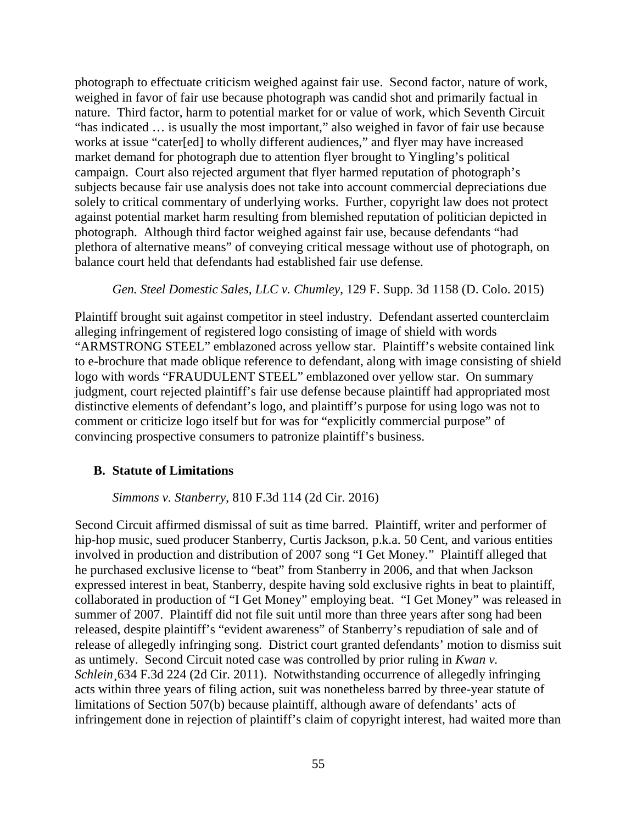photograph to effectuate criticism weighed against fair use. Second factor, nature of work, weighed in favor of fair use because photograph was candid shot and primarily factual in nature. Third factor, harm to potential market for or value of work, which Seventh Circuit "has indicated … is usually the most important," also weighed in favor of fair use because works at issue "cater[ed] to wholly different audiences," and flyer may have increased market demand for photograph due to attention flyer brought to Yingling's political campaign. Court also rejected argument that flyer harmed reputation of photograph's subjects because fair use analysis does not take into account commercial depreciations due solely to critical commentary of underlying works. Further, copyright law does not protect against potential market harm resulting from blemished reputation of politician depicted in photograph. Although third factor weighed against fair use, because defendants "had plethora of alternative means" of conveying critical message without use of photograph, on balance court held that defendants had established fair use defense.

*Gen. Steel Domestic Sales, LLC v. Chumley*, 129 F. Supp. 3d 1158 (D. Colo. 2015)

Plaintiff brought suit against competitor in steel industry. Defendant asserted counterclaim alleging infringement of registered logo consisting of image of shield with words "ARMSTRONG STEEL" emblazoned across yellow star. Plaintiff's website contained link to e-brochure that made oblique reference to defendant, along with image consisting of shield logo with words "FRAUDULENT STEEL" emblazoned over yellow star. On summary judgment, court rejected plaintiff's fair use defense because plaintiff had appropriated most distinctive elements of defendant's logo, and plaintiff's purpose for using logo was not to comment or criticize logo itself but for was for "explicitly commercial purpose" of convincing prospective consumers to patronize plaintiff's business.

## **B. Statute of Limitations**

*Simmons v. Stanberry*, 810 F.3d 114 (2d Cir. 2016)

Second Circuit affirmed dismissal of suit as time barred. Plaintiff, writer and performer of hip-hop music, sued producer Stanberry, Curtis Jackson, p.k.a. 50 Cent, and various entities involved in production and distribution of 2007 song "I Get Money." Plaintiff alleged that he purchased exclusive license to "beat" from Stanberry in 2006, and that when Jackson expressed interest in beat, Stanberry, despite having sold exclusive rights in beat to plaintiff, collaborated in production of "I Get Money" employing beat. "I Get Money" was released in summer of 2007. Plaintiff did not file suit until more than three years after song had been released, despite plaintiff's "evident awareness" of Stanberry's repudiation of sale and of release of allegedly infringing song. District court granted defendants' motion to dismiss suit as untimely. Second Circuit noted case was controlled by prior ruling in *Kwan v. Schlein¸*634 F.3d 224 (2d Cir. 2011). Notwithstanding occurrence of allegedly infringing acts within three years of filing action, suit was nonetheless barred by three-year statute of limitations of Section 507(b) because plaintiff, although aware of defendants' acts of infringement done in rejection of plaintiff's claim of copyright interest, had waited more than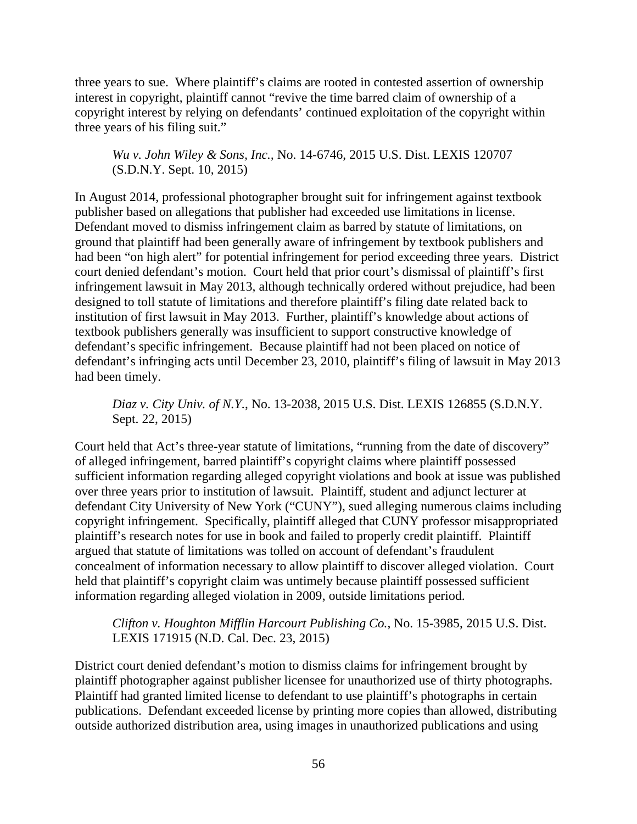three years to sue. Where plaintiff's claims are rooted in contested assertion of ownership interest in copyright, plaintiff cannot "revive the time barred claim of ownership of a copyright interest by relying on defendants' continued exploitation of the copyright within three years of his filing suit."

*Wu v. John Wiley & Sons, Inc.,* No. 14-6746, 2015 U.S. Dist. LEXIS 120707 (S.D.N.Y. Sept. 10, 2015)

In August 2014, professional photographer brought suit for infringement against textbook publisher based on allegations that publisher had exceeded use limitations in license. Defendant moved to dismiss infringement claim as barred by statute of limitations, on ground that plaintiff had been generally aware of infringement by textbook publishers and had been "on high alert" for potential infringement for period exceeding three years. District court denied defendant's motion. Court held that prior court's dismissal of plaintiff's first infringement lawsuit in May 2013, although technically ordered without prejudice, had been designed to toll statute of limitations and therefore plaintiff's filing date related back to institution of first lawsuit in May 2013. Further, plaintiff's knowledge about actions of textbook publishers generally was insufficient to support constructive knowledge of defendant's specific infringement. Because plaintiff had not been placed on notice of defendant's infringing acts until December 23, 2010, plaintiff's filing of lawsuit in May 2013 had been timely.

*Diaz v. City Univ. of N.Y.*, No. 13-2038, 2015 U.S. Dist. LEXIS 126855 (S.D.N.Y. Sept. 22, 2015)

Court held that Act's three-year statute of limitations, "running from the date of discovery" of alleged infringement, barred plaintiff's copyright claims where plaintiff possessed sufficient information regarding alleged copyright violations and book at issue was published over three years prior to institution of lawsuit. Plaintiff, student and adjunct lecturer at defendant City University of New York ("CUNY"), sued alleging numerous claims including copyright infringement. Specifically, plaintiff alleged that CUNY professor misappropriated plaintiff's research notes for use in book and failed to properly credit plaintiff. Plaintiff argued that statute of limitations was tolled on account of defendant's fraudulent concealment of information necessary to allow plaintiff to discover alleged violation. Court held that plaintiff's copyright claim was untimely because plaintiff possessed sufficient information regarding alleged violation in 2009, outside limitations period.

*Clifton v. Houghton Mifflin Harcourt Publishing Co.*, No. 15-3985, 2015 U.S. Dist. LEXIS 171915 (N.D. Cal. Dec. 23, 2015)

District court denied defendant's motion to dismiss claims for infringement brought by plaintiff photographer against publisher licensee for unauthorized use of thirty photographs. Plaintiff had granted limited license to defendant to use plaintiff's photographs in certain publications. Defendant exceeded license by printing more copies than allowed, distributing outside authorized distribution area, using images in unauthorized publications and using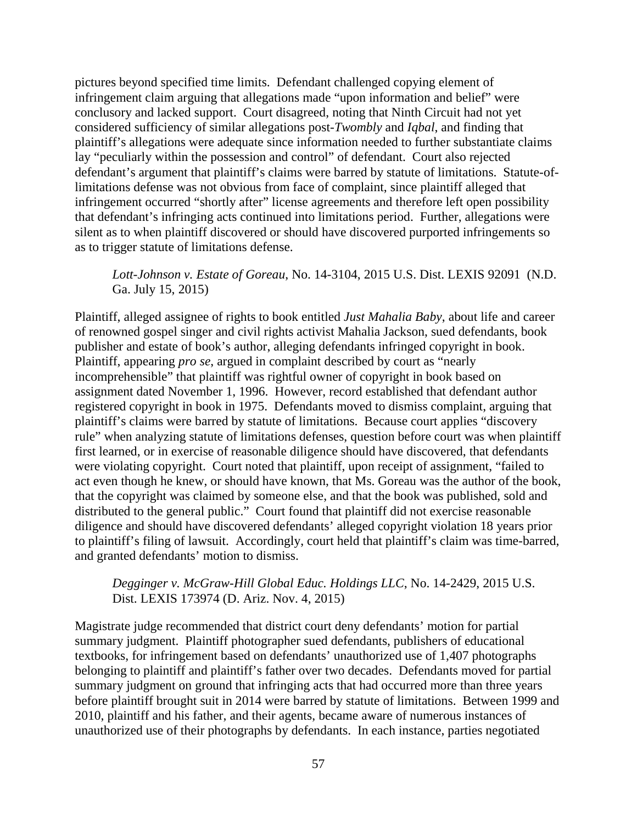pictures beyond specified time limits. Defendant challenged copying element of infringement claim arguing that allegations made "upon information and belief" were conclusory and lacked support. Court disagreed, noting that Ninth Circuit had not yet considered sufficiency of similar allegations post-*Twombly* and *Iqbal*, and finding that plaintiff's allegations were adequate since information needed to further substantiate claims lay "peculiarly within the possession and control" of defendant. Court also rejected defendant's argument that plaintiff's claims were barred by statute of limitations. Statute-oflimitations defense was not obvious from face of complaint, since plaintiff alleged that infringement occurred "shortly after" license agreements and therefore left open possibility that defendant's infringing acts continued into limitations period. Further, allegations were silent as to when plaintiff discovered or should have discovered purported infringements so as to trigger statute of limitations defense.

## *Lott-Johnson v. Estate of Goreau*, No. 14-3104, 2015 U.S. Dist. LEXIS 92091 (N.D. Ga. July 15, 2015)

Plaintiff, alleged assignee of rights to book entitled *Just Mahalia Baby*, about life and career of renowned gospel singer and civil rights activist Mahalia Jackson, sued defendants, book publisher and estate of book's author, alleging defendants infringed copyright in book. Plaintiff, appearing *pro se*, argued in complaint described by court as "nearly incomprehensible" that plaintiff was rightful owner of copyright in book based on assignment dated November 1, 1996. However, record established that defendant author registered copyright in book in 1975. Defendants moved to dismiss complaint, arguing that plaintiff's claims were barred by statute of limitations. Because court applies "discovery rule" when analyzing statute of limitations defenses, question before court was when plaintiff first learned, or in exercise of reasonable diligence should have discovered, that defendants were violating copyright. Court noted that plaintiff, upon receipt of assignment, "failed to act even though he knew, or should have known, that Ms. Goreau was the author of the book, that the copyright was claimed by someone else, and that the book was published, sold and distributed to the general public." Court found that plaintiff did not exercise reasonable diligence and should have discovered defendants' alleged copyright violation 18 years prior to plaintiff's filing of lawsuit. Accordingly, court held that plaintiff's claim was time-barred, and granted defendants' motion to dismiss.

### *Degginger v. McGraw-Hill Global Educ. Holdings LLC*, No. 14-2429, 2015 U.S. Dist. LEXIS 173974 (D. Ariz. Nov. 4, 2015)

Magistrate judge recommended that district court deny defendants' motion for partial summary judgment. Plaintiff photographer sued defendants, publishers of educational textbooks, for infringement based on defendants' unauthorized use of 1,407 photographs belonging to plaintiff and plaintiff's father over two decades. Defendants moved for partial summary judgment on ground that infringing acts that had occurred more than three years before plaintiff brought suit in 2014 were barred by statute of limitations. Between 1999 and 2010, plaintiff and his father, and their agents, became aware of numerous instances of unauthorized use of their photographs by defendants. In each instance, parties negotiated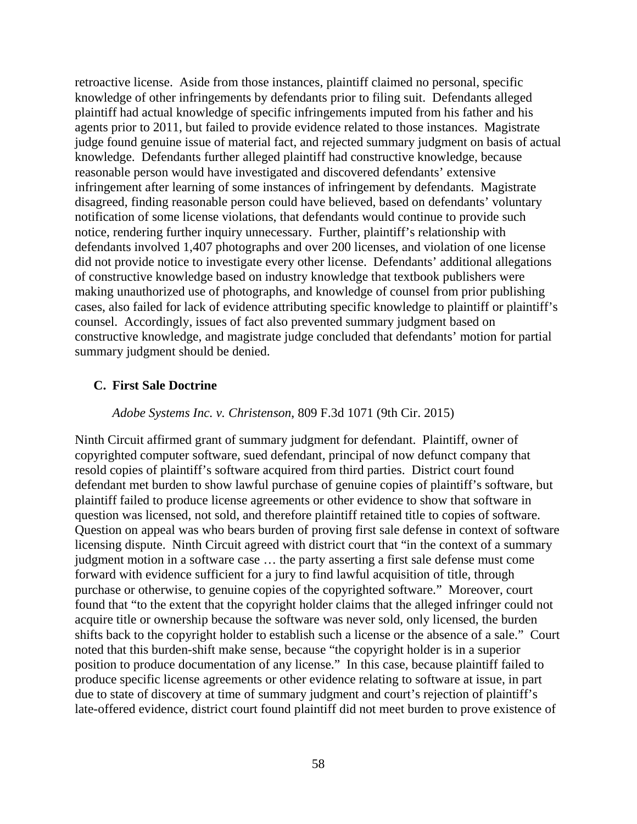retroactive license. Aside from those instances, plaintiff claimed no personal, specific knowledge of other infringements by defendants prior to filing suit. Defendants alleged plaintiff had actual knowledge of specific infringements imputed from his father and his agents prior to 2011, but failed to provide evidence related to those instances. Magistrate judge found genuine issue of material fact, and rejected summary judgment on basis of actual knowledge. Defendants further alleged plaintiff had constructive knowledge, because reasonable person would have investigated and discovered defendants' extensive infringement after learning of some instances of infringement by defendants. Magistrate disagreed, finding reasonable person could have believed, based on defendants' voluntary notification of some license violations, that defendants would continue to provide such notice, rendering further inquiry unnecessary. Further, plaintiff's relationship with defendants involved 1,407 photographs and over 200 licenses, and violation of one license did not provide notice to investigate every other license. Defendants' additional allegations of constructive knowledge based on industry knowledge that textbook publishers were making unauthorized use of photographs, and knowledge of counsel from prior publishing cases, also failed for lack of evidence attributing specific knowledge to plaintiff or plaintiff's counsel. Accordingly, issues of fact also prevented summary judgment based on constructive knowledge, and magistrate judge concluded that defendants' motion for partial summary judgment should be denied.

### **C. First Sale Doctrine**

#### *Adobe Systems Inc. v. Christenson*, 809 F.3d 1071 (9th Cir. 2015)

Ninth Circuit affirmed grant of summary judgment for defendant. Plaintiff, owner of copyrighted computer software, sued defendant, principal of now defunct company that resold copies of plaintiff's software acquired from third parties. District court found defendant met burden to show lawful purchase of genuine copies of plaintiff's software, but plaintiff failed to produce license agreements or other evidence to show that software in question was licensed, not sold, and therefore plaintiff retained title to copies of software. Question on appeal was who bears burden of proving first sale defense in context of software licensing dispute. Ninth Circuit agreed with district court that "in the context of a summary judgment motion in a software case … the party asserting a first sale defense must come forward with evidence sufficient for a jury to find lawful acquisition of title, through purchase or otherwise, to genuine copies of the copyrighted software." Moreover, court found that "to the extent that the copyright holder claims that the alleged infringer could not acquire title or ownership because the software was never sold, only licensed, the burden shifts back to the copyright holder to establish such a license or the absence of a sale." Court noted that this burden-shift make sense, because "the copyright holder is in a superior position to produce documentation of any license." In this case, because plaintiff failed to produce specific license agreements or other evidence relating to software at issue, in part due to state of discovery at time of summary judgment and court's rejection of plaintiff's late-offered evidence, district court found plaintiff did not meet burden to prove existence of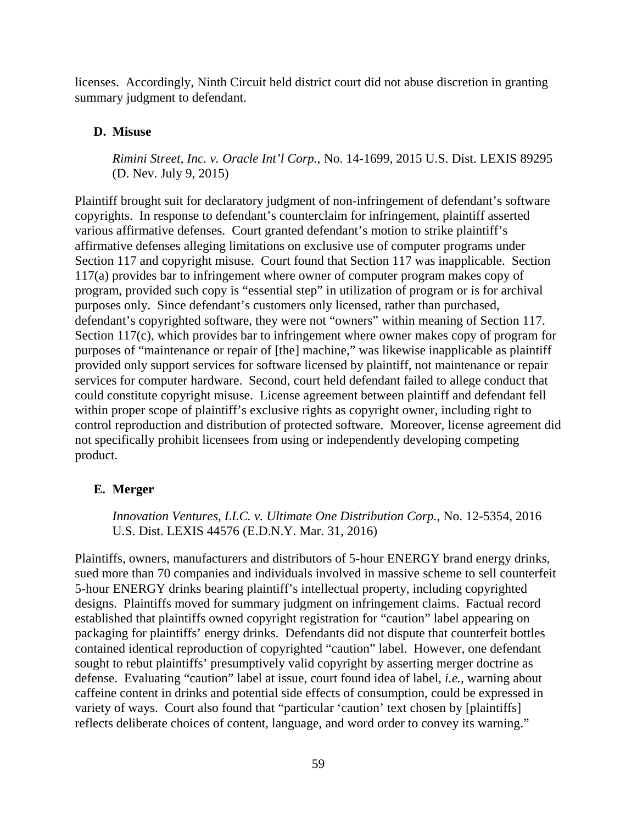licenses. Accordingly, Ninth Circuit held district court did not abuse discretion in granting summary judgment to defendant.

# **D. Misuse**

*Rimini Street, Inc. v. Oracle Int'l Corp.*, No. 14-1699, 2015 U.S. Dist. LEXIS 89295 (D. Nev. July 9, 2015)

Plaintiff brought suit for declaratory judgment of non-infringement of defendant's software copyrights. In response to defendant's counterclaim for infringement, plaintiff asserted various affirmative defenses. Court granted defendant's motion to strike plaintiff's affirmative defenses alleging limitations on exclusive use of computer programs under Section 117 and copyright misuse. Court found that Section 117 was inapplicable. Section 117(a) provides bar to infringement where owner of computer program makes copy of program, provided such copy is "essential step" in utilization of program or is for archival purposes only. Since defendant's customers only licensed, rather than purchased, defendant's copyrighted software, they were not "owners" within meaning of Section 117. Section 117(c), which provides bar to infringement where owner makes copy of program for purposes of "maintenance or repair of [the] machine," was likewise inapplicable as plaintiff provided only support services for software licensed by plaintiff, not maintenance or repair services for computer hardware. Second, court held defendant failed to allege conduct that could constitute copyright misuse. License agreement between plaintiff and defendant fell within proper scope of plaintiff's exclusive rights as copyright owner, including right to control reproduction and distribution of protected software. Moreover, license agreement did not specifically prohibit licensees from using or independently developing competing product.

# **E. Merger**

*Innovation Ventures, LLC. v. Ultimate One Distribution Corp.*, No. 12-5354, 2016 U.S. Dist. LEXIS 44576 (E.D.N.Y. Mar. 31, 2016)

Plaintiffs, owners, manufacturers and distributors of 5-hour ENERGY brand energy drinks, sued more than 70 companies and individuals involved in massive scheme to sell counterfeit 5-hour ENERGY drinks bearing plaintiff's intellectual property, including copyrighted designs. Plaintiffs moved for summary judgment on infringement claims. Factual record established that plaintiffs owned copyright registration for "caution" label appearing on packaging for plaintiffs' energy drinks. Defendants did not dispute that counterfeit bottles contained identical reproduction of copyrighted "caution" label. However, one defendant sought to rebut plaintiffs' presumptively valid copyright by asserting merger doctrine as defense. Evaluating "caution" label at issue, court found idea of label, *i.e.*, warning about caffeine content in drinks and potential side effects of consumption, could be expressed in variety of ways. Court also found that "particular 'caution' text chosen by [plaintiffs] reflects deliberate choices of content, language, and word order to convey its warning."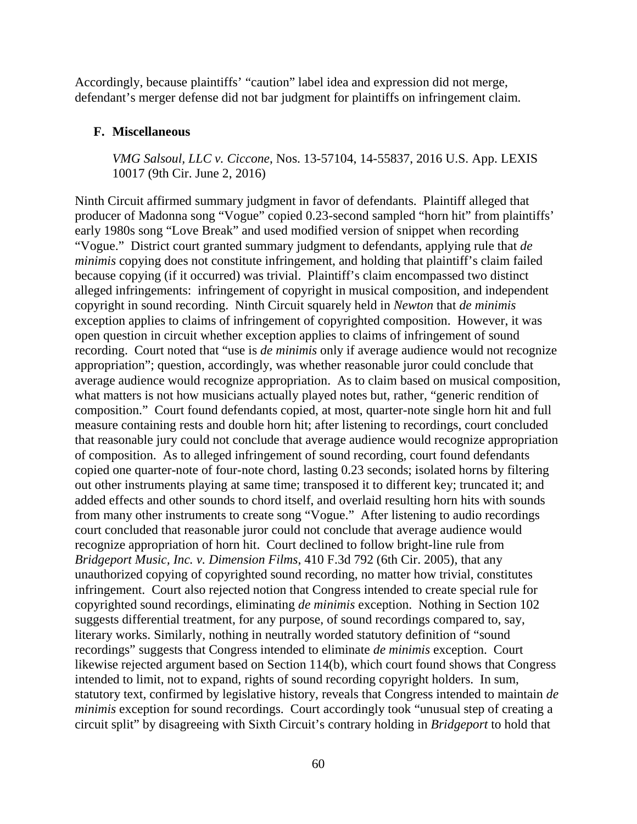Accordingly, because plaintiffs' "caution" label idea and expression did not merge, defendant's merger defense did not bar judgment for plaintiffs on infringement claim.

### **F. Miscellaneous**

*VMG Salsoul, LLC v. Ciccone*, Nos. 13-57104, 14-55837, 2016 U.S. App. LEXIS 10017 (9th Cir. June 2, 2016)

Ninth Circuit affirmed summary judgment in favor of defendants. Plaintiff alleged that producer of Madonna song "Vogue" copied 0.23-second sampled "horn hit" from plaintiffs' early 1980s song "Love Break" and used modified version of snippet when recording "Vogue." District court granted summary judgment to defendants, applying rule that *de minimis* copying does not constitute infringement, and holding that plaintiff's claim failed because copying (if it occurred) was trivial. Plaintiff's claim encompassed two distinct alleged infringements: infringement of copyright in musical composition, and independent copyright in sound recording. Ninth Circuit squarely held in *Newton* that *de minimis* exception applies to claims of infringement of copyrighted composition. However, it was open question in circuit whether exception applies to claims of infringement of sound recording. Court noted that "use is *de minimis* only if average audience would not recognize appropriation"; question, accordingly, was whether reasonable juror could conclude that average audience would recognize appropriation. As to claim based on musical composition, what matters is not how musicians actually played notes but, rather, "generic rendition of composition." Court found defendants copied, at most, quarter-note single horn hit and full measure containing rests and double horn hit; after listening to recordings, court concluded that reasonable jury could not conclude that average audience would recognize appropriation of composition. As to alleged infringement of sound recording, court found defendants copied one quarter-note of four-note chord, lasting 0.23 seconds; isolated horns by filtering out other instruments playing at same time; transposed it to different key; truncated it; and added effects and other sounds to chord itself, and overlaid resulting horn hits with sounds from many other instruments to create song "Vogue." After listening to audio recordings court concluded that reasonable juror could not conclude that average audience would recognize appropriation of horn hit. Court declined to follow bright-line rule from *Bridgeport Music, Inc. v. Dimension Films*, 410 F.3d 792 (6th Cir. 2005), that any unauthorized copying of copyrighted sound recording, no matter how trivial, constitutes infringement. Court also rejected notion that Congress intended to create special rule for copyrighted sound recordings, eliminating *de minimis* exception. Nothing in Section 102 suggests differential treatment, for any purpose, of sound recordings compared to, say, literary works. Similarly, nothing in neutrally worded statutory definition of "sound recordings" suggests that Congress intended to eliminate *de minimis* exception. Court likewise rejected argument based on Section 114(b), which court found shows that Congress intended to limit, not to expand, rights of sound recording copyright holders. In sum, statutory text, confirmed by legislative history, reveals that Congress intended to maintain *de minimis* exception for sound recordings. Court accordingly took "unusual step of creating a circuit split" by disagreeing with Sixth Circuit's contrary holding in *Bridgeport* to hold that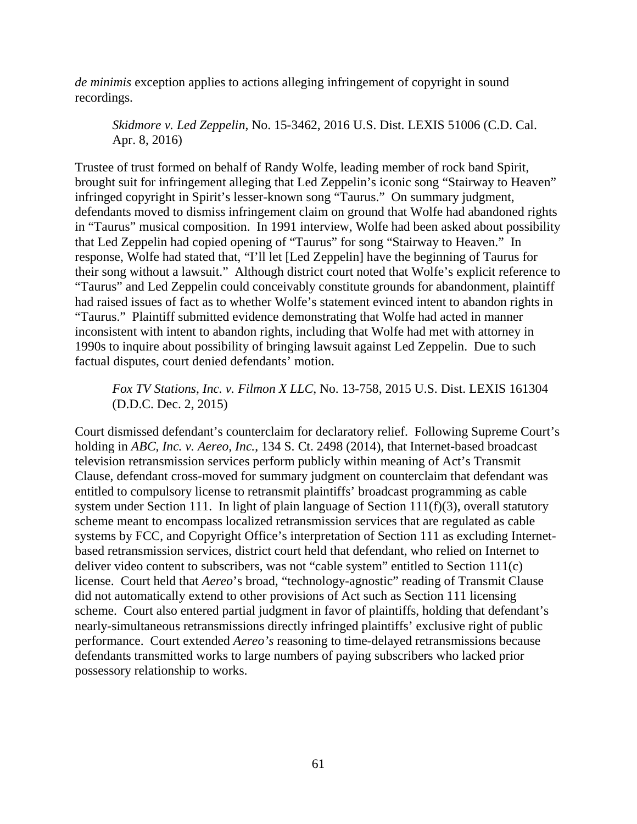*de minimis* exception applies to actions alleging infringement of copyright in sound recordings.

*Skidmore v. Led Zeppelin*, No. 15-3462, 2016 U.S. Dist. LEXIS 51006 (C.D. Cal. Apr. 8, 2016)

Trustee of trust formed on behalf of Randy Wolfe, leading member of rock band Spirit, brought suit for infringement alleging that Led Zeppelin's iconic song "Stairway to Heaven" infringed copyright in Spirit's lesser-known song "Taurus." On summary judgment, defendants moved to dismiss infringement claim on ground that Wolfe had abandoned rights in "Taurus" musical composition. In 1991 interview, Wolfe had been asked about possibility that Led Zeppelin had copied opening of "Taurus" for song "Stairway to Heaven." In response, Wolfe had stated that, "I'll let [Led Zeppelin] have the beginning of Taurus for their song without a lawsuit." Although district court noted that Wolfe's explicit reference to "Taurus" and Led Zeppelin could conceivably constitute grounds for abandonment, plaintiff had raised issues of fact as to whether Wolfe's statement evinced intent to abandon rights in "Taurus." Plaintiff submitted evidence demonstrating that Wolfe had acted in manner inconsistent with intent to abandon rights, including that Wolfe had met with attorney in 1990s to inquire about possibility of bringing lawsuit against Led Zeppelin. Due to such factual disputes, court denied defendants' motion.

*Fox TV Stations, Inc. v. Filmon X LLC*, No. 13-758, 2015 U.S. Dist. LEXIS 161304 (D.D.C. Dec. 2, 2015)

Court dismissed defendant's counterclaim for declaratory relief. Following Supreme Court's holding in *ABC, Inc. v. Aereo, Inc.*, 134 S. Ct. 2498 (2014), that Internet-based broadcast television retransmission services perform publicly within meaning of Act's Transmit Clause, defendant cross-moved for summary judgment on counterclaim that defendant was entitled to compulsory license to retransmit plaintiffs' broadcast programming as cable system under Section 111. In light of plain language of Section 111(f)(3), overall statutory scheme meant to encompass localized retransmission services that are regulated as cable systems by FCC, and Copyright Office's interpretation of Section 111 as excluding Internetbased retransmission services, district court held that defendant, who relied on Internet to deliver video content to subscribers, was not "cable system" entitled to Section 111(c) license. Court held that *Aereo*'s broad, "technology-agnostic" reading of Transmit Clause did not automatically extend to other provisions of Act such as Section 111 licensing scheme. Court also entered partial judgment in favor of plaintiffs, holding that defendant's nearly-simultaneous retransmissions directly infringed plaintiffs' exclusive right of public performance. Court extended *Aereo's* reasoning to time-delayed retransmissions because defendants transmitted works to large numbers of paying subscribers who lacked prior possessory relationship to works.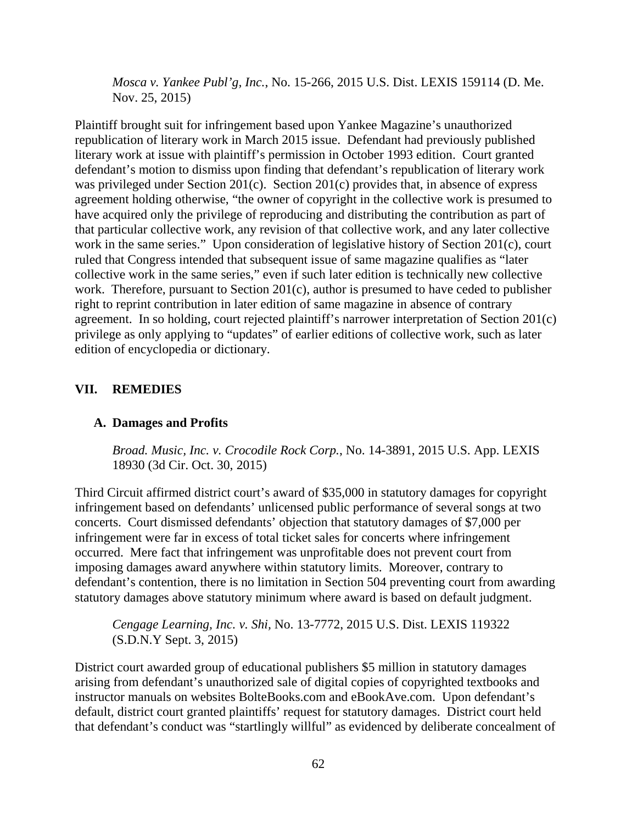*Mosca v. Yankee Publ'g, Inc.*, No. 15-266, 2015 U.S. Dist. LEXIS 159114 (D. Me. Nov. 25, 2015)

Plaintiff brought suit for infringement based upon Yankee Magazine's unauthorized republication of literary work in March 2015 issue. Defendant had previously published literary work at issue with plaintiff's permission in October 1993 edition. Court granted defendant's motion to dismiss upon finding that defendant's republication of literary work was privileged under Section 201(c). Section 201(c) provides that, in absence of express agreement holding otherwise, "the owner of copyright in the collective work is presumed to have acquired only the privilege of reproducing and distributing the contribution as part of that particular collective work, any revision of that collective work, and any later collective work in the same series." Upon consideration of legislative history of Section 201(c), court ruled that Congress intended that subsequent issue of same magazine qualifies as "later collective work in the same series," even if such later edition is technically new collective work. Therefore, pursuant to Section 201(c), author is presumed to have ceded to publisher right to reprint contribution in later edition of same magazine in absence of contrary agreement. In so holding, court rejected plaintiff's narrower interpretation of Section 201(c) privilege as only applying to "updates" of earlier editions of collective work, such as later edition of encyclopedia or dictionary.

## **VII. REMEDIES**

## **A. Damages and Profits**

*Broad. Music, Inc. v. Crocodile Rock Corp.*, No. 14-3891, 2015 U.S. App. LEXIS 18930 (3d Cir. Oct. 30, 2015)

Third Circuit affirmed district court's award of \$35,000 in statutory damages for copyright infringement based on defendants' unlicensed public performance of several songs at two concerts. Court dismissed defendants' objection that statutory damages of \$7,000 per infringement were far in excess of total ticket sales for concerts where infringement occurred. Mere fact that infringement was unprofitable does not prevent court from imposing damages award anywhere within statutory limits. Moreover, contrary to defendant's contention, there is no limitation in Section 504 preventing court from awarding statutory damages above statutory minimum where award is based on default judgment.

*Cengage Learning, Inc. v. Shi,* No. 13-7772, 2015 U.S. Dist. LEXIS 119322 (S.D.N.Y Sept. 3, 2015)

District court awarded group of educational publishers \$5 million in statutory damages arising from defendant's unauthorized sale of digital copies of copyrighted textbooks and instructor manuals on websites BolteBooks.com and eBookAve.com. Upon defendant's default, district court granted plaintiffs' request for statutory damages. District court held that defendant's conduct was "startlingly willful" as evidenced by deliberate concealment of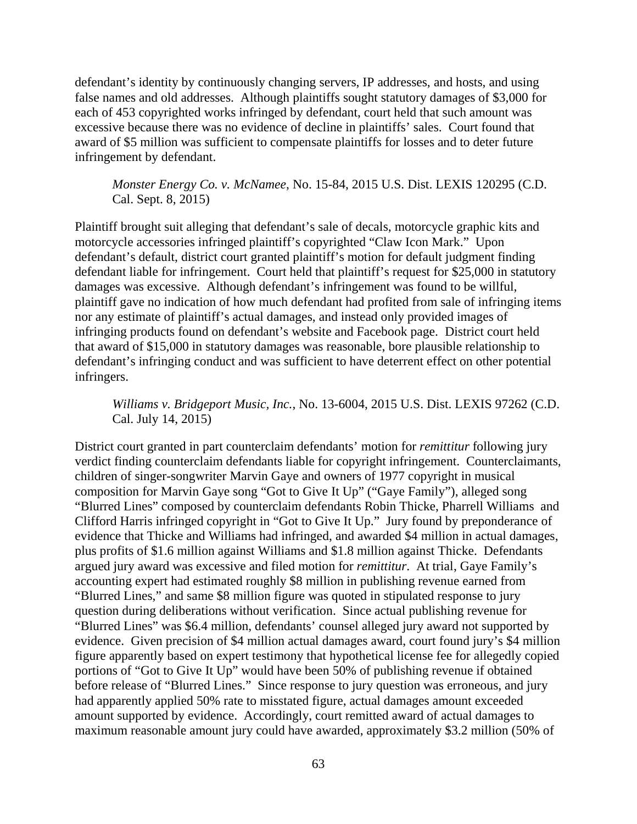defendant's identity by continuously changing servers, IP addresses, and hosts, and using false names and old addresses. Although plaintiffs sought statutory damages of \$3,000 for each of 453 copyrighted works infringed by defendant, court held that such amount was excessive because there was no evidence of decline in plaintiffs' sales. Court found that award of \$5 million was sufficient to compensate plaintiffs for losses and to deter future infringement by defendant.

*Monster Energy Co. v. McNamee*, No. 15-84, 2015 U.S. Dist. LEXIS 120295 (C.D. Cal. Sept. 8, 2015)

Plaintiff brought suit alleging that defendant's sale of decals, motorcycle graphic kits and motorcycle accessories infringed plaintiff's copyrighted "Claw Icon Mark." Upon defendant's default, district court granted plaintiff's motion for default judgment finding defendant liable for infringement. Court held that plaintiff's request for \$25,000 in statutory damages was excessive. Although defendant's infringement was found to be willful, plaintiff gave no indication of how much defendant had profited from sale of infringing items nor any estimate of plaintiff's actual damages, and instead only provided images of infringing products found on defendant's website and Facebook page. District court held that award of \$15,000 in statutory damages was reasonable, bore plausible relationship to defendant's infringing conduct and was sufficient to have deterrent effect on other potential infringers.

*Williams v. Bridgeport Music, Inc.*, No. 13-6004, 2015 U.S. Dist. LEXIS 97262 (C.D. Cal. July 14, 2015)

District court granted in part counterclaim defendants' motion for *remittitur* following jury verdict finding counterclaim defendants liable for copyright infringement. Counterclaimants, children of singer-songwriter Marvin Gaye and owners of 1977 copyright in musical composition for Marvin Gaye song "Got to Give It Up" ("Gaye Family"), alleged song "Blurred Lines" composed by counterclaim defendants Robin Thicke, Pharrell Williams and Clifford Harris infringed copyright in "Got to Give It Up." Jury found by preponderance of evidence that Thicke and Williams had infringed, and awarded \$4 million in actual damages, plus profits of \$1.6 million against Williams and \$1.8 million against Thicke. Defendants argued jury award was excessive and filed motion for *remittitur*. At trial, Gaye Family's accounting expert had estimated roughly \$8 million in publishing revenue earned from "Blurred Lines," and same \$8 million figure was quoted in stipulated response to jury question during deliberations without verification. Since actual publishing revenue for "Blurred Lines" was \$6.4 million, defendants' counsel alleged jury award not supported by evidence. Given precision of \$4 million actual damages award, court found jury's \$4 million figure apparently based on expert testimony that hypothetical license fee for allegedly copied portions of "Got to Give It Up" would have been 50% of publishing revenue if obtained before release of "Blurred Lines." Since response to jury question was erroneous, and jury had apparently applied 50% rate to misstated figure, actual damages amount exceeded amount supported by evidence. Accordingly, court remitted award of actual damages to maximum reasonable amount jury could have awarded, approximately \$3.2 million (50% of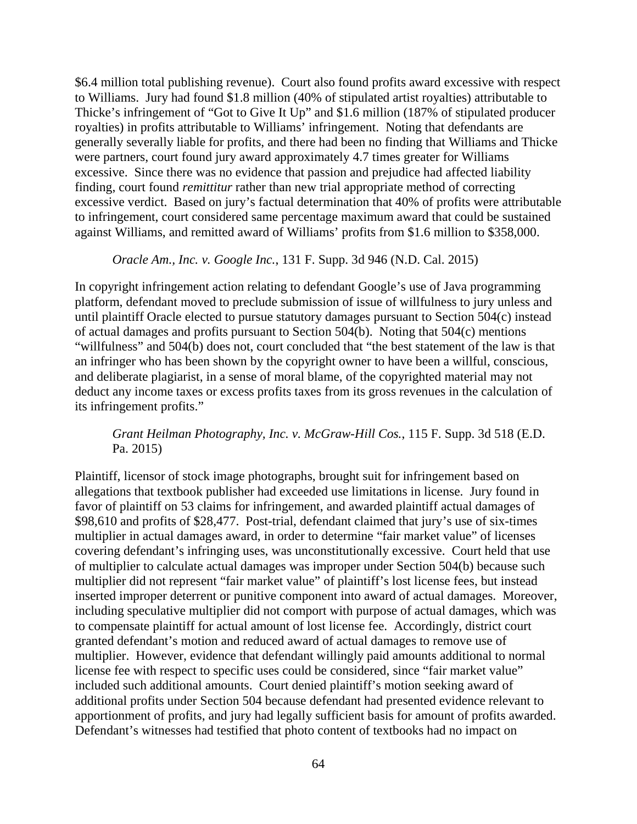\$6.4 million total publishing revenue). Court also found profits award excessive with respect to Williams. Jury had found \$1.8 million (40% of stipulated artist royalties) attributable to Thicke's infringement of "Got to Give It Up" and \$1.6 million (187% of stipulated producer royalties) in profits attributable to Williams' infringement. Noting that defendants are generally severally liable for profits, and there had been no finding that Williams and Thicke were partners, court found jury award approximately 4.7 times greater for Williams excessive. Since there was no evidence that passion and prejudice had affected liability finding, court found *remittitur* rather than new trial appropriate method of correcting excessive verdict. Based on jury's factual determination that 40% of profits were attributable to infringement, court considered same percentage maximum award that could be sustained against Williams, and remitted award of Williams' profits from \$1.6 million to \$358,000.

#### *Oracle Am., Inc. v. Google Inc.*, 131 F. Supp. 3d 946 (N.D. Cal. 2015)

In copyright infringement action relating to defendant Google's use of Java programming platform, defendant moved to preclude submission of issue of willfulness to jury unless and until plaintiff Oracle elected to pursue statutory damages pursuant to Section 504(c) instead of actual damages and profits pursuant to Section 504(b). Noting that 504(c) mentions "willfulness" and 504(b) does not, court concluded that "the best statement of the law is that an infringer who has been shown by the copyright owner to have been a willful, conscious, and deliberate plagiarist, in a sense of moral blame, of the copyrighted material may not deduct any income taxes or excess profits taxes from its gross revenues in the calculation of its infringement profits."

### *Grant Heilman Photography, Inc. v. McGraw-Hill Cos.*, 115 F. Supp. 3d 518 (E.D. Pa. 2015)

Plaintiff, licensor of stock image photographs, brought suit for infringement based on allegations that textbook publisher had exceeded use limitations in license. Jury found in favor of plaintiff on 53 claims for infringement, and awarded plaintiff actual damages of \$98,610 and profits of \$28,477. Post-trial, defendant claimed that jury's use of six-times multiplier in actual damages award, in order to determine "fair market value" of licenses covering defendant's infringing uses, was unconstitutionally excessive. Court held that use of multiplier to calculate actual damages was improper under Section 504(b) because such multiplier did not represent "fair market value" of plaintiff's lost license fees, but instead inserted improper deterrent or punitive component into award of actual damages. Moreover, including speculative multiplier did not comport with purpose of actual damages, which was to compensate plaintiff for actual amount of lost license fee. Accordingly, district court granted defendant's motion and reduced award of actual damages to remove use of multiplier. However, evidence that defendant willingly paid amounts additional to normal license fee with respect to specific uses could be considered, since "fair market value" included such additional amounts. Court denied plaintiff's motion seeking award of additional profits under Section 504 because defendant had presented evidence relevant to apportionment of profits, and jury had legally sufficient basis for amount of profits awarded. Defendant's witnesses had testified that photo content of textbooks had no impact on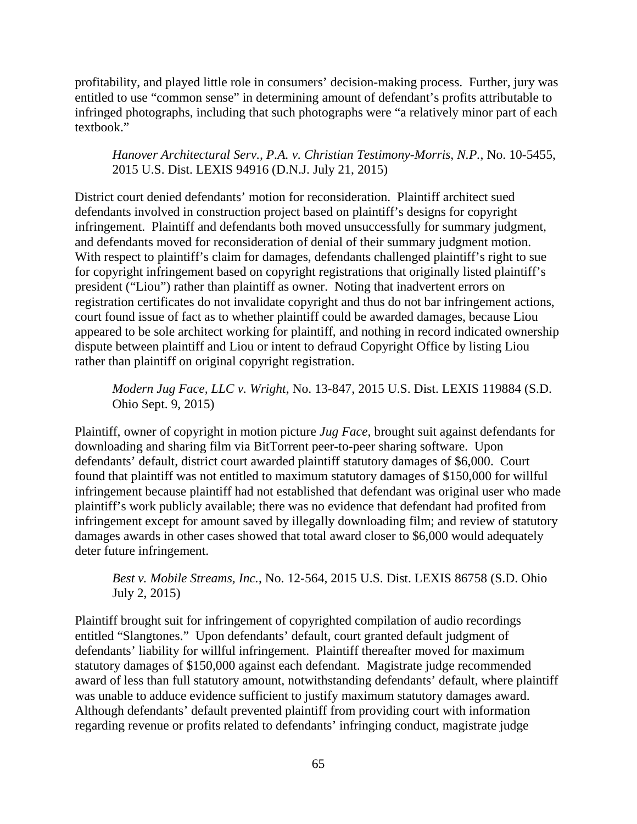profitability, and played little role in consumers' decision-making process. Further, jury was entitled to use "common sense" in determining amount of defendant's profits attributable to infringed photographs, including that such photographs were "a relatively minor part of each textbook."

## *Hanover Architectural Serv., P.A. v. Christian Testimony-Morris, N.P.*, No. 10-5455, 2015 U.S. Dist. LEXIS 94916 (D.N.J. July 21, 2015)

District court denied defendants' motion for reconsideration. Plaintiff architect sued defendants involved in construction project based on plaintiff's designs for copyright infringement. Plaintiff and defendants both moved unsuccessfully for summary judgment, and defendants moved for reconsideration of denial of their summary judgment motion. With respect to plaintiff's claim for damages, defendants challenged plaintiff's right to sue for copyright infringement based on copyright registrations that originally listed plaintiff's president ("Liou") rather than plaintiff as owner. Noting that inadvertent errors on registration certificates do not invalidate copyright and thus do not bar infringement actions, court found issue of fact as to whether plaintiff could be awarded damages, because Liou appeared to be sole architect working for plaintiff, and nothing in record indicated ownership dispute between plaintiff and Liou or intent to defraud Copyright Office by listing Liou rather than plaintiff on original copyright registration.

*Modern Jug Face, LLC v. Wright*, No. 13-847, 2015 U.S. Dist. LEXIS 119884 (S.D. Ohio Sept. 9, 2015)

Plaintiff, owner of copyright in motion picture *Jug Face*, brought suit against defendants for downloading and sharing film via BitTorrent peer-to-peer sharing software. Upon defendants' default, district court awarded plaintiff statutory damages of \$6,000. Court found that plaintiff was not entitled to maximum statutory damages of \$150,000 for willful infringement because plaintiff had not established that defendant was original user who made plaintiff's work publicly available; there was no evidence that defendant had profited from infringement except for amount saved by illegally downloading film; and review of statutory damages awards in other cases showed that total award closer to \$6,000 would adequately deter future infringement.

*Best v. Mobile Streams, Inc.*, No. 12-564, 2015 U.S. Dist. LEXIS 86758 (S.D. Ohio July 2, 2015)

Plaintiff brought suit for infringement of copyrighted compilation of audio recordings entitled "Slangtones." Upon defendants' default, court granted default judgment of defendants' liability for willful infringement. Plaintiff thereafter moved for maximum statutory damages of \$150,000 against each defendant. Magistrate judge recommended award of less than full statutory amount, notwithstanding defendants' default, where plaintiff was unable to adduce evidence sufficient to justify maximum statutory damages award. Although defendants' default prevented plaintiff from providing court with information regarding revenue or profits related to defendants' infringing conduct, magistrate judge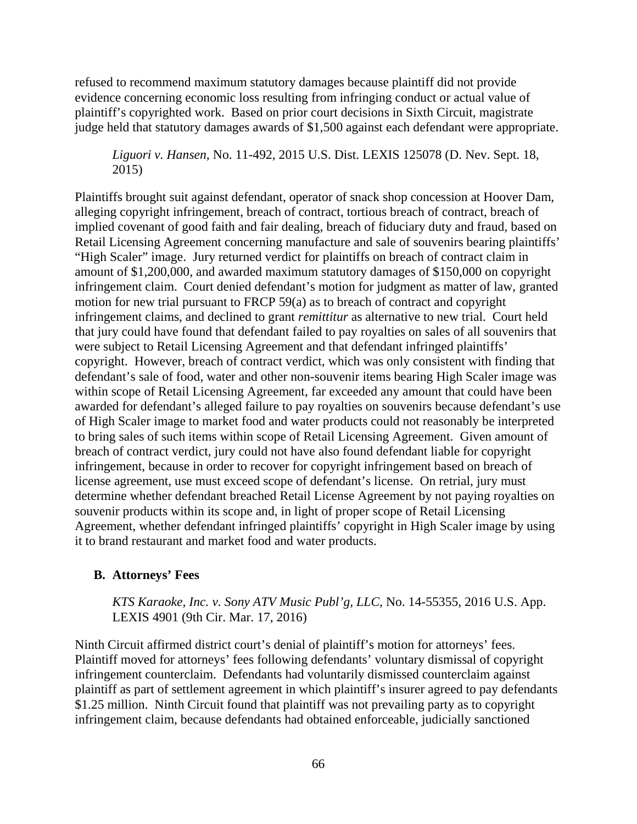refused to recommend maximum statutory damages because plaintiff did not provide evidence concerning economic loss resulting from infringing conduct or actual value of plaintiff's copyrighted work. Based on prior court decisions in Sixth Circuit, magistrate judge held that statutory damages awards of \$1,500 against each defendant were appropriate.

*Liguori v. Hansen*, No. 11-492, 2015 U.S. Dist. LEXIS 125078 (D. Nev. Sept. 18, 2015)

Plaintiffs brought suit against defendant, operator of snack shop concession at Hoover Dam, alleging copyright infringement, breach of contract, tortious breach of contract, breach of implied covenant of good faith and fair dealing, breach of fiduciary duty and fraud, based on Retail Licensing Agreement concerning manufacture and sale of souvenirs bearing plaintiffs' "High Scaler" image. Jury returned verdict for plaintiffs on breach of contract claim in amount of \$1,200,000, and awarded maximum statutory damages of \$150,000 on copyright infringement claim. Court denied defendant's motion for judgment as matter of law, granted motion for new trial pursuant to FRCP 59(a) as to breach of contract and copyright infringement claims, and declined to grant *remittitur* as alternative to new trial. Court held that jury could have found that defendant failed to pay royalties on sales of all souvenirs that were subject to Retail Licensing Agreement and that defendant infringed plaintiffs' copyright. However, breach of contract verdict, which was only consistent with finding that defendant's sale of food, water and other non-souvenir items bearing High Scaler image was within scope of Retail Licensing Agreement, far exceeded any amount that could have been awarded for defendant's alleged failure to pay royalties on souvenirs because defendant's use of High Scaler image to market food and water products could not reasonably be interpreted to bring sales of such items within scope of Retail Licensing Agreement. Given amount of breach of contract verdict, jury could not have also found defendant liable for copyright infringement, because in order to recover for copyright infringement based on breach of license agreement, use must exceed scope of defendant's license. On retrial, jury must determine whether defendant breached Retail License Agreement by not paying royalties on souvenir products within its scope and, in light of proper scope of Retail Licensing Agreement, whether defendant infringed plaintiffs' copyright in High Scaler image by using it to brand restaurant and market food and water products.

#### **B. Attorneys' Fees**

*KTS Karaoke, Inc. v. Sony ATV Music Publ'g, LLC*, No. 14-55355, 2016 U.S. App. LEXIS 4901 (9th Cir. Mar. 17, 2016)

Ninth Circuit affirmed district court's denial of plaintiff's motion for attorneys' fees. Plaintiff moved for attorneys' fees following defendants' voluntary dismissal of copyright infringement counterclaim. Defendants had voluntarily dismissed counterclaim against plaintiff as part of settlement agreement in which plaintiff's insurer agreed to pay defendants \$1.25 million. Ninth Circuit found that plaintiff was not prevailing party as to copyright infringement claim, because defendants had obtained enforceable, judicially sanctioned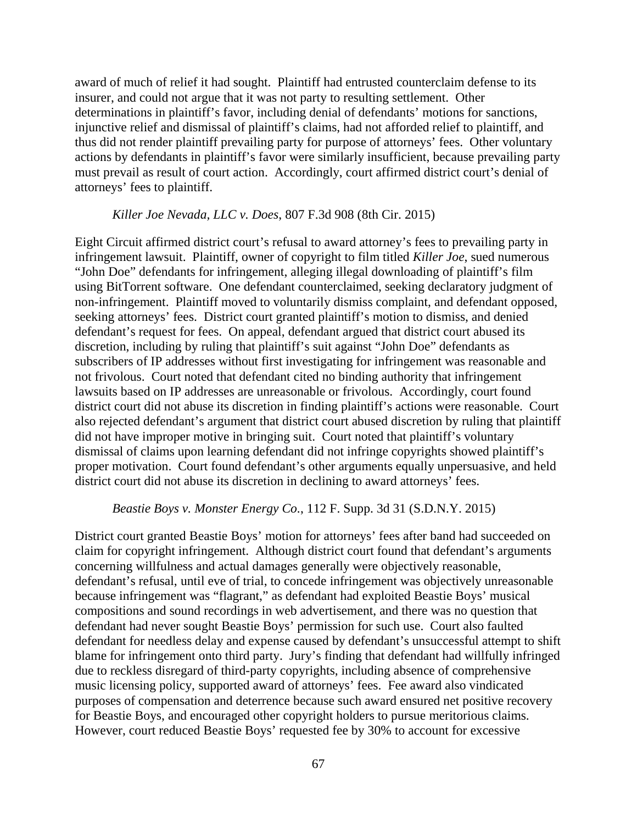award of much of relief it had sought. Plaintiff had entrusted counterclaim defense to its insurer, and could not argue that it was not party to resulting settlement. Other determinations in plaintiff's favor, including denial of defendants' motions for sanctions, injunctive relief and dismissal of plaintiff's claims, had not afforded relief to plaintiff, and thus did not render plaintiff prevailing party for purpose of attorneys' fees. Other voluntary actions by defendants in plaintiff's favor were similarly insufficient, because prevailing party must prevail as result of court action. Accordingly, court affirmed district court's denial of attorneys' fees to plaintiff.

#### *Killer Joe Nevada, LLC v. Does*, 807 F.3d 908 (8th Cir. 2015)

Eight Circuit affirmed district court's refusal to award attorney's fees to prevailing party in infringement lawsuit. Plaintiff, owner of copyright to film titled *Killer Joe*, sued numerous "John Doe" defendants for infringement, alleging illegal downloading of plaintiff's film using BitTorrent software. One defendant counterclaimed, seeking declaratory judgment of non-infringement. Plaintiff moved to voluntarily dismiss complaint, and defendant opposed, seeking attorneys' fees. District court granted plaintiff's motion to dismiss, and denied defendant's request for fees. On appeal, defendant argued that district court abused its discretion, including by ruling that plaintiff's suit against "John Doe" defendants as subscribers of IP addresses without first investigating for infringement was reasonable and not frivolous. Court noted that defendant cited no binding authority that infringement lawsuits based on IP addresses are unreasonable or frivolous. Accordingly, court found district court did not abuse its discretion in finding plaintiff's actions were reasonable. Court also rejected defendant's argument that district court abused discretion by ruling that plaintiff did not have improper motive in bringing suit. Court noted that plaintiff's voluntary dismissal of claims upon learning defendant did not infringe copyrights showed plaintiff's proper motivation. Court found defendant's other arguments equally unpersuasive, and held district court did not abuse its discretion in declining to award attorneys' fees.

#### *Beastie Boys v. Monster Energy Co.*, 112 F. Supp. 3d 31 (S.D.N.Y. 2015)

District court granted Beastie Boys' motion for attorneys' fees after band had succeeded on claim for copyright infringement. Although district court found that defendant's arguments concerning willfulness and actual damages generally were objectively reasonable, defendant's refusal, until eve of trial, to concede infringement was objectively unreasonable because infringement was "flagrant," as defendant had exploited Beastie Boys' musical compositions and sound recordings in web advertisement, and there was no question that defendant had never sought Beastie Boys' permission for such use. Court also faulted defendant for needless delay and expense caused by defendant's unsuccessful attempt to shift blame for infringement onto third party. Jury's finding that defendant had willfully infringed due to reckless disregard of third-party copyrights, including absence of comprehensive music licensing policy, supported award of attorneys' fees. Fee award also vindicated purposes of compensation and deterrence because such award ensured net positive recovery for Beastie Boys, and encouraged other copyright holders to pursue meritorious claims. However, court reduced Beastie Boys' requested fee by 30% to account for excessive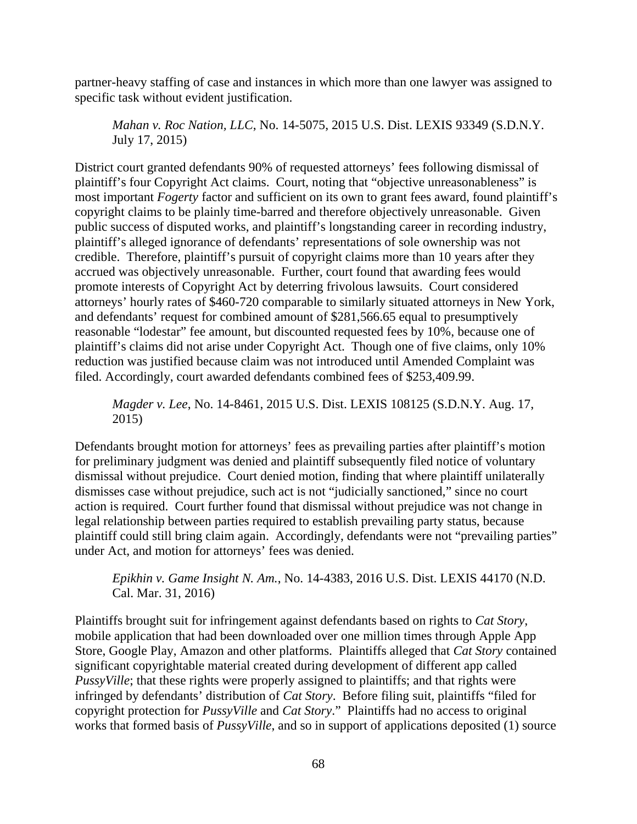partner-heavy staffing of case and instances in which more than one lawyer was assigned to specific task without evident justification.

*Mahan v. Roc Nation, LLC*, No. 14-5075, 2015 U.S. Dist. LEXIS 93349 (S.D.N.Y. July 17, 2015)

District court granted defendants 90% of requested attorneys' fees following dismissal of plaintiff's four Copyright Act claims. Court, noting that "objective unreasonableness" is most important *Fogerty* factor and sufficient on its own to grant fees award, found plaintiff's copyright claims to be plainly time-barred and therefore objectively unreasonable. Given public success of disputed works, and plaintiff's longstanding career in recording industry, plaintiff's alleged ignorance of defendants' representations of sole ownership was not credible. Therefore, plaintiff's pursuit of copyright claims more than 10 years after they accrued was objectively unreasonable. Further, court found that awarding fees would promote interests of Copyright Act by deterring frivolous lawsuits. Court considered attorneys' hourly rates of \$460-720 comparable to similarly situated attorneys in New York, and defendants' request for combined amount of \$281,566.65 equal to presumptively reasonable "lodestar" fee amount, but discounted requested fees by 10%, because one of plaintiff's claims did not arise under Copyright Act. Though one of five claims, only 10% reduction was justified because claim was not introduced until Amended Complaint was filed. Accordingly, court awarded defendants combined fees of \$253,409.99.

*Magder v. Lee*, No. 14-8461, 2015 U.S. Dist. LEXIS 108125 (S.D.N.Y. Aug. 17, 2015)

Defendants brought motion for attorneys' fees as prevailing parties after plaintiff's motion for preliminary judgment was denied and plaintiff subsequently filed notice of voluntary dismissal without prejudice. Court denied motion, finding that where plaintiff unilaterally dismisses case without prejudice, such act is not "judicially sanctioned," since no court action is required. Court further found that dismissal without prejudice was not change in legal relationship between parties required to establish prevailing party status, because plaintiff could still bring claim again. Accordingly, defendants were not "prevailing parties" under Act, and motion for attorneys' fees was denied.

*Epikhin v. Game Insight N. Am.*, No. 14-4383, 2016 U.S. Dist. LEXIS 44170 (N.D. Cal. Mar. 31, 2016)

Plaintiffs brought suit for infringement against defendants based on rights to *Cat Story*, mobile application that had been downloaded over one million times through Apple App Store, Google Play, Amazon and other platforms. Plaintiffs alleged that *Cat Story* contained significant copyrightable material created during development of different app called *PussyVille*; that these rights were properly assigned to plaintiffs; and that rights were infringed by defendants' distribution of *Cat Story*. Before filing suit, plaintiffs "filed for copyright protection for *PussyVille* and *Cat Story*." Plaintiffs had no access to original works that formed basis of *PussyVille*, and so in support of applications deposited (1) source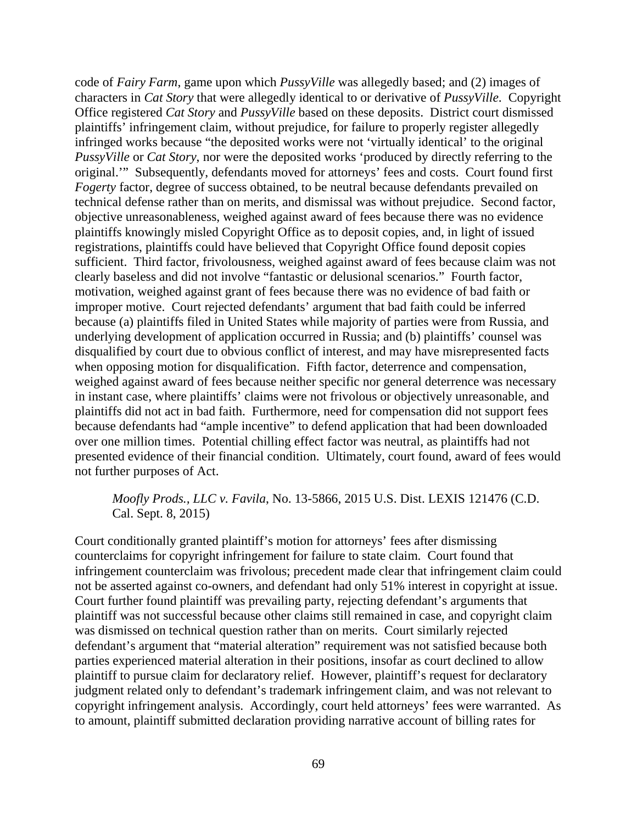code of *Fairy Farm*, game upon which *PussyVille* was allegedly based; and (2) images of characters in *Cat Story* that were allegedly identical to or derivative of *PussyVille*. Copyright Office registered *Cat Story* and *PussyVille* based on these deposits. District court dismissed plaintiffs' infringement claim, without prejudice, for failure to properly register allegedly infringed works because "the deposited works were not 'virtually identical' to the original *PussyVille* or *Cat Story*, nor were the deposited works 'produced by directly referring to the original.'" Subsequently, defendants moved for attorneys' fees and costs. Court found first *Fogerty* factor, degree of success obtained, to be neutral because defendants prevailed on technical defense rather than on merits, and dismissal was without prejudice. Second factor, objective unreasonableness, weighed against award of fees because there was no evidence plaintiffs knowingly misled Copyright Office as to deposit copies, and, in light of issued registrations, plaintiffs could have believed that Copyright Office found deposit copies sufficient. Third factor, frivolousness, weighed against award of fees because claim was not clearly baseless and did not involve "fantastic or delusional scenarios." Fourth factor, motivation, weighed against grant of fees because there was no evidence of bad faith or improper motive. Court rejected defendants' argument that bad faith could be inferred because (a) plaintiffs filed in United States while majority of parties were from Russia, and underlying development of application occurred in Russia; and (b) plaintiffs' counsel was disqualified by court due to obvious conflict of interest, and may have misrepresented facts when opposing motion for disqualification. Fifth factor, deterrence and compensation, weighed against award of fees because neither specific nor general deterrence was necessary in instant case, where plaintiffs' claims were not frivolous or objectively unreasonable, and plaintiffs did not act in bad faith. Furthermore, need for compensation did not support fees because defendants had "ample incentive" to defend application that had been downloaded over one million times. Potential chilling effect factor was neutral, as plaintiffs had not presented evidence of their financial condition. Ultimately, court found, award of fees would not further purposes of Act.

#### *Moofly Prods., LLC v. Favila*, No. 13-5866, 2015 U.S. Dist. LEXIS 121476 (C.D. Cal. Sept. 8, 2015)

Court conditionally granted plaintiff's motion for attorneys' fees after dismissing counterclaims for copyright infringement for failure to state claim. Court found that infringement counterclaim was frivolous; precedent made clear that infringement claim could not be asserted against co-owners, and defendant had only 51% interest in copyright at issue. Court further found plaintiff was prevailing party, rejecting defendant's arguments that plaintiff was not successful because other claims still remained in case, and copyright claim was dismissed on technical question rather than on merits. Court similarly rejected defendant's argument that "material alteration" requirement was not satisfied because both parties experienced material alteration in their positions, insofar as court declined to allow plaintiff to pursue claim for declaratory relief. However, plaintiff's request for declaratory judgment related only to defendant's trademark infringement claim, and was not relevant to copyright infringement analysis. Accordingly, court held attorneys' fees were warranted. As to amount, plaintiff submitted declaration providing narrative account of billing rates for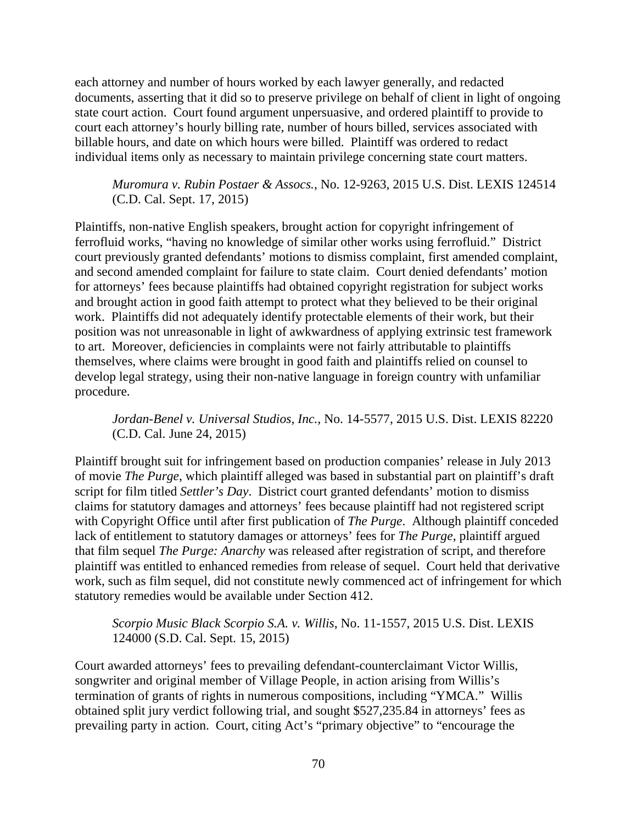each attorney and number of hours worked by each lawyer generally, and redacted documents, asserting that it did so to preserve privilege on behalf of client in light of ongoing state court action. Court found argument unpersuasive, and ordered plaintiff to provide to court each attorney's hourly billing rate, number of hours billed, services associated with billable hours, and date on which hours were billed. Plaintiff was ordered to redact individual items only as necessary to maintain privilege concerning state court matters.

*Muromura v. Rubin Postaer & Assocs.*, No. 12-9263, 2015 U.S. Dist. LEXIS 124514 (C.D. Cal. Sept. 17, 2015)

Plaintiffs, non-native English speakers, brought action for copyright infringement of ferrofluid works, "having no knowledge of similar other works using ferrofluid." District court previously granted defendants' motions to dismiss complaint, first amended complaint, and second amended complaint for failure to state claim. Court denied defendants' motion for attorneys' fees because plaintiffs had obtained copyright registration for subject works and brought action in good faith attempt to protect what they believed to be their original work. Plaintiffs did not adequately identify protectable elements of their work, but their position was not unreasonable in light of awkwardness of applying extrinsic test framework to art. Moreover, deficiencies in complaints were not fairly attributable to plaintiffs themselves, where claims were brought in good faith and plaintiffs relied on counsel to develop legal strategy, using their non-native language in foreign country with unfamiliar procedure.

*Jordan-Benel v. Universal Studios, Inc.*, No. 14-5577, 2015 U.S. Dist. LEXIS 82220 (C.D. Cal. June 24, 2015)

Plaintiff brought suit for infringement based on production companies' release in July 2013 of movie *The Purge*, which plaintiff alleged was based in substantial part on plaintiff's draft script for film titled *Settler's Day*. District court granted defendants' motion to dismiss claims for statutory damages and attorneys' fees because plaintiff had not registered script with Copyright Office until after first publication of *The Purge*. Although plaintiff conceded lack of entitlement to statutory damages or attorneys' fees for *The Purge*, plaintiff argued that film sequel *The Purge: Anarchy* was released after registration of script, and therefore plaintiff was entitled to enhanced remedies from release of sequel. Court held that derivative work, such as film sequel, did not constitute newly commenced act of infringement for which statutory remedies would be available under Section 412.

*Scorpio Music Black Scorpio S.A. v. Willis*, No. 11-1557, 2015 U.S. Dist. LEXIS 124000 (S.D. Cal. Sept. 15, 2015)

Court awarded attorneys' fees to prevailing defendant-counterclaimant Victor Willis, songwriter and original member of Village People, in action arising from Willis's termination of grants of rights in numerous compositions, including "YMCA." Willis obtained split jury verdict following trial, and sought \$527,235.84 in attorneys' fees as prevailing party in action. Court, citing Act's "primary objective" to "encourage the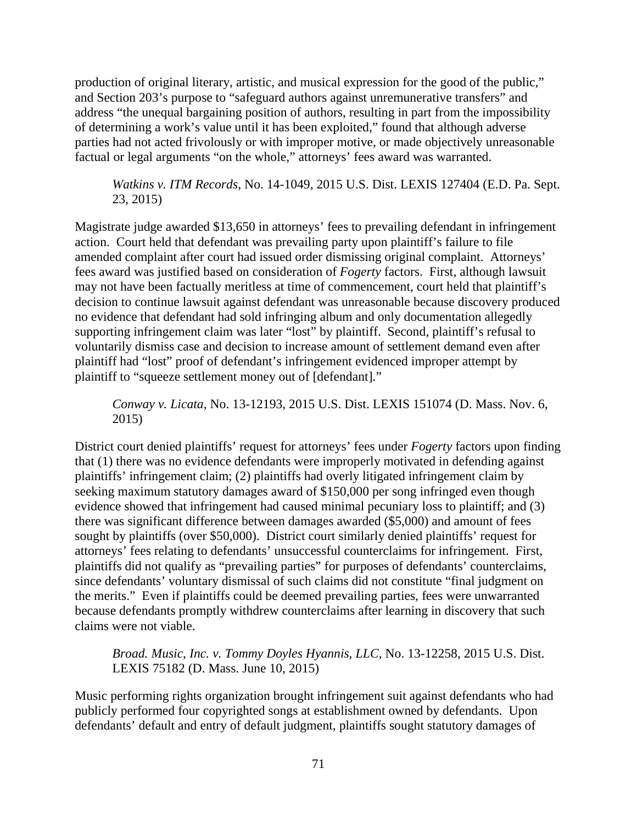production of original literary, artistic, and musical expression for the good of the public," and Section 203's purpose to "safeguard authors against unremunerative transfers" and address "the unequal bargaining position of authors, resulting in part from the impossibility of determining a work's value until it has been exploited," found that although adverse parties had not acted frivolously or with improper motive, or made objectively unreasonable factual or legal arguments "on the whole," attorneys' fees award was warranted.

*Watkins v. ITM Records*, No. 14-1049, 2015 U.S. Dist. LEXIS 127404 (E.D. Pa. Sept. 23, 2015)

Magistrate judge awarded \$13,650 in attorneys' fees to prevailing defendant in infringement action. Court held that defendant was prevailing party upon plaintiff's failure to file amended complaint after court had issued order dismissing original complaint. Attorneys' fees award was justified based on consideration of *Fogerty* factors. First, although lawsuit may not have been factually meritless at time of commencement, court held that plaintiff's decision to continue lawsuit against defendant was unreasonable because discovery produced no evidence that defendant had sold infringing album and only documentation allegedly supporting infringement claim was later "lost" by plaintiff. Second, plaintiff's refusal to voluntarily dismiss case and decision to increase amount of settlement demand even after plaintiff had "lost" proof of defendant's infringement evidenced improper attempt by plaintiff to "squeeze settlement money out of [defendant]."

*Conway v. Licata*, No. 13-12193, 2015 U.S. Dist. LEXIS 151074 (D. Mass. Nov. 6, 2015)

District court denied plaintiffs' request for attorneys' fees under *Fogerty* factors upon finding that (1) there was no evidence defendants were improperly motivated in defending against plaintiffs' infringement claim; (2) plaintiffs had overly litigated infringement claim by seeking maximum statutory damages award of \$150,000 per song infringed even though evidence showed that infringement had caused minimal pecuniary loss to plaintiff; and (3) there was significant difference between damages awarded (\$5,000) and amount of fees sought by plaintiffs (over \$50,000). District court similarly denied plaintiffs' request for attorneys' fees relating to defendants' unsuccessful counterclaims for infringement. First, plaintiffs did not qualify as "prevailing parties" for purposes of defendants' counterclaims, since defendants' voluntary dismissal of such claims did not constitute "final judgment on the merits." Even if plaintiffs could be deemed prevailing parties, fees were unwarranted because defendants promptly withdrew counterclaims after learning in discovery that such claims were not viable.

*Broad. Music, Inc. v. Tommy Doyles Hyannis, LLC*, No. 13-12258, 2015 U.S. Dist. LEXIS 75182 (D. Mass. June 10, 2015)

Music performing rights organization brought infringement suit against defendants who had publicly performed four copyrighted songs at establishment owned by defendants. Upon defendants' default and entry of default judgment, plaintiffs sought statutory damages of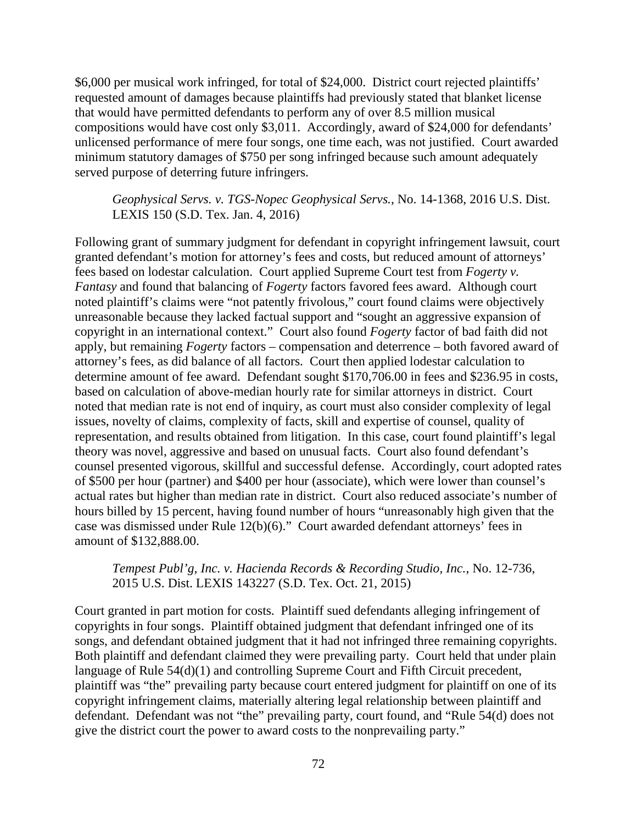\$6,000 per musical work infringed, for total of \$24,000. District court rejected plaintiffs' requested amount of damages because plaintiffs had previously stated that blanket license that would have permitted defendants to perform any of over 8.5 million musical compositions would have cost only \$3,011. Accordingly, award of \$24,000 for defendants' unlicensed performance of mere four songs, one time each, was not justified. Court awarded minimum statutory damages of \$750 per song infringed because such amount adequately served purpose of deterring future infringers.

*Geophysical Servs. v. TGS-Nopec Geophysical Servs.*, No. 14-1368, 2016 U.S. Dist. LEXIS 150 (S.D. Tex. Jan. 4, 2016)

Following grant of summary judgment for defendant in copyright infringement lawsuit, court granted defendant's motion for attorney's fees and costs, but reduced amount of attorneys' fees based on lodestar calculation. Court applied Supreme Court test from *Fogerty v. Fantasy* and found that balancing of *Fogerty* factors favored fees award. Although court noted plaintiff's claims were "not patently frivolous," court found claims were objectively unreasonable because they lacked factual support and "sought an aggressive expansion of copyright in an international context." Court also found *Fogerty* factor of bad faith did not apply, but remaining *Fogerty* factors – compensation and deterrence – both favored award of attorney's fees, as did balance of all factors. Court then applied lodestar calculation to determine amount of fee award. Defendant sought \$170,706.00 in fees and \$236.95 in costs, based on calculation of above-median hourly rate for similar attorneys in district. Court noted that median rate is not end of inquiry, as court must also consider complexity of legal issues, novelty of claims, complexity of facts, skill and expertise of counsel, quality of representation, and results obtained from litigation. In this case, court found plaintiff's legal theory was novel, aggressive and based on unusual facts. Court also found defendant's counsel presented vigorous, skillful and successful defense. Accordingly, court adopted rates of \$500 per hour (partner) and \$400 per hour (associate), which were lower than counsel's actual rates but higher than median rate in district. Court also reduced associate's number of hours billed by 15 percent, having found number of hours "unreasonably high given that the case was dismissed under Rule 12(b)(6)." Court awarded defendant attorneys' fees in amount of \$132,888.00.

#### *Tempest Publ'g, Inc. v. Hacienda Records & Recording Studio, Inc.*, No. 12-736, 2015 U.S. Dist. LEXIS 143227 (S.D. Tex. Oct. 21, 2015)

Court granted in part motion for costs. Plaintiff sued defendants alleging infringement of copyrights in four songs. Plaintiff obtained judgment that defendant infringed one of its songs, and defendant obtained judgment that it had not infringed three remaining copyrights. Both plaintiff and defendant claimed they were prevailing party. Court held that under plain language of Rule 54(d)(1) and controlling Supreme Court and Fifth Circuit precedent, plaintiff was "the" prevailing party because court entered judgment for plaintiff on one of its copyright infringement claims, materially altering legal relationship between plaintiff and defendant. Defendant was not "the" prevailing party, court found, and "Rule 54(d) does not give the district court the power to award costs to the nonprevailing party."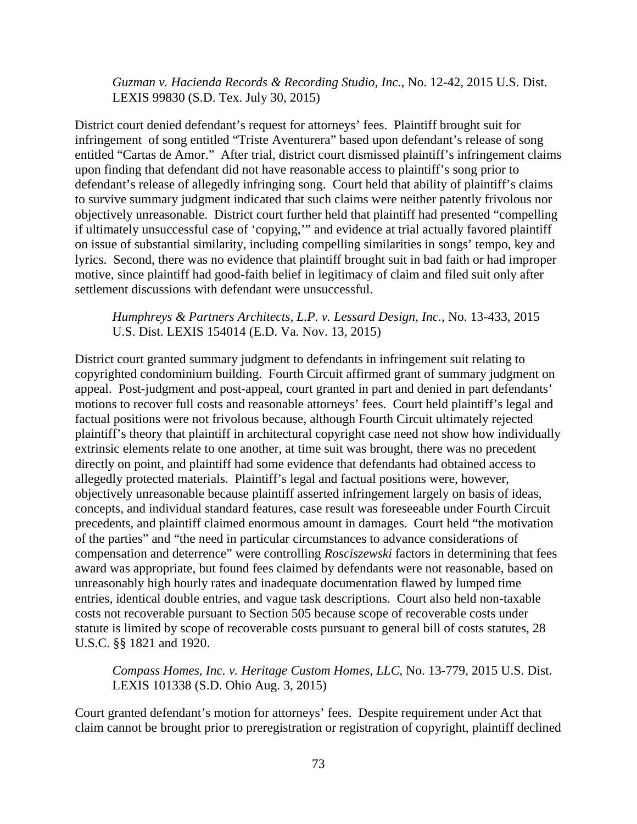*Guzman v. Hacienda Records & Recording Studio, Inc.*, No. 12-42, 2015 U.S. Dist. LEXIS 99830 (S.D. Tex. July 30, 2015)

District court denied defendant's request for attorneys' fees. Plaintiff brought suit for infringement of song entitled "Triste Aventurera" based upon defendant's release of song entitled "Cartas de Amor." After trial, district court dismissed plaintiff's infringement claims upon finding that defendant did not have reasonable access to plaintiff's song prior to defendant's release of allegedly infringing song. Court held that ability of plaintiff's claims to survive summary judgment indicated that such claims were neither patently frivolous nor objectively unreasonable. District court further held that plaintiff had presented "compelling if ultimately unsuccessful case of 'copying,'" and evidence at trial actually favored plaintiff on issue of substantial similarity, including compelling similarities in songs' tempo, key and lyrics. Second, there was no evidence that plaintiff brought suit in bad faith or had improper motive, since plaintiff had good-faith belief in legitimacy of claim and filed suit only after settlement discussions with defendant were unsuccessful.

## *Humphreys & Partners Architects, L.P. v. Lessard Design, Inc.*, No. 13-433, 2015 U.S. Dist. LEXIS 154014 (E.D. Va. Nov. 13, 2015)

District court granted summary judgment to defendants in infringement suit relating to copyrighted condominium building. Fourth Circuit affirmed grant of summary judgment on appeal. Post-judgment and post-appeal, court granted in part and denied in part defendants' motions to recover full costs and reasonable attorneys' fees. Court held plaintiff's legal and factual positions were not frivolous because, although Fourth Circuit ultimately rejected plaintiff's theory that plaintiff in architectural copyright case need not show how individually extrinsic elements relate to one another, at time suit was brought, there was no precedent directly on point, and plaintiff had some evidence that defendants had obtained access to allegedly protected materials. Plaintiff's legal and factual positions were, however, objectively unreasonable because plaintiff asserted infringement largely on basis of ideas, concepts, and individual standard features, case result was foreseeable under Fourth Circuit precedents, and plaintiff claimed enormous amount in damages. Court held "the motivation of the parties" and "the need in particular circumstances to advance considerations of compensation and deterrence" were controlling *Rosciszewski* factors in determining that fees award was appropriate, but found fees claimed by defendants were not reasonable, based on unreasonably high hourly rates and inadequate documentation flawed by lumped time entries, identical double entries, and vague task descriptions. Court also held non-taxable costs not recoverable pursuant to Section 505 because scope of recoverable costs under statute is limited by scope of recoverable costs pursuant to general bill of costs statutes, 28 U.S.C. §§ 1821 and 1920.

*Compass Homes, Inc. v. Heritage Custom Homes, LLC*, No. 13-779, 2015 U.S. Dist. LEXIS 101338 (S.D. Ohio Aug. 3, 2015)

Court granted defendant's motion for attorneys' fees. Despite requirement under Act that claim cannot be brought prior to preregistration or registration of copyright, plaintiff declined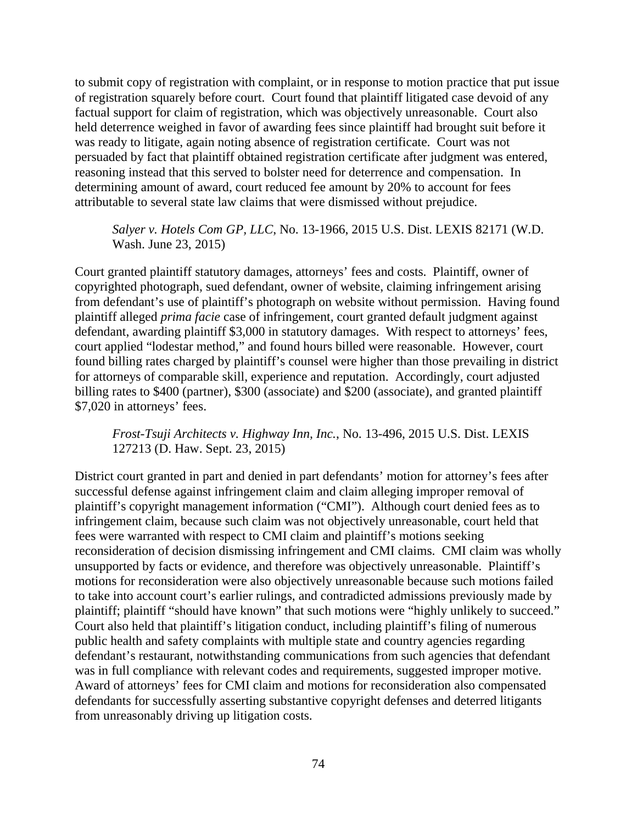to submit copy of registration with complaint, or in response to motion practice that put issue of registration squarely before court. Court found that plaintiff litigated case devoid of any factual support for claim of registration, which was objectively unreasonable. Court also held deterrence weighed in favor of awarding fees since plaintiff had brought suit before it was ready to litigate, again noting absence of registration certificate. Court was not persuaded by fact that plaintiff obtained registration certificate after judgment was entered, reasoning instead that this served to bolster need for deterrence and compensation. In determining amount of award, court reduced fee amount by 20% to account for fees attributable to several state law claims that were dismissed without prejudice.

#### *Salyer v. Hotels Com GP, LLC*, No. 13-1966, 2015 U.S. Dist. LEXIS 82171 (W.D. Wash. June 23, 2015)

Court granted plaintiff statutory damages, attorneys' fees and costs. Plaintiff, owner of copyrighted photograph, sued defendant, owner of website, claiming infringement arising from defendant's use of plaintiff's photograph on website without permission. Having found plaintiff alleged *prima facie* case of infringement, court granted default judgment against defendant, awarding plaintiff \$3,000 in statutory damages. With respect to attorneys' fees, court applied "lodestar method," and found hours billed were reasonable. However, court found billing rates charged by plaintiff's counsel were higher than those prevailing in district for attorneys of comparable skill, experience and reputation. Accordingly, court adjusted billing rates to \$400 (partner), \$300 (associate) and \$200 (associate), and granted plaintiff \$7,020 in attorneys' fees.

*Frost-Tsuji Architects v. Highway Inn, Inc.*, No. 13-496, 2015 U.S. Dist. LEXIS 127213 (D. Haw. Sept. 23, 2015)

District court granted in part and denied in part defendants' motion for attorney's fees after successful defense against infringement claim and claim alleging improper removal of plaintiff's copyright management information ("CMI"). Although court denied fees as to infringement claim, because such claim was not objectively unreasonable, court held that fees were warranted with respect to CMI claim and plaintiff's motions seeking reconsideration of decision dismissing infringement and CMI claims. CMI claim was wholly unsupported by facts or evidence, and therefore was objectively unreasonable. Plaintiff's motions for reconsideration were also objectively unreasonable because such motions failed to take into account court's earlier rulings, and contradicted admissions previously made by plaintiff; plaintiff "should have known" that such motions were "highly unlikely to succeed." Court also held that plaintiff's litigation conduct, including plaintiff's filing of numerous public health and safety complaints with multiple state and country agencies regarding defendant's restaurant, notwithstanding communications from such agencies that defendant was in full compliance with relevant codes and requirements, suggested improper motive. Award of attorneys' fees for CMI claim and motions for reconsideration also compensated defendants for successfully asserting substantive copyright defenses and deterred litigants from unreasonably driving up litigation costs.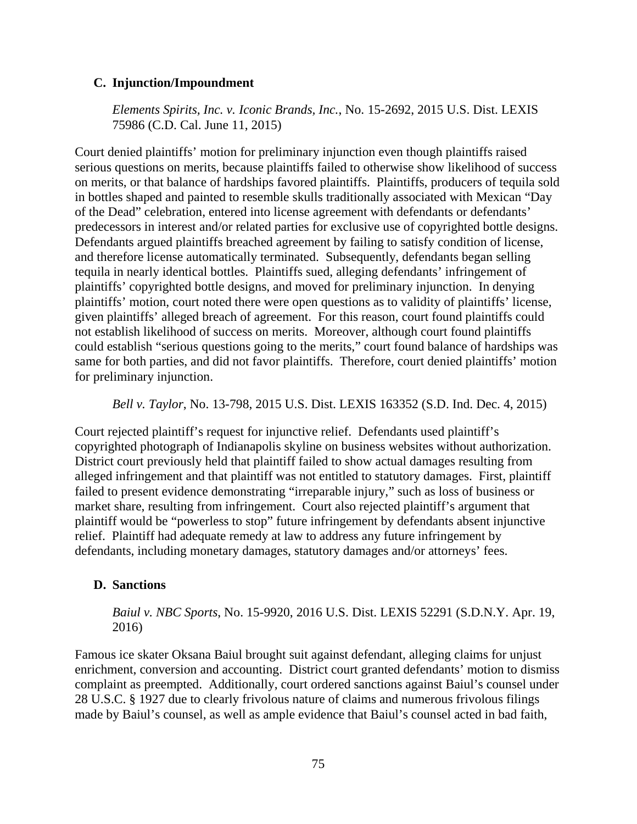## **C. Injunction/Impoundment**

*Elements Spirits, Inc. v. Iconic Brands, Inc.*, No. 15-2692, 2015 U.S. Dist. LEXIS 75986 (C.D. Cal. June 11, 2015)

Court denied plaintiffs' motion for preliminary injunction even though plaintiffs raised serious questions on merits, because plaintiffs failed to otherwise show likelihood of success on merits, or that balance of hardships favored plaintiffs. Plaintiffs, producers of tequila sold in bottles shaped and painted to resemble skulls traditionally associated with Mexican "Day of the Dead" celebration, entered into license agreement with defendants or defendants' predecessors in interest and/or related parties for exclusive use of copyrighted bottle designs. Defendants argued plaintiffs breached agreement by failing to satisfy condition of license, and therefore license automatically terminated. Subsequently, defendants began selling tequila in nearly identical bottles. Plaintiffs sued, alleging defendants' infringement of plaintiffs' copyrighted bottle designs, and moved for preliminary injunction. In denying plaintiffs' motion, court noted there were open questions as to validity of plaintiffs' license, given plaintiffs' alleged breach of agreement. For this reason, court found plaintiffs could not establish likelihood of success on merits. Moreover, although court found plaintiffs could establish "serious questions going to the merits," court found balance of hardships was same for both parties, and did not favor plaintiffs. Therefore, court denied plaintiffs' motion for preliminary injunction.

*Bell v. Taylor*, No. 13-798, 2015 U.S. Dist. LEXIS 163352 (S.D. Ind. Dec. 4, 2015)

Court rejected plaintiff's request for injunctive relief. Defendants used plaintiff's copyrighted photograph of Indianapolis skyline on business websites without authorization. District court previously held that plaintiff failed to show actual damages resulting from alleged infringement and that plaintiff was not entitled to statutory damages. First, plaintiff failed to present evidence demonstrating "irreparable injury," such as loss of business or market share, resulting from infringement. Court also rejected plaintiff's argument that plaintiff would be "powerless to stop" future infringement by defendants absent injunctive relief. Plaintiff had adequate remedy at law to address any future infringement by defendants, including monetary damages, statutory damages and/or attorneys' fees.

#### **D. Sanctions**

*Baiul v. NBC Sports*, No. 15-9920, 2016 U.S. Dist. LEXIS 52291 (S.D.N.Y. Apr. 19, 2016)

Famous ice skater Oksana Baiul brought suit against defendant, alleging claims for unjust enrichment, conversion and accounting. District court granted defendants' motion to dismiss complaint as preempted. Additionally, court ordered sanctions against Baiul's counsel under 28 U.S.C. § 1927 due to clearly frivolous nature of claims and numerous frivolous filings made by Baiul's counsel, as well as ample evidence that Baiul's counsel acted in bad faith,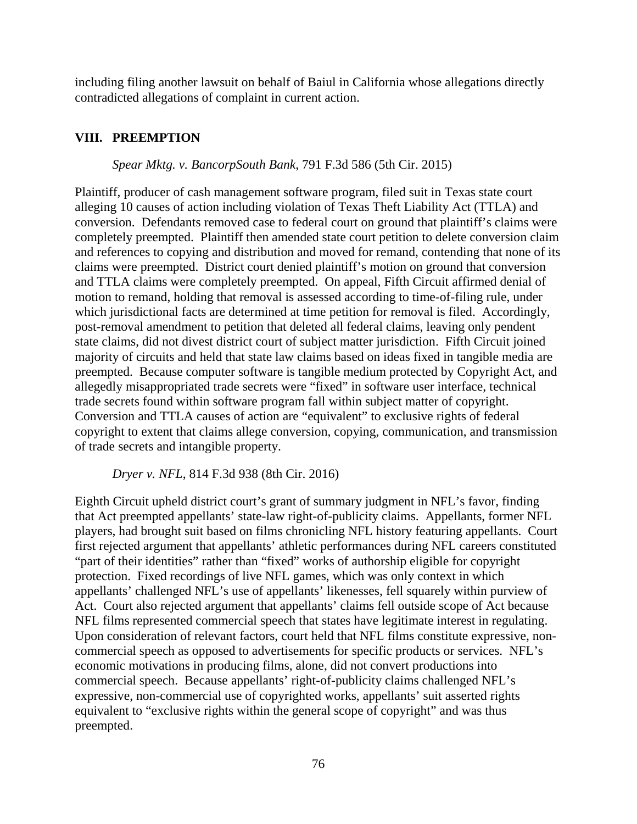including filing another lawsuit on behalf of Baiul in California whose allegations directly contradicted allegations of complaint in current action.

## **VIII. PREEMPTION**

### *Spear Mktg. v. BancorpSouth Bank*, 791 F.3d 586 (5th Cir. 2015)

Plaintiff, producer of cash management software program, filed suit in Texas state court alleging 10 causes of action including violation of Texas Theft Liability Act (TTLA) and conversion. Defendants removed case to federal court on ground that plaintiff's claims were completely preempted. Plaintiff then amended state court petition to delete conversion claim and references to copying and distribution and moved for remand, contending that none of its claims were preempted. District court denied plaintiff's motion on ground that conversion and TTLA claims were completely preempted. On appeal, Fifth Circuit affirmed denial of motion to remand, holding that removal is assessed according to time-of-filing rule, under which jurisdictional facts are determined at time petition for removal is filed. Accordingly, post-removal amendment to petition that deleted all federal claims, leaving only pendent state claims, did not divest district court of subject matter jurisdiction. Fifth Circuit joined majority of circuits and held that state law claims based on ideas fixed in tangible media are preempted. Because computer software is tangible medium protected by Copyright Act, and allegedly misappropriated trade secrets were "fixed" in software user interface, technical trade secrets found within software program fall within subject matter of copyright. Conversion and TTLA causes of action are "equivalent" to exclusive rights of federal copyright to extent that claims allege conversion, copying, communication, and transmission of trade secrets and intangible property.

*Dryer v. NFL*, 814 F.3d 938 (8th Cir. 2016)

Eighth Circuit upheld district court's grant of summary judgment in NFL's favor, finding that Act preempted appellants' state-law right-of-publicity claims. Appellants, former NFL players, had brought suit based on films chronicling NFL history featuring appellants. Court first rejected argument that appellants' athletic performances during NFL careers constituted "part of their identities" rather than "fixed" works of authorship eligible for copyright protection. Fixed recordings of live NFL games, which was only context in which appellants' challenged NFL's use of appellants' likenesses, fell squarely within purview of Act. Court also rejected argument that appellants' claims fell outside scope of Act because NFL films represented commercial speech that states have legitimate interest in regulating. Upon consideration of relevant factors, court held that NFL films constitute expressive, noncommercial speech as opposed to advertisements for specific products or services. NFL's economic motivations in producing films, alone, did not convert productions into commercial speech. Because appellants' right-of-publicity claims challenged NFL's expressive, non-commercial use of copyrighted works, appellants' suit asserted rights equivalent to "exclusive rights within the general scope of copyright" and was thus preempted.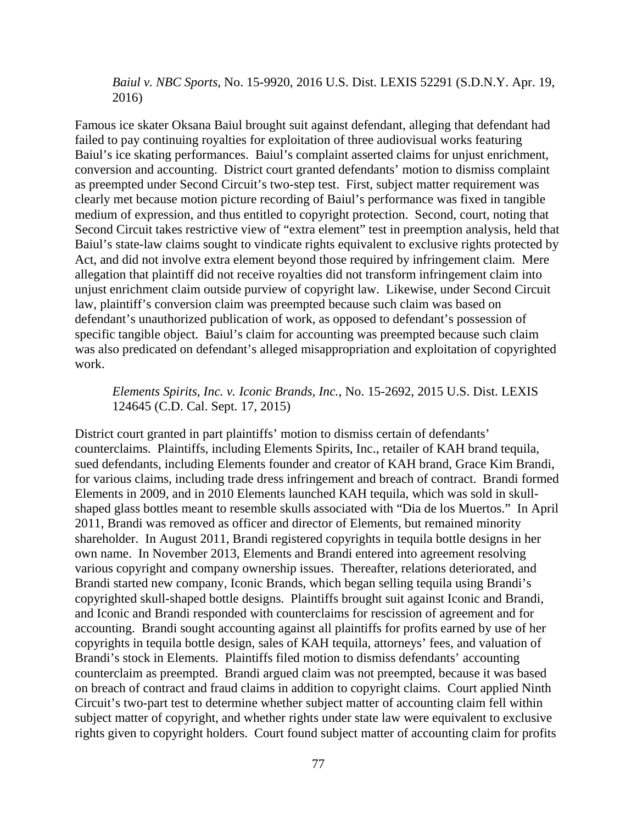*Baiul v. NBC Sports*, No. 15-9920, 2016 U.S. Dist. LEXIS 52291 (S.D.N.Y. Apr. 19, 2016)

Famous ice skater Oksana Baiul brought suit against defendant, alleging that defendant had failed to pay continuing royalties for exploitation of three audiovisual works featuring Baiul's ice skating performances. Baiul's complaint asserted claims for unjust enrichment, conversion and accounting. District court granted defendants' motion to dismiss complaint as preempted under Second Circuit's two-step test. First, subject matter requirement was clearly met because motion picture recording of Baiul's performance was fixed in tangible medium of expression, and thus entitled to copyright protection. Second, court, noting that Second Circuit takes restrictive view of "extra element" test in preemption analysis, held that Baiul's state-law claims sought to vindicate rights equivalent to exclusive rights protected by Act, and did not involve extra element beyond those required by infringement claim. Mere allegation that plaintiff did not receive royalties did not transform infringement claim into unjust enrichment claim outside purview of copyright law. Likewise, under Second Circuit law, plaintiff's conversion claim was preempted because such claim was based on defendant's unauthorized publication of work, as opposed to defendant's possession of specific tangible object. Baiul's claim for accounting was preempted because such claim was also predicated on defendant's alleged misappropriation and exploitation of copyrighted work.

*Elements Spirits, Inc. v. Iconic Brands, Inc.*, No. 15-2692, 2015 U.S. Dist. LEXIS 124645 (C.D. Cal. Sept. 17, 2015)

District court granted in part plaintiffs' motion to dismiss certain of defendants' counterclaims. Plaintiffs, including Elements Spirits, Inc., retailer of KAH brand tequila, sued defendants, including Elements founder and creator of KAH brand, Grace Kim Brandi, for various claims, including trade dress infringement and breach of contract. Brandi formed Elements in 2009, and in 2010 Elements launched KAH tequila, which was sold in skullshaped glass bottles meant to resemble skulls associated with "Dia de los Muertos." In April 2011, Brandi was removed as officer and director of Elements, but remained minority shareholder. In August 2011, Brandi registered copyrights in tequila bottle designs in her own name. In November 2013, Elements and Brandi entered into agreement resolving various copyright and company ownership issues. Thereafter, relations deteriorated, and Brandi started new company, Iconic Brands, which began selling tequila using Brandi's copyrighted skull-shaped bottle designs. Plaintiffs brought suit against Iconic and Brandi, and Iconic and Brandi responded with counterclaims for rescission of agreement and for accounting. Brandi sought accounting against all plaintiffs for profits earned by use of her copyrights in tequila bottle design, sales of KAH tequila, attorneys' fees, and valuation of Brandi's stock in Elements. Plaintiffs filed motion to dismiss defendants' accounting counterclaim as preempted. Brandi argued claim was not preempted, because it was based on breach of contract and fraud claims in addition to copyright claims. Court applied Ninth Circuit's two-part test to determine whether subject matter of accounting claim fell within subject matter of copyright, and whether rights under state law were equivalent to exclusive rights given to copyright holders. Court found subject matter of accounting claim for profits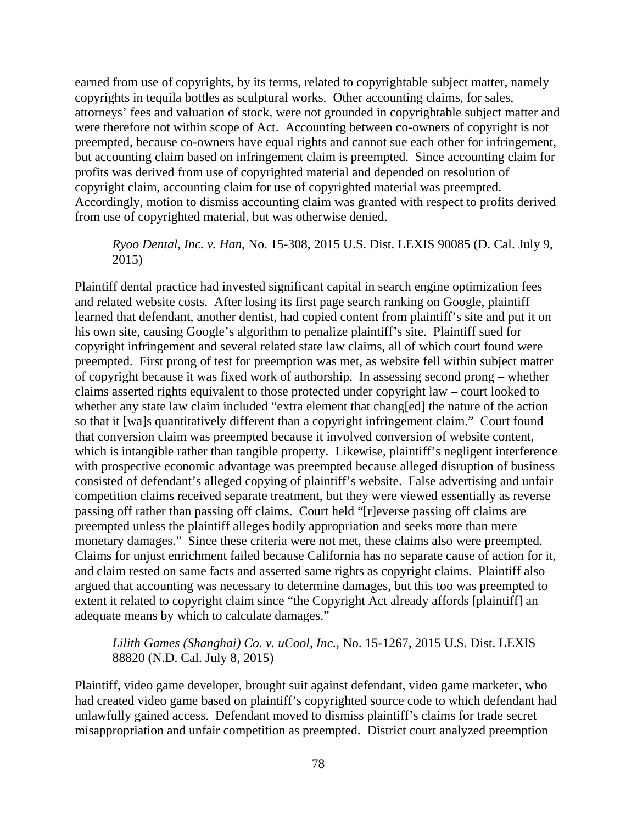earned from use of copyrights, by its terms, related to copyrightable subject matter, namely copyrights in tequila bottles as sculptural works. Other accounting claims, for sales, attorneys' fees and valuation of stock, were not grounded in copyrightable subject matter and were therefore not within scope of Act. Accounting between co-owners of copyright is not preempted, because co-owners have equal rights and cannot sue each other for infringement, but accounting claim based on infringement claim is preempted. Since accounting claim for profits was derived from use of copyrighted material and depended on resolution of copyright claim, accounting claim for use of copyrighted material was preempted. Accordingly, motion to dismiss accounting claim was granted with respect to profits derived from use of copyrighted material, but was otherwise denied.

#### *Ryoo Dental, Inc. v. Han*, No. 15-308, 2015 U.S. Dist. LEXIS 90085 (D. Cal. July 9, 2015)

Plaintiff dental practice had invested significant capital in search engine optimization fees and related website costs. After losing its first page search ranking on Google, plaintiff learned that defendant, another dentist, had copied content from plaintiff's site and put it on his own site, causing Google's algorithm to penalize plaintiff's site. Plaintiff sued for copyright infringement and several related state law claims, all of which court found were preempted. First prong of test for preemption was met, as website fell within subject matter of copyright because it was fixed work of authorship. In assessing second prong – whether claims asserted rights equivalent to those protected under copyright law – court looked to whether any state law claim included "extra element that chang[ed] the nature of the action so that it [wa]s quantitatively different than a copyright infringement claim." Court found that conversion claim was preempted because it involved conversion of website content, which is intangible rather than tangible property. Likewise, plaintiff's negligent interference with prospective economic advantage was preempted because alleged disruption of business consisted of defendant's alleged copying of plaintiff's website. False advertising and unfair competition claims received separate treatment, but they were viewed essentially as reverse passing off rather than passing off claims. Court held "[r]everse passing off claims are preempted unless the plaintiff alleges bodily appropriation and seeks more than mere monetary damages." Since these criteria were not met, these claims also were preempted. Claims for unjust enrichment failed because California has no separate cause of action for it, and claim rested on same facts and asserted same rights as copyright claims. Plaintiff also argued that accounting was necessary to determine damages, but this too was preempted to extent it related to copyright claim since "the Copyright Act already affords [plaintiff] an adequate means by which to calculate damages."

## *Lilith Games (Shanghai) Co. v. uCool, Inc.*, No. 15-1267, 2015 U.S. Dist. LEXIS 88820 (N.D. Cal. July 8, 2015)

Plaintiff, video game developer, brought suit against defendant, video game marketer, who had created video game based on plaintiff's copyrighted source code to which defendant had unlawfully gained access. Defendant moved to dismiss plaintiff's claims for trade secret misappropriation and unfair competition as preempted. District court analyzed preemption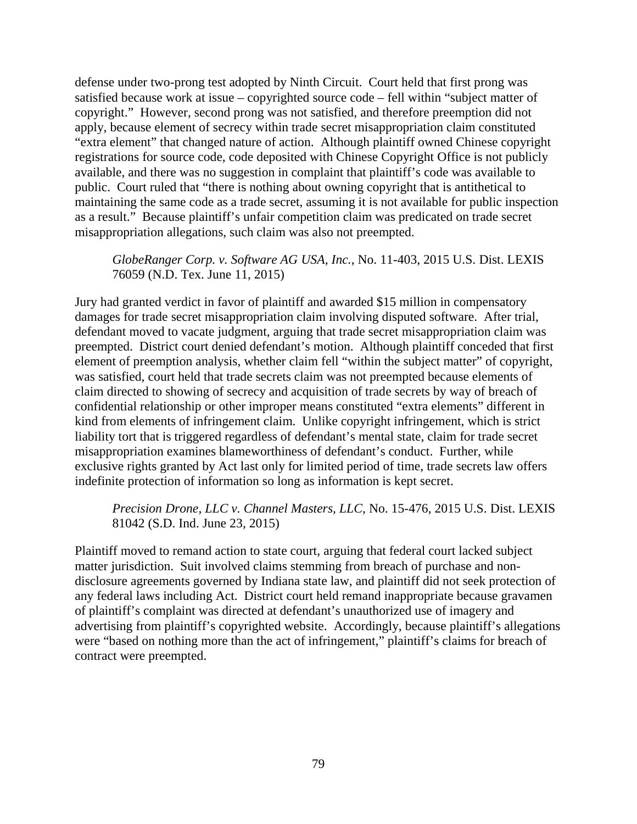defense under two-prong test adopted by Ninth Circuit. Court held that first prong was satisfied because work at issue – copyrighted source code – fell within "subject matter of copyright." However, second prong was not satisfied, and therefore preemption did not apply, because element of secrecy within trade secret misappropriation claim constituted "extra element" that changed nature of action. Although plaintiff owned Chinese copyright registrations for source code, code deposited with Chinese Copyright Office is not publicly available, and there was no suggestion in complaint that plaintiff's code was available to public. Court ruled that "there is nothing about owning copyright that is antithetical to maintaining the same code as a trade secret, assuming it is not available for public inspection as a result." Because plaintiff's unfair competition claim was predicated on trade secret misappropriation allegations, such claim was also not preempted.

## *GlobeRanger Corp. v. Software AG USA, Inc.*, No. 11-403, 2015 U.S. Dist. LEXIS 76059 (N.D. Tex. June 11, 2015)

Jury had granted verdict in favor of plaintiff and awarded \$15 million in compensatory damages for trade secret misappropriation claim involving disputed software. After trial, defendant moved to vacate judgment, arguing that trade secret misappropriation claim was preempted. District court denied defendant's motion. Although plaintiff conceded that first element of preemption analysis, whether claim fell "within the subject matter" of copyright, was satisfied, court held that trade secrets claim was not preempted because elements of claim directed to showing of secrecy and acquisition of trade secrets by way of breach of confidential relationship or other improper means constituted "extra elements" different in kind from elements of infringement claim. Unlike copyright infringement, which is strict liability tort that is triggered regardless of defendant's mental state, claim for trade secret misappropriation examines blameworthiness of defendant's conduct. Further, while exclusive rights granted by Act last only for limited period of time, trade secrets law offers indefinite protection of information so long as information is kept secret.

## *Precision Drone, LLC v. Channel Masters, LLC*, No. 15-476, 2015 U.S. Dist. LEXIS 81042 (S.D. Ind. June 23, 2015)

Plaintiff moved to remand action to state court, arguing that federal court lacked subject matter jurisdiction. Suit involved claims stemming from breach of purchase and nondisclosure agreements governed by Indiana state law, and plaintiff did not seek protection of any federal laws including Act. District court held remand inappropriate because gravamen of plaintiff's complaint was directed at defendant's unauthorized use of imagery and advertising from plaintiff's copyrighted website. Accordingly, because plaintiff's allegations were "based on nothing more than the act of infringement," plaintiff's claims for breach of contract were preempted.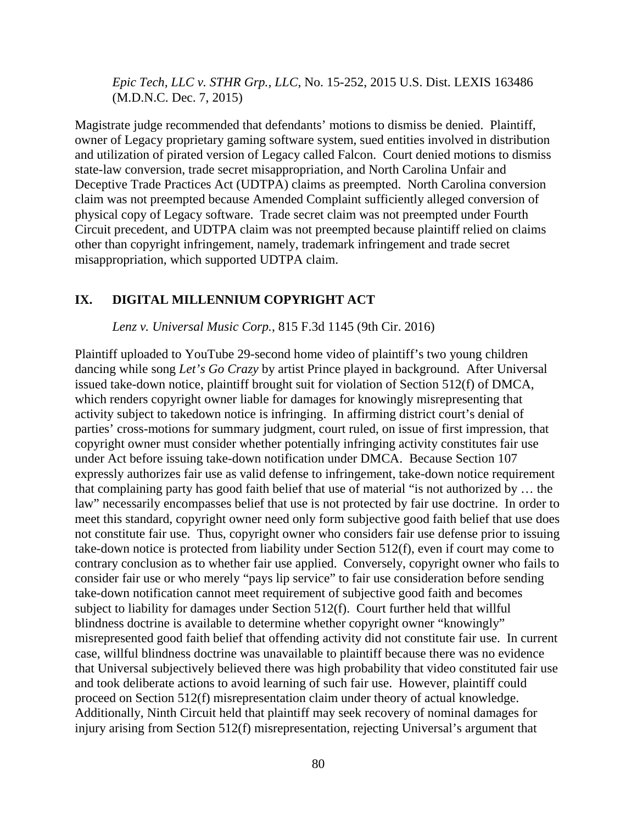*Epic Tech, LLC v. STHR Grp., LLC*, No. 15-252, 2015 U.S. Dist. LEXIS 163486 (M.D.N.C. Dec. 7, 2015)

Magistrate judge recommended that defendants' motions to dismiss be denied. Plaintiff, owner of Legacy proprietary gaming software system, sued entities involved in distribution and utilization of pirated version of Legacy called Falcon. Court denied motions to dismiss state-law conversion, trade secret misappropriation, and North Carolina Unfair and Deceptive Trade Practices Act (UDTPA) claims as preempted. North Carolina conversion claim was not preempted because Amended Complaint sufficiently alleged conversion of physical copy of Legacy software. Trade secret claim was not preempted under Fourth Circuit precedent, and UDTPA claim was not preempted because plaintiff relied on claims other than copyright infringement, namely, trademark infringement and trade secret misappropriation, which supported UDTPA claim.

### **IX. DIGITAL MILLENNIUM COPYRIGHT ACT**

*Lenz v. Universal Music Corp.*, 815 F.3d 1145 (9th Cir. 2016)

Plaintiff uploaded to YouTube 29-second home video of plaintiff's two young children dancing while song *Let's Go Crazy* by artist Prince played in background. After Universal issued take-down notice, plaintiff brought suit for violation of Section 512(f) of DMCA, which renders copyright owner liable for damages for knowingly misrepresenting that activity subject to takedown notice is infringing. In affirming district court's denial of parties' cross-motions for summary judgment, court ruled, on issue of first impression, that copyright owner must consider whether potentially infringing activity constitutes fair use under Act before issuing take-down notification under DMCA. Because Section 107 expressly authorizes fair use as valid defense to infringement, take-down notice requirement that complaining party has good faith belief that use of material "is not authorized by … the law" necessarily encompasses belief that use is not protected by fair use doctrine. In order to meet this standard, copyright owner need only form subjective good faith belief that use does not constitute fair use. Thus, copyright owner who considers fair use defense prior to issuing take-down notice is protected from liability under Section 512(f), even if court may come to contrary conclusion as to whether fair use applied. Conversely, copyright owner who fails to consider fair use or who merely "pays lip service" to fair use consideration before sending take-down notification cannot meet requirement of subjective good faith and becomes subject to liability for damages under Section 512(f). Court further held that willful blindness doctrine is available to determine whether copyright owner "knowingly" misrepresented good faith belief that offending activity did not constitute fair use. In current case, willful blindness doctrine was unavailable to plaintiff because there was no evidence that Universal subjectively believed there was high probability that video constituted fair use and took deliberate actions to avoid learning of such fair use. However, plaintiff could proceed on Section 512(f) misrepresentation claim under theory of actual knowledge. Additionally, Ninth Circuit held that plaintiff may seek recovery of nominal damages for injury arising from Section 512(f) misrepresentation, rejecting Universal's argument that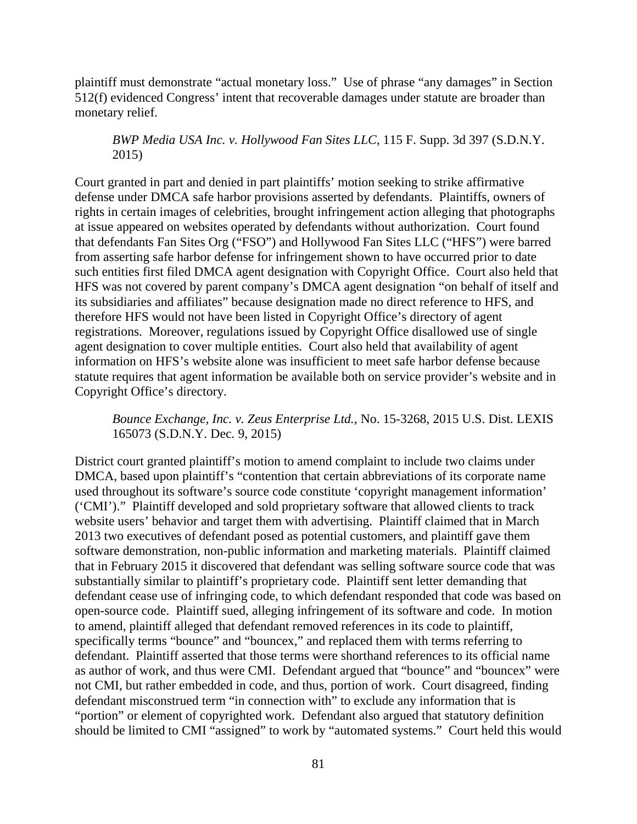plaintiff must demonstrate "actual monetary loss." Use of phrase "any damages" in Section 512(f) evidenced Congress' intent that recoverable damages under statute are broader than monetary relief.

*BWP Media USA Inc. v. Hollywood Fan Sites LLC*, 115 F. Supp. 3d 397 (S.D.N.Y. 2015)

Court granted in part and denied in part plaintiffs' motion seeking to strike affirmative defense under DMCA safe harbor provisions asserted by defendants. Plaintiffs, owners of rights in certain images of celebrities, brought infringement action alleging that photographs at issue appeared on websites operated by defendants without authorization. Court found that defendants Fan Sites Org ("FSO") and Hollywood Fan Sites LLC ("HFS") were barred from asserting safe harbor defense for infringement shown to have occurred prior to date such entities first filed DMCA agent designation with Copyright Office. Court also held that HFS was not covered by parent company's DMCA agent designation "on behalf of itself and its subsidiaries and affiliates" because designation made no direct reference to HFS, and therefore HFS would not have been listed in Copyright Office's directory of agent registrations. Moreover, regulations issued by Copyright Office disallowed use of single agent designation to cover multiple entities. Court also held that availability of agent information on HFS's website alone was insufficient to meet safe harbor defense because statute requires that agent information be available both on service provider's website and in Copyright Office's directory.

*Bounce Exchange, Inc. v. Zeus Enterprise Ltd.*, No. 15-3268, 2015 U.S. Dist. LEXIS 165073 (S.D.N.Y. Dec. 9, 2015)

District court granted plaintiff's motion to amend complaint to include two claims under DMCA, based upon plaintiff's "contention that certain abbreviations of its corporate name used throughout its software's source code constitute 'copyright management information' ('CMI')." Plaintiff developed and sold proprietary software that allowed clients to track website users' behavior and target them with advertising. Plaintiff claimed that in March 2013 two executives of defendant posed as potential customers, and plaintiff gave them software demonstration, non-public information and marketing materials. Plaintiff claimed that in February 2015 it discovered that defendant was selling software source code that was substantially similar to plaintiff's proprietary code. Plaintiff sent letter demanding that defendant cease use of infringing code, to which defendant responded that code was based on open-source code. Plaintiff sued, alleging infringement of its software and code. In motion to amend, plaintiff alleged that defendant removed references in its code to plaintiff, specifically terms "bounce" and "bouncex," and replaced them with terms referring to defendant. Plaintiff asserted that those terms were shorthand references to its official name as author of work, and thus were CMI. Defendant argued that "bounce" and "bouncex" were not CMI, but rather embedded in code, and thus, portion of work. Court disagreed, finding defendant misconstrued term "in connection with" to exclude any information that is "portion" or element of copyrighted work. Defendant also argued that statutory definition should be limited to CMI "assigned" to work by "automated systems." Court held this would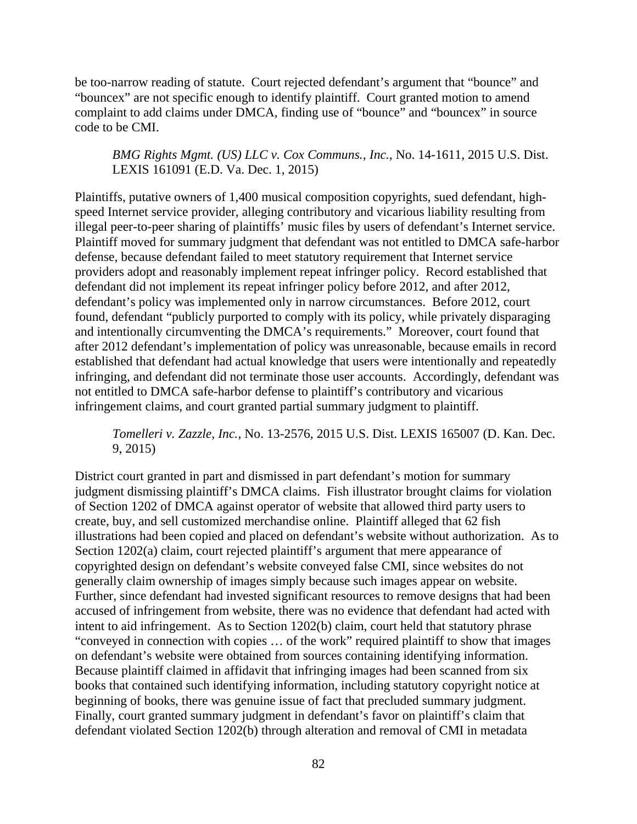be too-narrow reading of statute. Court rejected defendant's argument that "bounce" and "bouncex" are not specific enough to identify plaintiff. Court granted motion to amend complaint to add claims under DMCA, finding use of "bounce" and "bouncex" in source code to be CMI.

## *BMG Rights Mgmt. (US) LLC v. Cox Communs., Inc.*, No. 14-1611, 2015 U.S. Dist. LEXIS 161091 (E.D. Va. Dec. 1, 2015)

Plaintiffs, putative owners of 1,400 musical composition copyrights, sued defendant, highspeed Internet service provider, alleging contributory and vicarious liability resulting from illegal peer-to-peer sharing of plaintiffs' music files by users of defendant's Internet service. Plaintiff moved for summary judgment that defendant was not entitled to DMCA safe-harbor defense, because defendant failed to meet statutory requirement that Internet service providers adopt and reasonably implement repeat infringer policy. Record established that defendant did not implement its repeat infringer policy before 2012, and after 2012, defendant's policy was implemented only in narrow circumstances. Before 2012, court found, defendant "publicly purported to comply with its policy, while privately disparaging and intentionally circumventing the DMCA's requirements." Moreover, court found that after 2012 defendant's implementation of policy was unreasonable, because emails in record established that defendant had actual knowledge that users were intentionally and repeatedly infringing, and defendant did not terminate those user accounts. Accordingly, defendant was not entitled to DMCA safe-harbor defense to plaintiff's contributory and vicarious infringement claims, and court granted partial summary judgment to plaintiff.

*Tomelleri v. Zazzle, Inc.*, No. 13-2576, 2015 U.S. Dist. LEXIS 165007 (D. Kan. Dec. 9, 2015)

District court granted in part and dismissed in part defendant's motion for summary judgment dismissing plaintiff's DMCA claims. Fish illustrator brought claims for violation of Section 1202 of DMCA against operator of website that allowed third party users to create, buy, and sell customized merchandise online. Plaintiff alleged that 62 fish illustrations had been copied and placed on defendant's website without authorization. As to Section 1202(a) claim, court rejected plaintiff's argument that mere appearance of copyrighted design on defendant's website conveyed false CMI, since websites do not generally claim ownership of images simply because such images appear on website. Further, since defendant had invested significant resources to remove designs that had been accused of infringement from website, there was no evidence that defendant had acted with intent to aid infringement. As to Section 1202(b) claim, court held that statutory phrase "conveyed in connection with copies … of the work" required plaintiff to show that images on defendant's website were obtained from sources containing identifying information. Because plaintiff claimed in affidavit that infringing images had been scanned from six books that contained such identifying information, including statutory copyright notice at beginning of books, there was genuine issue of fact that precluded summary judgment. Finally, court granted summary judgment in defendant's favor on plaintiff's claim that defendant violated Section 1202(b) through alteration and removal of CMI in metadata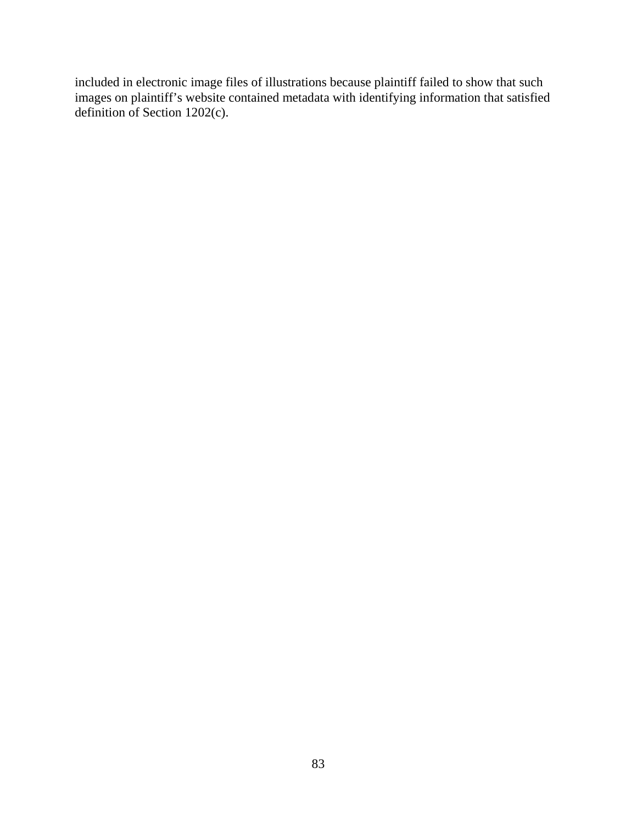included in electronic image files of illustrations because plaintiff failed to show that such images on plaintiff's website contained metadata with identifying information that satisfied definition of Section 1202(c).